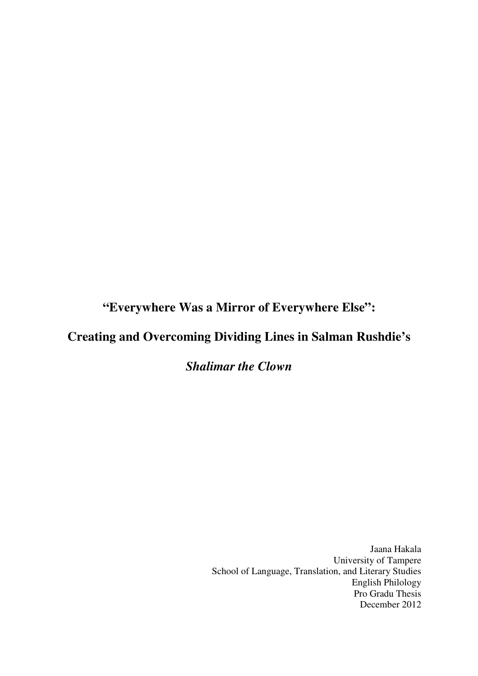**"Everywhere Was a Mirror of Everywhere Else":**

# **Creating and Overcoming Dividing Lines in Salman Rushdie's**

## *Shalimar the Clown*

Jaana Hakala University of Tampere School of Language, Translation, and Literary Studies English Philology Pro Gradu Thesis December 2012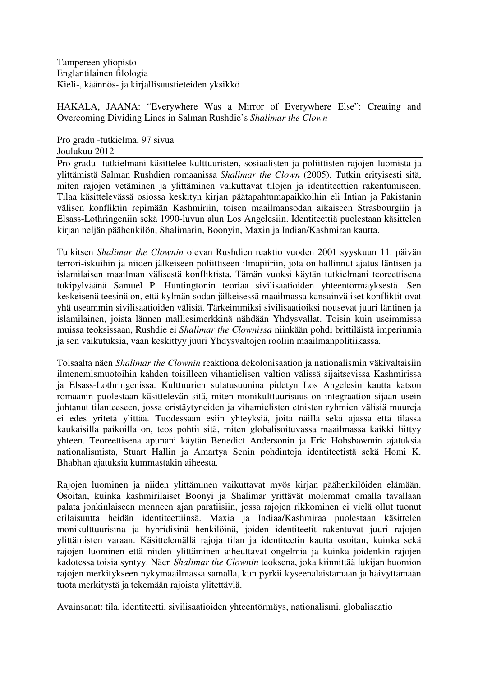Tampereen yliopisto Englantilainen filologia Kieli-, käännös- ja kirjallisuustieteiden yksikkö

HAKALA, JAANA: "Everywhere Was a Mirror of Everywhere Else": Creating and Overcoming Dividing Lines in Salman Rushdie's *Shalimar the Clown*

Pro gradu -tutkielma, 97 sivua Joulukuu 2012

Pro gradu -tutkielmani käsittelee kulttuuristen, sosiaalisten ja poliittisten rajojen luomista ja ylittämistä Salman Rushdien romaanissa *Shalimar the Clown* (2005). Tutkin erityisesti sitä, miten rajojen vetäminen ja ylittäminen vaikuttavat tilojen ja identiteettien rakentumiseen. Tilaa käsittelevässä osiossa keskityn kirjan päätapahtumapaikkoihin eli Intian ja Pakistanin välisen konfliktin repimään Kashmiriin, toisen maailmansodan aikaiseen Strasbourgiin ja Elsass-Lothringeniin sekä 1990-luvun alun Los Angelesiin. Identiteettiä puolestaan käsittelen kirjan neljän päähenkilön, Shalimarin, Boonyin, Maxin ja Indian/Kashmiran kautta.

Tulkitsen *Shalimar the Clownin* olevan Rushdien reaktio vuoden 2001 syyskuun 11. päivän terrori-iskuihin ja niiden jälkeiseen poliittiseen ilmapiiriin, jota on hallinnut ajatus läntisen ja islamilaisen maailman välisestä konfliktista. Tämän vuoksi käytän tutkielmani teoreettisena tukipylväänä Samuel P. Huntingtonin teoriaa sivilisaatioiden yhteentörmäyksestä. Sen keskeisenä teesinä on, että kylmän sodan jälkeisessä maailmassa kansainväliset konfliktit ovat yhä useammin sivilisaatioiden välisiä. Tärkeimmiksi sivilisaatioiksi nousevat juuri läntinen ja islamilainen, joista lännen malliesimerkkinä nähdään Yhdysvallat. Toisin kuin useimmissa muissa teoksissaan, Rushdie ei *Shalimar the Clownissa* niinkään pohdi brittiläistä imperiumia ja sen vaikutuksia, vaan keskittyy juuri Yhdysvaltojen rooliin maailmanpolitiikassa.

Toisaalta näen *Shalimar the Clownin* reaktiona dekolonisaation ja nationalismin väkivaltaisiin ilmenemismuotoihin kahden toisilleen vihamielisen valtion välissä sijaitsevissa Kashmirissa ja Elsass-Lothringenissa. Kulttuurien sulatusuunina pidetyn Los Angelesin kautta katson romaanin puolestaan käsittelevän sitä, miten monikulttuurisuus on integraation sijaan usein johtanut tilanteeseen, jossa eristäytyneiden ja vihamielisten etnisten ryhmien välisiä muureja ei edes yritetä ylittää. Tuodessaan esiin yhteyksiä, joita näillä sekä ajassa että tilassa kaukaisilla paikoilla on, teos pohtii sitä, miten globalisoituvassa maailmassa kaikki liittyy yhteen. Teoreettisena apunani käytän Benedict Andersonin ja Eric Hobsbawmin ajatuksia nationalismista, Stuart Hallin ja Amartya Senin pohdintoja identiteetistä sekä Homi K. Bhabhan ajatuksia kummastakin aiheesta.

Rajojen luominen ja niiden ylittäminen vaikuttavat myös kirjan päähenkilöiden elämään. Osoitan, kuinka kashmirilaiset Boonyi ja Shalimar yrittävät molemmat omalla tavallaan palata jonkinlaiseen menneen ajan paratiisiin, jossa rajojen rikkominen ei vielä ollut tuonut erilaisuutta heidän identiteettiinsä. Maxia ja Indiaa/Kashmiraa puolestaan käsittelen monikulttuurisina ja hybridisinä henkilöinä, joiden identiteetit rakentuvat juuri rajojen ylittämisten varaan. Käsittelemällä rajoja tilan ja identiteetin kautta osoitan, kuinka sekä rajojen luominen että niiden ylittäminen aiheuttavat ongelmia ja kuinka joidenkin rajojen kadotessa toisia syntyy. Näen *Shalimar the Clownin* teoksena, joka kiinnittää lukijan huomion rajojen merkitykseen nykymaailmassa samalla, kun pyrkii kyseenalaistamaan ja häivyttämään tuota merkitystä ja tekemään rajoista ylitettäviä.

Avainsanat: tila, identiteetti, sivilisaatioiden yhteentörmäys, nationalismi, globalisaatio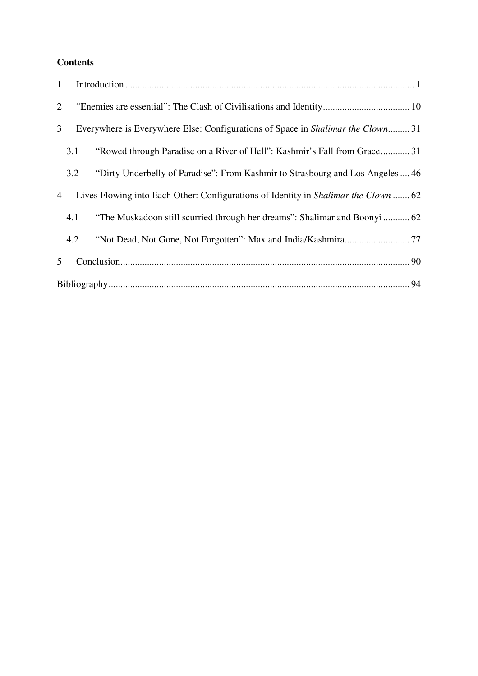### **Contents**

| 1              |     |                                                                                        |  |  |
|----------------|-----|----------------------------------------------------------------------------------------|--|--|
| 2              |     |                                                                                        |  |  |
| 3 <sup>1</sup> |     | Everywhere is Everywhere Else: Configurations of Space in <i>Shalimar the Clown</i> 31 |  |  |
|                | 3.1 | "Rowed through Paradise on a River of Hell": Kashmir's Fall from Grace 31              |  |  |
|                | 3.2 | "Dirty Underbelly of Paradise": From Kashmir to Strasbourg and Los Angeles  46         |  |  |
| 4              |     | Lives Flowing into Each Other: Configurations of Identity in Shalimar the Clown  62    |  |  |
|                | 4.1 | "The Muskadoon still scurried through her dreams": Shalimar and Boonyi  62             |  |  |
|                | 4.2 |                                                                                        |  |  |
| $5^{\circ}$    |     |                                                                                        |  |  |
|                |     |                                                                                        |  |  |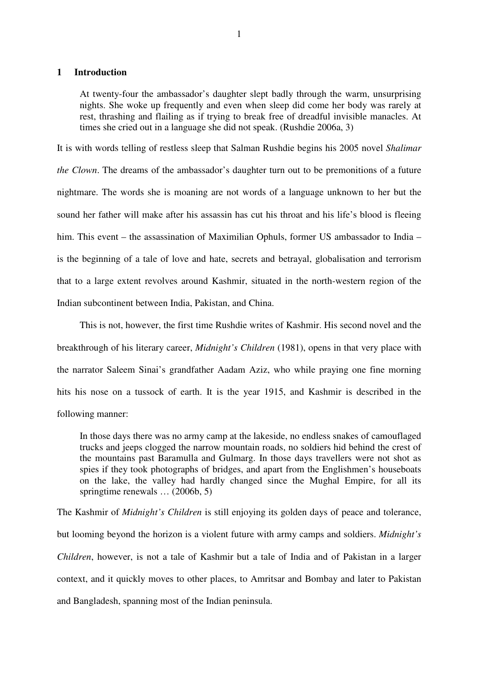#### **1 Introduction**

At twenty-four the ambassador's daughter slept badly through the warm, unsurprising nights. She woke up frequently and even when sleep did come her body was rarely at rest, thrashing and flailing as if trying to break free of dreadful invisible manacles. At times she cried out in a language she did not speak. (Rushdie 2006a, 3)

It is with words telling of restless sleep that Salman Rushdie begins his 2005 novel *Shalimar the Clown*. The dreams of the ambassador's daughter turn out to be premonitions of a future nightmare. The words she is moaning are not words of a language unknown to her but the sound her father will make after his assassin has cut his throat and his life's blood is fleeing him. This event – the assassination of Maximilian Ophuls, former US ambassador to India – is the beginning of a tale of love and hate, secrets and betrayal, globalisation and terrorism that to a large extent revolves around Kashmir, situated in the north-western region of the Indian subcontinent between India, Pakistan, and China.

This is not, however, the first time Rushdie writes of Kashmir. His second novel and the breakthrough of his literary career, *Midnight's Children* (1981), opens in that very place with the narrator Saleem Sinai's grandfather Aadam Aziz, who while praying one fine morning hits his nose on a tussock of earth. It is the year 1915, and Kashmir is described in the following manner:

In those days there was no army camp at the lakeside, no endless snakes of camouflaged trucks and jeeps clogged the narrow mountain roads, no soldiers hid behind the crest of the mountains past Baramulla and Gulmarg. In those days travellers were not shot as spies if they took photographs of bridges, and apart from the Englishmen's houseboats on the lake, the valley had hardly changed since the Mughal Empire, for all its springtime renewals … (2006b, 5)

The Kashmir of *Midnight's Children* is still enjoying its golden days of peace and tolerance, but looming beyond the horizon is a violent future with army camps and soldiers. *Midnight's Children*, however, is not a tale of Kashmir but a tale of India and of Pakistan in a larger context, and it quickly moves to other places, to Amritsar and Bombay and later to Pakistan and Bangladesh, spanning most of the Indian peninsula.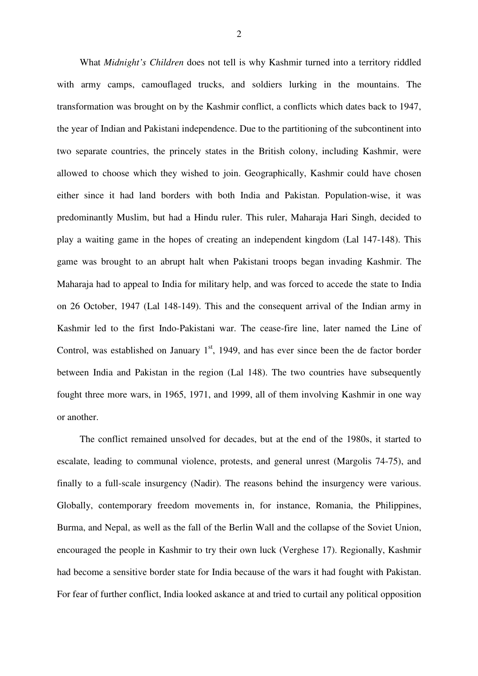What *Midnight's Children* does not tell is why Kashmir turned into a territory riddled with army camps, camouflaged trucks, and soldiers lurking in the mountains. The transformation was brought on by the Kashmir conflict, a conflicts which dates back to 1947, the year of Indian and Pakistani independence. Due to the partitioning of the subcontinent into two separate countries, the princely states in the British colony, including Kashmir, were allowed to choose which they wished to join. Geographically, Kashmir could have chosen either since it had land borders with both India and Pakistan. Population-wise, it was predominantly Muslim, but had a Hindu ruler. This ruler, Maharaja Hari Singh, decided to play a waiting game in the hopes of creating an independent kingdom (Lal 147-148). This game was brought to an abrupt halt when Pakistani troops began invading Kashmir. The Maharaja had to appeal to India for military help, and was forced to accede the state to India on 26 October, 1947 (Lal 148-149). This and the consequent arrival of the Indian army in Kashmir led to the first Indo-Pakistani war. The cease-fire line, later named the Line of Control, was established on January  $1<sup>st</sup>$ , 1949, and has ever since been the de factor border between India and Pakistan in the region (Lal 148). The two countries have subsequently fought three more wars, in 1965, 1971, and 1999, all of them involving Kashmir in one way or another.

The conflict remained unsolved for decades, but at the end of the 1980s, it started to escalate, leading to communal violence, protests, and general unrest (Margolis 74-75), and finally to a full-scale insurgency (Nadir). The reasons behind the insurgency were various. Globally, contemporary freedom movements in, for instance, Romania, the Philippines, Burma, and Nepal, as well as the fall of the Berlin Wall and the collapse of the Soviet Union, encouraged the people in Kashmir to try their own luck (Verghese 17). Regionally, Kashmir had become a sensitive border state for India because of the wars it had fought with Pakistan. For fear of further conflict, India looked askance at and tried to curtail any political opposition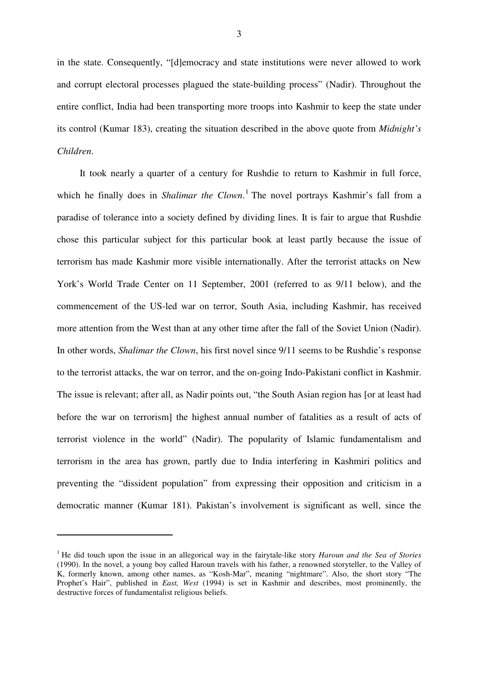in the state. Consequently, "[d]emocracy and state institutions were never allowed to work and corrupt electoral processes plagued the state-building process" (Nadir). Throughout the entire conflict, India had been transporting more troops into Kashmir to keep the state under its control (Kumar 183), creating the situation described in the above quote from *Midnight's Children*.

It took nearly a quarter of a century for Rushdie to return to Kashmir in full force, which he finally does in *Shalimar the Clown*. 1 The novel portrays Kashmir's fall from a paradise of tolerance into a society defined by dividing lines. It is fair to argue that Rushdie chose this particular subject for this particular book at least partly because the issue of terrorism has made Kashmir more visible internationally. After the terrorist attacks on New York's World Trade Center on 11 September, 2001 (referred to as 9/11 below), and the commencement of the US-led war on terror, South Asia, including Kashmir, has received more attention from the West than at any other time after the fall of the Soviet Union (Nadir). In other words, *Shalimar the Clown*, his first novel since 9/11 seems to be Rushdie's response to the terrorist attacks, the war on terror, and the on-going Indo-Pakistani conflict in Kashmir. The issue is relevant; after all, as Nadir points out, "the South Asian region has [or at least had before the war on terrorism] the highest annual number of fatalities as a result of acts of terrorist violence in the world" (Nadir). The popularity of Islamic fundamentalism and terrorism in the area has grown, partly due to India interfering in Kashmiri politics and preventing the "dissident population" from expressing their opposition and criticism in a democratic manner (Kumar 181). Pakistan's involvement is significant as well, since the

<sup>1</sup> He did touch upon the issue in an allegorical way in the fairytale-like story *Haroun and the Sea of Stories* (1990). In the novel, a young boy called Haroun travels with his father, a renowned storyteller, to the Valley of K, formerly known, among other names, as "Kosh-Mar", meaning "nightmare". Also, the short story "The Prophet's Hair", published in *East, West* (1994) is set in Kashmir and describes, most prominently, the destructive forces of fundamentalist religious beliefs.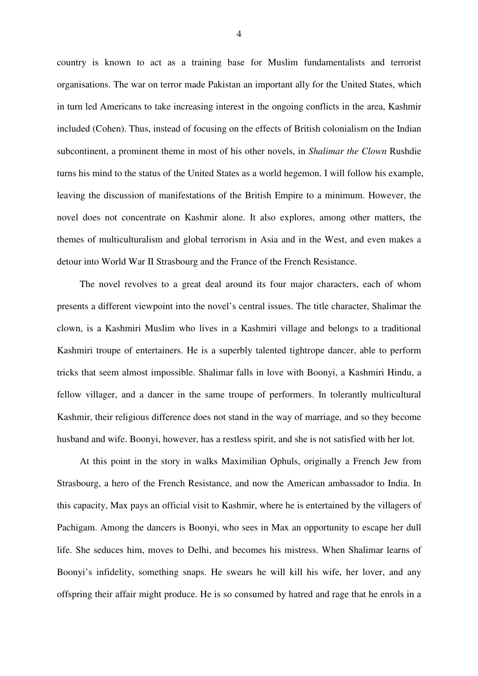country is known to act as a training base for Muslim fundamentalists and terrorist organisations. The war on terror made Pakistan an important ally for the United States, which in turn led Americans to take increasing interest in the ongoing conflicts in the area, Kashmir included (Cohen). Thus, instead of focusing on the effects of British colonialism on the Indian subcontinent, a prominent theme in most of his other novels, in *Shalimar the Clown* Rushdie turns his mind to the status of the United States as a world hegemon. I will follow his example, leaving the discussion of manifestations of the British Empire to a minimum. However, the novel does not concentrate on Kashmir alone. It also explores, among other matters, the themes of multiculturalism and global terrorism in Asia and in the West, and even makes a detour into World War II Strasbourg and the France of the French Resistance.

The novel revolves to a great deal around its four major characters, each of whom presents a different viewpoint into the novel's central issues. The title character, Shalimar the clown, is a Kashmiri Muslim who lives in a Kashmiri village and belongs to a traditional Kashmiri troupe of entertainers. He is a superbly talented tightrope dancer, able to perform tricks that seem almost impossible. Shalimar falls in love with Boonyi, a Kashmiri Hindu, a fellow villager, and a dancer in the same troupe of performers. In tolerantly multicultural Kashmir, their religious difference does not stand in the way of marriage, and so they become husband and wife. Boonyi, however, has a restless spirit, and she is not satisfied with her lot.

At this point in the story in walks Maximilian Ophuls, originally a French Jew from Strasbourg, a hero of the French Resistance, and now the American ambassador to India. In this capacity, Max pays an official visit to Kashmir, where he is entertained by the villagers of Pachigam. Among the dancers is Boonyi, who sees in Max an opportunity to escape her dull life. She seduces him, moves to Delhi, and becomes his mistress. When Shalimar learns of Boonyi's infidelity, something snaps. He swears he will kill his wife, her lover, and any offspring their affair might produce. He is so consumed by hatred and rage that he enrols in a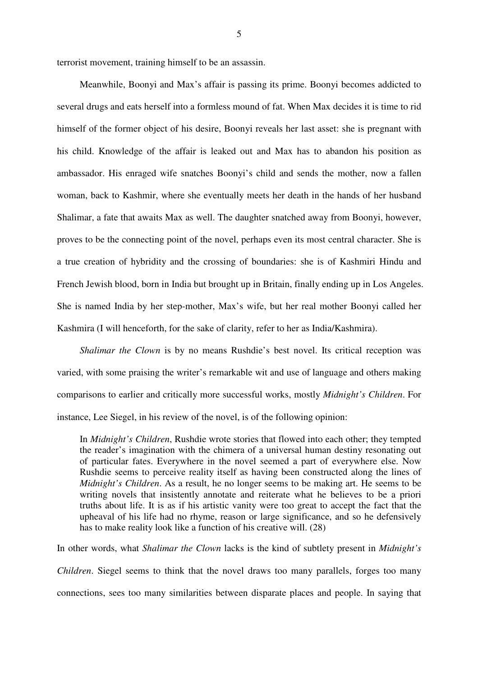terrorist movement, training himself to be an assassin.

Meanwhile, Boonyi and Max's affair is passing its prime. Boonyi becomes addicted to several drugs and eats herself into a formless mound of fat. When Max decides it is time to rid himself of the former object of his desire, Boonyi reveals her last asset: she is pregnant with his child. Knowledge of the affair is leaked out and Max has to abandon his position as ambassador. His enraged wife snatches Boonyi's child and sends the mother, now a fallen woman, back to Kashmir, where she eventually meets her death in the hands of her husband Shalimar, a fate that awaits Max as well. The daughter snatched away from Boonyi, however, proves to be the connecting point of the novel, perhaps even its most central character. She is a true creation of hybridity and the crossing of boundaries: she is of Kashmiri Hindu and French Jewish blood, born in India but brought up in Britain, finally ending up in Los Angeles. She is named India by her step-mother, Max's wife, but her real mother Boonyi called her Kashmira (I will henceforth, for the sake of clarity, refer to her as India/Kashmira).

*Shalimar the Clown* is by no means Rushdie's best novel. Its critical reception was varied, with some praising the writer's remarkable wit and use of language and others making comparisons to earlier and critically more successful works, mostly *Midnight's Children*. For instance, Lee Siegel, in his review of the novel, is of the following opinion:

In *Midnight's Children*, Rushdie wrote stories that flowed into each other; they tempted the reader's imagination with the chimera of a universal human destiny resonating out of particular fates. Everywhere in the novel seemed a part of everywhere else. Now Rushdie seems to perceive reality itself as having been constructed along the lines of *Midnight's Children*. As a result, he no longer seems to be making art. He seems to be writing novels that insistently annotate and reiterate what he believes to be a priori truths about life. It is as if his artistic vanity were too great to accept the fact that the upheaval of his life had no rhyme, reason or large significance, and so he defensively has to make reality look like a function of his creative will. (28)

In other words, what *Shalimar the Clown* lacks is the kind of subtlety present in *Midnight's Children*. Siegel seems to think that the novel draws too many parallels, forges too many connections, sees too many similarities between disparate places and people. In saying that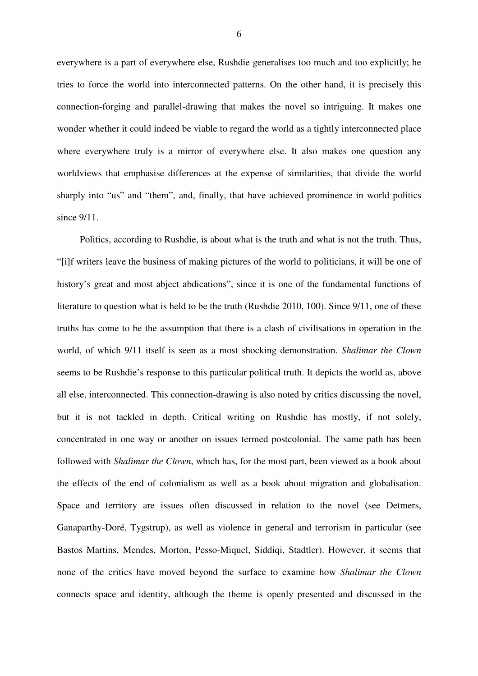everywhere is a part of everywhere else, Rushdie generalises too much and too explicitly; he tries to force the world into interconnected patterns. On the other hand, it is precisely this connection-forging and parallel-drawing that makes the novel so intriguing. It makes one wonder whether it could indeed be viable to regard the world as a tightly interconnected place where everywhere truly is a mirror of everywhere else. It also makes one question any worldviews that emphasise differences at the expense of similarities, that divide the world sharply into "us" and "them", and, finally, that have achieved prominence in world politics since 9/11.

Politics, according to Rushdie, is about what is the truth and what is not the truth. Thus, "[i]f writers leave the business of making pictures of the world to politicians, it will be one of history's great and most abject abdications", since it is one of the fundamental functions of literature to question what is held to be the truth (Rushdie 2010, 100). Since 9/11, one of these truths has come to be the assumption that there is a clash of civilisations in operation in the world, of which 9/11 itself is seen as a most shocking demonstration. *Shalimar the Clown* seems to be Rushdie's response to this particular political truth. It depicts the world as, above all else, interconnected. This connection-drawing is also noted by critics discussing the novel, but it is not tackled in depth. Critical writing on Rushdie has mostly, if not solely, concentrated in one way or another on issues termed postcolonial. The same path has been followed with *Shalimar the Clown*, which has, for the most part, been viewed as a book about the effects of the end of colonialism as well as a book about migration and globalisation. Space and territory are issues often discussed in relation to the novel (see Detmers, Ganaparthy-Doré, Tygstrup), as well as violence in general and terrorism in particular (see Bastos Martins, Mendes, Morton, Pesso-Miquel, Siddiqi, Stadtler). However, it seems that none of the critics have moved beyond the surface to examine how *Shalimar the Clown* connects space and identity, although the theme is openly presented and discussed in the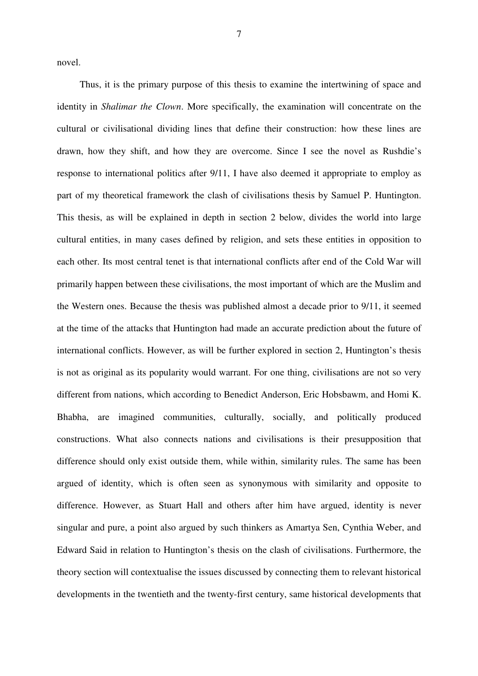novel.

Thus, it is the primary purpose of this thesis to examine the intertwining of space and identity in *Shalimar the Clown*. More specifically, the examination will concentrate on the cultural or civilisational dividing lines that define their construction: how these lines are drawn, how they shift, and how they are overcome. Since I see the novel as Rushdie's response to international politics after 9/11, I have also deemed it appropriate to employ as part of my theoretical framework the clash of civilisations thesis by Samuel P. Huntington. This thesis, as will be explained in depth in section 2 below, divides the world into large cultural entities, in many cases defined by religion, and sets these entities in opposition to each other. Its most central tenet is that international conflicts after end of the Cold War will primarily happen between these civilisations, the most important of which are the Muslim and the Western ones. Because the thesis was published almost a decade prior to 9/11, it seemed at the time of the attacks that Huntington had made an accurate prediction about the future of international conflicts. However, as will be further explored in section 2, Huntington's thesis is not as original as its popularity would warrant. For one thing, civilisations are not so very different from nations, which according to Benedict Anderson, Eric Hobsbawm, and Homi K. Bhabha, are imagined communities, culturally, socially, and politically produced constructions. What also connects nations and civilisations is their presupposition that difference should only exist outside them, while within, similarity rules. The same has been argued of identity, which is often seen as synonymous with similarity and opposite to difference. However, as Stuart Hall and others after him have argued, identity is never singular and pure, a point also argued by such thinkers as Amartya Sen, Cynthia Weber, and Edward Said in relation to Huntington's thesis on the clash of civilisations. Furthermore, the theory section will contextualise the issues discussed by connecting them to relevant historical developments in the twentieth and the twenty-first century, same historical developments that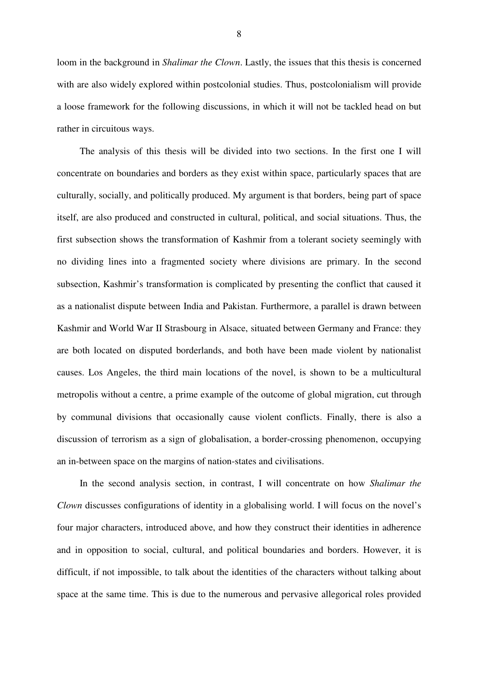loom in the background in *Shalimar the Clown*. Lastly, the issues that this thesis is concerned with are also widely explored within postcolonial studies. Thus, postcolonialism will provide a loose framework for the following discussions, in which it will not be tackled head on but rather in circuitous ways.

The analysis of this thesis will be divided into two sections. In the first one I will concentrate on boundaries and borders as they exist within space, particularly spaces that are culturally, socially, and politically produced. My argument is that borders, being part of space itself, are also produced and constructed in cultural, political, and social situations. Thus, the first subsection shows the transformation of Kashmir from a tolerant society seemingly with no dividing lines into a fragmented society where divisions are primary. In the second subsection, Kashmir's transformation is complicated by presenting the conflict that caused it as a nationalist dispute between India and Pakistan. Furthermore, a parallel is drawn between Kashmir and World War II Strasbourg in Alsace, situated between Germany and France: they are both located on disputed borderlands, and both have been made violent by nationalist causes. Los Angeles, the third main locations of the novel, is shown to be a multicultural metropolis without a centre, a prime example of the outcome of global migration, cut through by communal divisions that occasionally cause violent conflicts. Finally, there is also a discussion of terrorism as a sign of globalisation, a border-crossing phenomenon, occupying an in-between space on the margins of nation-states and civilisations.

In the second analysis section, in contrast, I will concentrate on how *Shalimar the Clown* discusses configurations of identity in a globalising world. I will focus on the novel's four major characters, introduced above, and how they construct their identities in adherence and in opposition to social, cultural, and political boundaries and borders. However, it is difficult, if not impossible, to talk about the identities of the characters without talking about space at the same time. This is due to the numerous and pervasive allegorical roles provided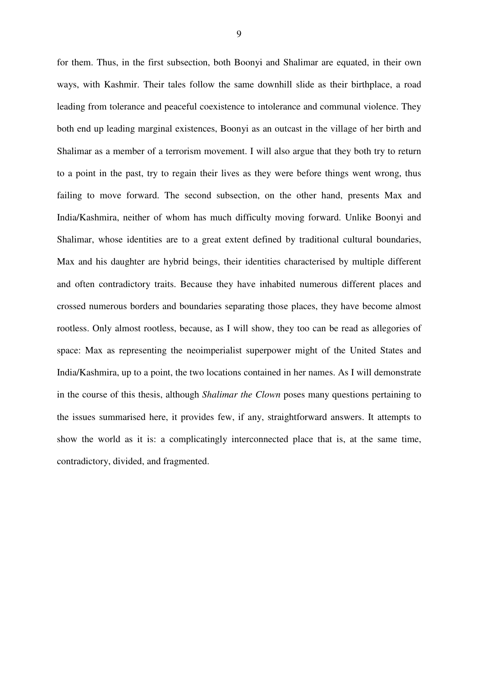for them. Thus, in the first subsection, both Boonyi and Shalimar are equated, in their own ways, with Kashmir. Their tales follow the same downhill slide as their birthplace, a road leading from tolerance and peaceful coexistence to intolerance and communal violence. They both end up leading marginal existences, Boonyi as an outcast in the village of her birth and Shalimar as a member of a terrorism movement. I will also argue that they both try to return to a point in the past, try to regain their lives as they were before things went wrong, thus failing to move forward. The second subsection, on the other hand, presents Max and India/Kashmira, neither of whom has much difficulty moving forward. Unlike Boonyi and Shalimar, whose identities are to a great extent defined by traditional cultural boundaries, Max and his daughter are hybrid beings, their identities characterised by multiple different and often contradictory traits. Because they have inhabited numerous different places and crossed numerous borders and boundaries separating those places, they have become almost rootless. Only almost rootless, because, as I will show, they too can be read as allegories of space: Max as representing the neoimperialist superpower might of the United States and India/Kashmira, up to a point, the two locations contained in her names. As I will demonstrate in the course of this thesis, although *Shalimar the Clown* poses many questions pertaining to the issues summarised here, it provides few, if any, straightforward answers. It attempts to show the world as it is: a complicatingly interconnected place that is, at the same time, contradictory, divided, and fragmented.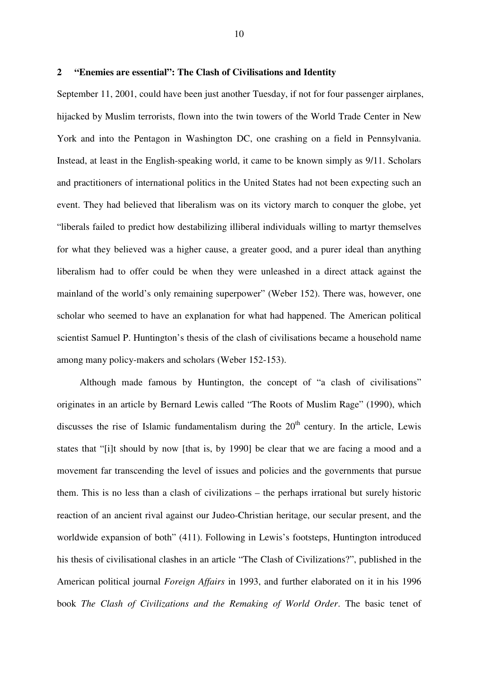#### **2 "Enemies are essential": The Clash of Civilisations and Identity**

September 11, 2001, could have been just another Tuesday, if not for four passenger airplanes, hijacked by Muslim terrorists, flown into the twin towers of the World Trade Center in New York and into the Pentagon in Washington DC, one crashing on a field in Pennsylvania. Instead, at least in the English-speaking world, it came to be known simply as 9/11. Scholars and practitioners of international politics in the United States had not been expecting such an event. They had believed that liberalism was on its victory march to conquer the globe, yet "liberals failed to predict how destabilizing illiberal individuals willing to martyr themselves for what they believed was a higher cause, a greater good, and a purer ideal than anything liberalism had to offer could be when they were unleashed in a direct attack against the mainland of the world's only remaining superpower" (Weber 152). There was, however, one scholar who seemed to have an explanation for what had happened. The American political scientist Samuel P. Huntington's thesis of the clash of civilisations became a household name among many policy-makers and scholars (Weber 152-153).

Although made famous by Huntington, the concept of "a clash of civilisations" originates in an article by Bernard Lewis called "The Roots of Muslim Rage" (1990), which discusses the rise of Islamic fundamentalism during the  $20<sup>th</sup>$  century. In the article, Lewis states that "[i]t should by now [that is, by 1990] be clear that we are facing a mood and a movement far transcending the level of issues and policies and the governments that pursue them. This is no less than a clash of civilizations – the perhaps irrational but surely historic reaction of an ancient rival against our Judeo-Christian heritage, our secular present, and the worldwide expansion of both" (411). Following in Lewis's footsteps, Huntington introduced his thesis of civilisational clashes in an article "The Clash of Civilizations?", published in the American political journal *Foreign Affairs* in 1993, and further elaborated on it in his 1996 book *The Clash of Civilizations and the Remaking of World Order*. The basic tenet of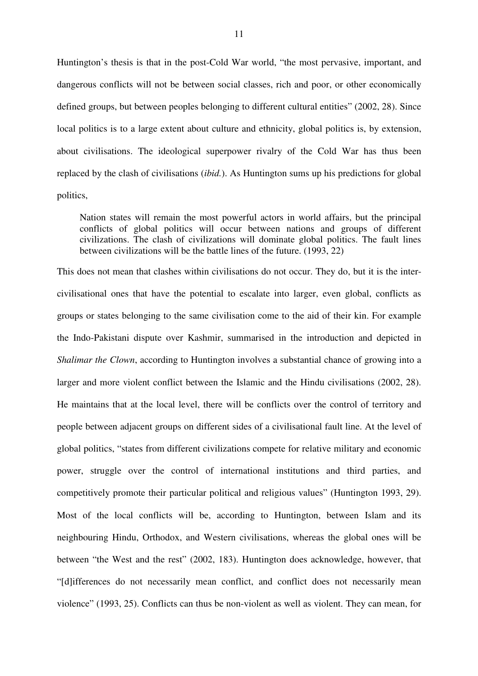Huntington's thesis is that in the post-Cold War world, "the most pervasive, important, and dangerous conflicts will not be between social classes, rich and poor, or other economically defined groups, but between peoples belonging to different cultural entities" (2002, 28). Since local politics is to a large extent about culture and ethnicity, global politics is, by extension, about civilisations. The ideological superpower rivalry of the Cold War has thus been replaced by the clash of civilisations (*ibid.*). As Huntington sums up his predictions for global politics,

Nation states will remain the most powerful actors in world affairs, but the principal conflicts of global politics will occur between nations and groups of different civilizations. The clash of civilizations will dominate global politics. The fault lines between civilizations will be the battle lines of the future. (1993, 22)

This does not mean that clashes within civilisations do not occur. They do, but it is the intercivilisational ones that have the potential to escalate into larger, even global, conflicts as groups or states belonging to the same civilisation come to the aid of their kin. For example the Indo-Pakistani dispute over Kashmir, summarised in the introduction and depicted in *Shalimar the Clown*, according to Huntington involves a substantial chance of growing into a larger and more violent conflict between the Islamic and the Hindu civilisations (2002, 28). He maintains that at the local level, there will be conflicts over the control of territory and people between adjacent groups on different sides of a civilisational fault line. At the level of global politics, "states from different civilizations compete for relative military and economic power, struggle over the control of international institutions and third parties, and competitively promote their particular political and religious values" (Huntington 1993, 29). Most of the local conflicts will be, according to Huntington, between Islam and its neighbouring Hindu, Orthodox, and Western civilisations, whereas the global ones will be between "the West and the rest" (2002, 183). Huntington does acknowledge, however, that "[d]ifferences do not necessarily mean conflict, and conflict does not necessarily mean violence" (1993, 25). Conflicts can thus be non-violent as well as violent. They can mean, for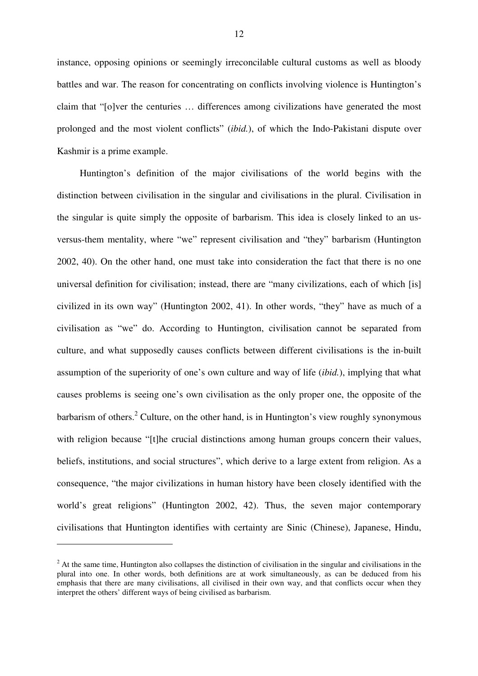instance, opposing opinions or seemingly irreconcilable cultural customs as well as bloody battles and war. The reason for concentrating on conflicts involving violence is Huntington's claim that "[o]ver the centuries … differences among civilizations have generated the most prolonged and the most violent conflicts" (*ibid.*), of which the Indo-Pakistani dispute over Kashmir is a prime example.

Huntington's definition of the major civilisations of the world begins with the distinction between civilisation in the singular and civilisations in the plural. Civilisation in the singular is quite simply the opposite of barbarism. This idea is closely linked to an usversus-them mentality, where "we" represent civilisation and "they" barbarism (Huntington 2002, 40). On the other hand, one must take into consideration the fact that there is no one universal definition for civilisation; instead, there are "many civilizations, each of which [is] civilized in its own way" (Huntington 2002, 41). In other words, "they" have as much of a civilisation as "we" do. According to Huntington, civilisation cannot be separated from culture, and what supposedly causes conflicts between different civilisations is the in-built assumption of the superiority of one's own culture and way of life (*ibid.*), implying that what causes problems is seeing one's own civilisation as the only proper one, the opposite of the barbarism of others.<sup>2</sup> Culture, on the other hand, is in Huntington's view roughly synonymous with religion because "[t]he crucial distinctions among human groups concern their values, beliefs, institutions, and social structures", which derive to a large extent from religion. As a consequence, "the major civilizations in human history have been closely identified with the world's great religions" (Huntington 2002, 42). Thus, the seven major contemporary civilisations that Huntington identifies with certainty are Sinic (Chinese), Japanese, Hindu,

 $2^2$  At the same time, Huntington also collapses the distinction of civilisation in the singular and civilisations in the plural into one. In other words, both definitions are at work simultaneously, as can be deduced from his emphasis that there are many civilisations, all civilised in their own way, and that conflicts occur when they interpret the others' different ways of being civilised as barbarism.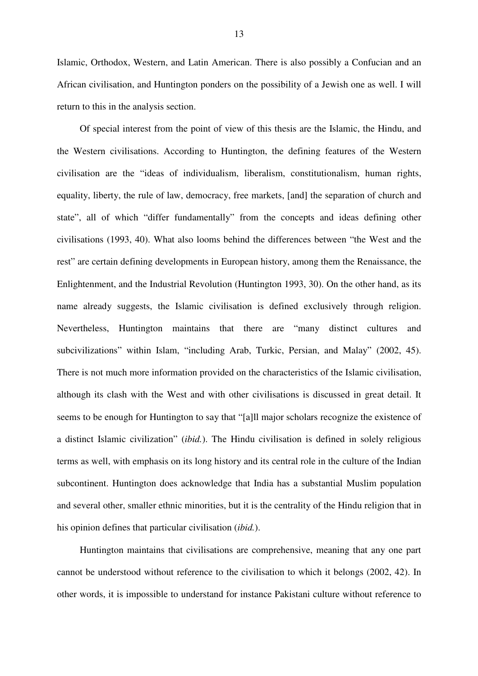Islamic, Orthodox, Western, and Latin American. There is also possibly a Confucian and an African civilisation, and Huntington ponders on the possibility of a Jewish one as well. I will return to this in the analysis section.

Of special interest from the point of view of this thesis are the Islamic, the Hindu, and the Western civilisations. According to Huntington, the defining features of the Western civilisation are the "ideas of individualism, liberalism, constitutionalism, human rights, equality, liberty, the rule of law, democracy, free markets, [and] the separation of church and state", all of which "differ fundamentally" from the concepts and ideas defining other civilisations (1993, 40). What also looms behind the differences between "the West and the rest" are certain defining developments in European history, among them the Renaissance, the Enlightenment, and the Industrial Revolution (Huntington 1993, 30). On the other hand, as its name already suggests, the Islamic civilisation is defined exclusively through religion. Nevertheless, Huntington maintains that there are "many distinct cultures and subcivilizations" within Islam, "including Arab, Turkic, Persian, and Malay" (2002, 45). There is not much more information provided on the characteristics of the Islamic civilisation, although its clash with the West and with other civilisations is discussed in great detail. It seems to be enough for Huntington to say that "[a]ll major scholars recognize the existence of a distinct Islamic civilization" (*ibid.*). The Hindu civilisation is defined in solely religious terms as well, with emphasis on its long history and its central role in the culture of the Indian subcontinent. Huntington does acknowledge that India has a substantial Muslim population and several other, smaller ethnic minorities, but it is the centrality of the Hindu religion that in his opinion defines that particular civilisation (*ibid.*).

Huntington maintains that civilisations are comprehensive, meaning that any one part cannot be understood without reference to the civilisation to which it belongs (2002, 42). In other words, it is impossible to understand for instance Pakistani culture without reference to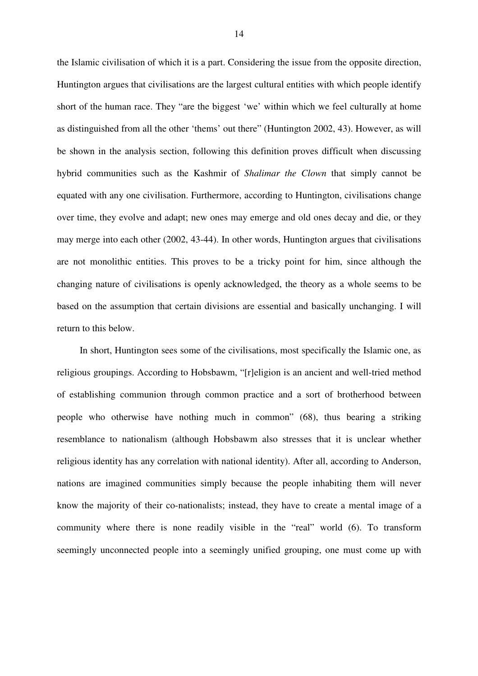the Islamic civilisation of which it is a part. Considering the issue from the opposite direction, Huntington argues that civilisations are the largest cultural entities with which people identify short of the human race. They "are the biggest 'we' within which we feel culturally at home as distinguished from all the other 'thems' out there" (Huntington 2002, 43). However, as will be shown in the analysis section, following this definition proves difficult when discussing hybrid communities such as the Kashmir of *Shalimar the Clown* that simply cannot be equated with any one civilisation. Furthermore, according to Huntington, civilisations change over time, they evolve and adapt; new ones may emerge and old ones decay and die, or they may merge into each other (2002, 43-44). In other words, Huntington argues that civilisations are not monolithic entities. This proves to be a tricky point for him, since although the changing nature of civilisations is openly acknowledged, the theory as a whole seems to be based on the assumption that certain divisions are essential and basically unchanging. I will return to this below.

In short, Huntington sees some of the civilisations, most specifically the Islamic one, as religious groupings. According to Hobsbawm, "[r]eligion is an ancient and well-tried method of establishing communion through common practice and a sort of brotherhood between people who otherwise have nothing much in common" (68), thus bearing a striking resemblance to nationalism (although Hobsbawm also stresses that it is unclear whether religious identity has any correlation with national identity). After all, according to Anderson, nations are imagined communities simply because the people inhabiting them will never know the majority of their co-nationalists; instead, they have to create a mental image of a community where there is none readily visible in the "real" world (6). To transform seemingly unconnected people into a seemingly unified grouping, one must come up with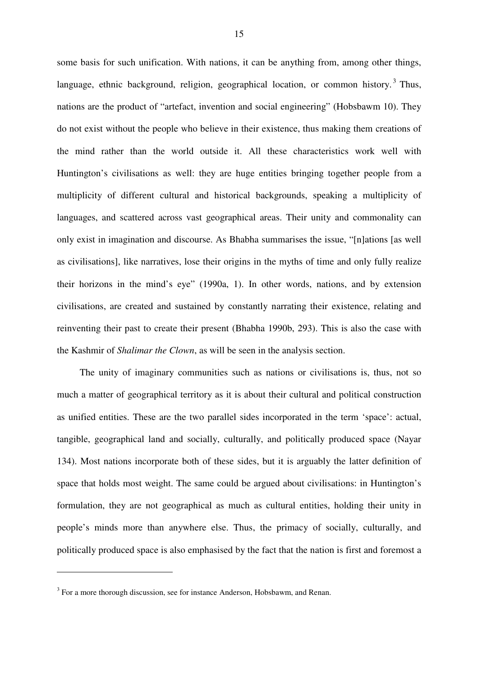some basis for such unification. With nations, it can be anything from, among other things, language, ethnic background, religion, geographical location, or common history.<sup>3</sup> Thus, nations are the product of "artefact, invention and social engineering" (Hobsbawm 10). They do not exist without the people who believe in their existence, thus making them creations of the mind rather than the world outside it. All these characteristics work well with Huntington's civilisations as well: they are huge entities bringing together people from a multiplicity of different cultural and historical backgrounds, speaking a multiplicity of languages, and scattered across vast geographical areas. Their unity and commonality can only exist in imagination and discourse. As Bhabha summarises the issue, "[n]ations [as well as civilisations], like narratives, lose their origins in the myths of time and only fully realize their horizons in the mind's eye" (1990a, 1). In other words, nations, and by extension civilisations, are created and sustained by constantly narrating their existence, relating and reinventing their past to create their present (Bhabha 1990b, 293). This is also the case with the Kashmir of *Shalimar the Clown*, as will be seen in the analysis section.

The unity of imaginary communities such as nations or civilisations is, thus, not so much a matter of geographical territory as it is about their cultural and political construction as unified entities. These are the two parallel sides incorporated in the term 'space': actual, tangible, geographical land and socially, culturally, and politically produced space (Nayar 134). Most nations incorporate both of these sides, but it is arguably the latter definition of space that holds most weight. The same could be argued about civilisations: in Huntington's formulation, they are not geographical as much as cultural entities, holding their unity in people's minds more than anywhere else. Thus, the primacy of socially, culturally, and politically produced space is also emphasised by the fact that the nation is first and foremost a

 $3$  For a more thorough discussion, see for instance Anderson, Hobsbawm, and Renan.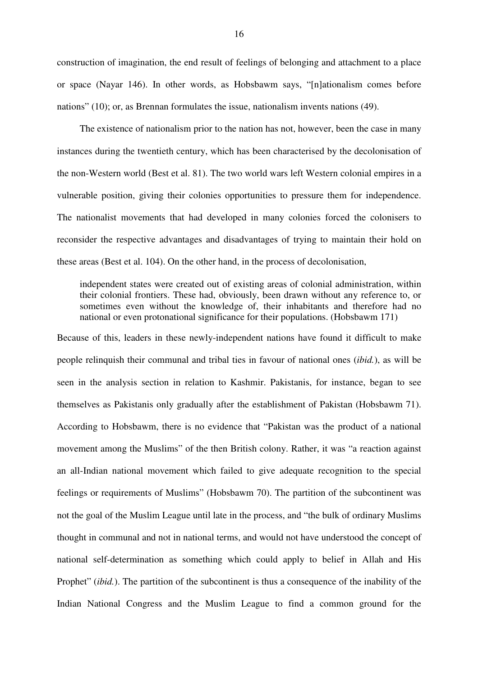construction of imagination, the end result of feelings of belonging and attachment to a place or space (Nayar 146). In other words, as Hobsbawm says, "[n]ationalism comes before nations" (10); or, as Brennan formulates the issue, nationalism invents nations (49).

The existence of nationalism prior to the nation has not, however, been the case in many instances during the twentieth century, which has been characterised by the decolonisation of the non-Western world (Best et al. 81). The two world wars left Western colonial empires in a vulnerable position, giving their colonies opportunities to pressure them for independence. The nationalist movements that had developed in many colonies forced the colonisers to reconsider the respective advantages and disadvantages of trying to maintain their hold on these areas (Best et al. 104). On the other hand, in the process of decolonisation,

independent states were created out of existing areas of colonial administration, within their colonial frontiers. These had, obviously, been drawn without any reference to, or sometimes even without the knowledge of, their inhabitants and therefore had no national or even protonational significance for their populations. (Hobsbawm 171)

Because of this, leaders in these newly-independent nations have found it difficult to make people relinquish their communal and tribal ties in favour of national ones (*ibid.*), as will be seen in the analysis section in relation to Kashmir. Pakistanis, for instance, began to see themselves as Pakistanis only gradually after the establishment of Pakistan (Hobsbawm 71). According to Hobsbawm, there is no evidence that "Pakistan was the product of a national movement among the Muslims" of the then British colony. Rather, it was "a reaction against an all-Indian national movement which failed to give adequate recognition to the special feelings or requirements of Muslims" (Hobsbawm 70). The partition of the subcontinent was not the goal of the Muslim League until late in the process, and "the bulk of ordinary Muslims thought in communal and not in national terms, and would not have understood the concept of national self-determination as something which could apply to belief in Allah and His Prophet" *(ibid.)*. The partition of the subcontinent is thus a consequence of the inability of the Indian National Congress and the Muslim League to find a common ground for the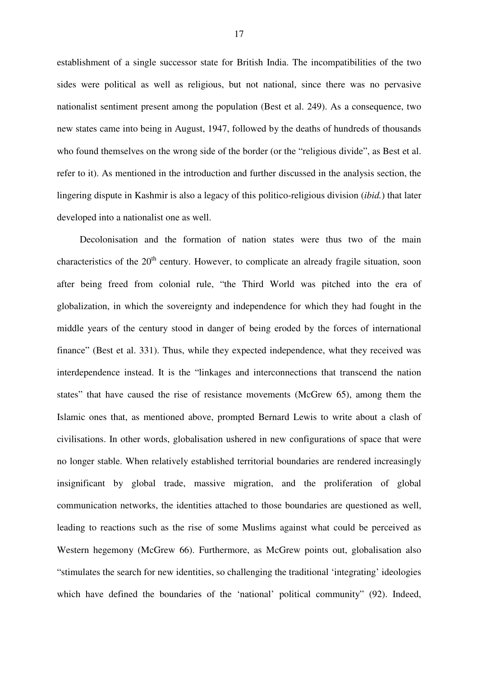establishment of a single successor state for British India. The incompatibilities of the two sides were political as well as religious, but not national, since there was no pervasive nationalist sentiment present among the population (Best et al. 249). As a consequence, two new states came into being in August, 1947, followed by the deaths of hundreds of thousands who found themselves on the wrong side of the border (or the "religious divide", as Best et al. refer to it). As mentioned in the introduction and further discussed in the analysis section, the lingering dispute in Kashmir is also a legacy of this politico-religious division (*ibid.*) that later developed into a nationalist one as well.

Decolonisation and the formation of nation states were thus two of the main characteristics of the 20<sup>th</sup> century. However, to complicate an already fragile situation, soon after being freed from colonial rule, "the Third World was pitched into the era of globalization, in which the sovereignty and independence for which they had fought in the middle years of the century stood in danger of being eroded by the forces of international finance" (Best et al. 331). Thus, while they expected independence, what they received was interdependence instead. It is the "linkages and interconnections that transcend the nation states" that have caused the rise of resistance movements (McGrew 65), among them the Islamic ones that, as mentioned above, prompted Bernard Lewis to write about a clash of civilisations. In other words, globalisation ushered in new configurations of space that were no longer stable. When relatively established territorial boundaries are rendered increasingly insignificant by global trade, massive migration, and the proliferation of global communication networks, the identities attached to those boundaries are questioned as well, leading to reactions such as the rise of some Muslims against what could be perceived as Western hegemony (McGrew 66). Furthermore, as McGrew points out, globalisation also "stimulates the search for new identities, so challenging the traditional 'integrating' ideologies which have defined the boundaries of the 'national' political community' (92). Indeed,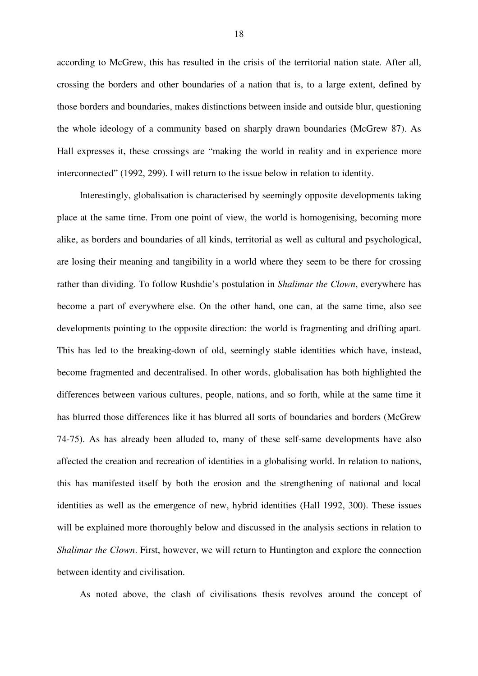according to McGrew, this has resulted in the crisis of the territorial nation state. After all, crossing the borders and other boundaries of a nation that is, to a large extent, defined by those borders and boundaries, makes distinctions between inside and outside blur, questioning the whole ideology of a community based on sharply drawn boundaries (McGrew 87). As Hall expresses it, these crossings are "making the world in reality and in experience more interconnected" (1992, 299). I will return to the issue below in relation to identity.

Interestingly, globalisation is characterised by seemingly opposite developments taking place at the same time. From one point of view, the world is homogenising, becoming more alike, as borders and boundaries of all kinds, territorial as well as cultural and psychological, are losing their meaning and tangibility in a world where they seem to be there for crossing rather than dividing. To follow Rushdie's postulation in *Shalimar the Clown*, everywhere has become a part of everywhere else. On the other hand, one can, at the same time, also see developments pointing to the opposite direction: the world is fragmenting and drifting apart. This has led to the breaking-down of old, seemingly stable identities which have, instead, become fragmented and decentralised. In other words, globalisation has both highlighted the differences between various cultures, people, nations, and so forth, while at the same time it has blurred those differences like it has blurred all sorts of boundaries and borders (McGrew 74-75). As has already been alluded to, many of these self-same developments have also affected the creation and recreation of identities in a globalising world. In relation to nations, this has manifested itself by both the erosion and the strengthening of national and local identities as well as the emergence of new, hybrid identities (Hall 1992, 300). These issues will be explained more thoroughly below and discussed in the analysis sections in relation to *Shalimar the Clown*. First, however, we will return to Huntington and explore the connection between identity and civilisation.

As noted above, the clash of civilisations thesis revolves around the concept of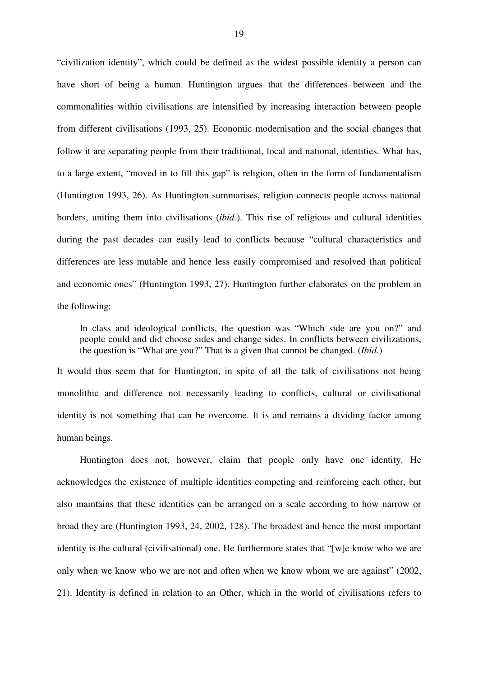"civilization identity", which could be defined as the widest possible identity a person can have short of being a human. Huntington argues that the differences between and the commonalities within civilisations are intensified by increasing interaction between people from different civilisations (1993, 25). Economic modernisation and the social changes that follow it are separating people from their traditional, local and national, identities. What has, to a large extent, "moved in to fill this gap" is religion, often in the form of fundamentalism (Huntington 1993, 26). As Huntington summarises, religion connects people across national borders, uniting them into civilisations (*ibid.*). This rise of religious and cultural identities during the past decades can easily lead to conflicts because "cultural characteristics and differences are less mutable and hence less easily compromised and resolved than political and economic ones" (Huntington 1993, 27). Huntington further elaborates on the problem in the following:

In class and ideological conflicts, the question was "Which side are you on?" and people could and did choose sides and change sides. In conflicts between civilizations, the question is "What are you?" That is a given that cannot be changed. (*Ibid.*)

It would thus seem that for Huntington, in spite of all the talk of civilisations not being monolithic and difference not necessarily leading to conflicts, cultural or civilisational identity is not something that can be overcome. It is and remains a dividing factor among human beings.

Huntington does not, however, claim that people only have one identity. He acknowledges the existence of multiple identities competing and reinforcing each other, but also maintains that these identities can be arranged on a scale according to how narrow or broad they are (Huntington 1993, 24, 2002, 128). The broadest and hence the most important identity is the cultural (civilisational) one. He furthermore states that "[w]e know who we are only when we know who we are not and often when we know whom we are against" (2002, 21). Identity is defined in relation to an Other, which in the world of civilisations refers to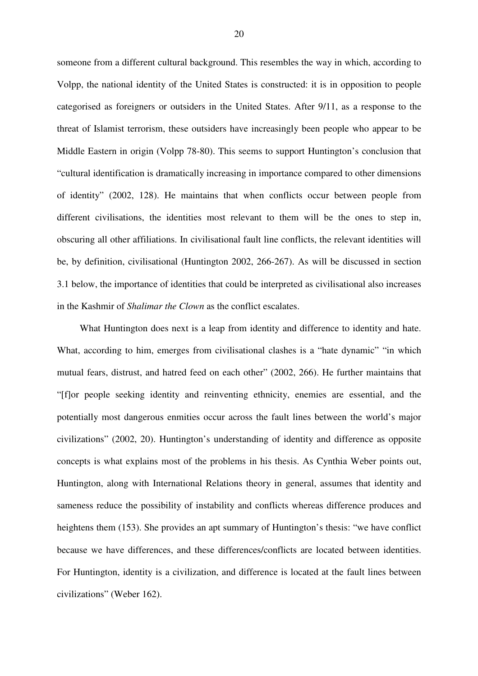someone from a different cultural background. This resembles the way in which, according to Volpp, the national identity of the United States is constructed: it is in opposition to people categorised as foreigners or outsiders in the United States. After 9/11, as a response to the threat of Islamist terrorism, these outsiders have increasingly been people who appear to be Middle Eastern in origin (Volpp 78-80). This seems to support Huntington's conclusion that "cultural identification is dramatically increasing in importance compared to other dimensions of identity" (2002, 128). He maintains that when conflicts occur between people from different civilisations, the identities most relevant to them will be the ones to step in, obscuring all other affiliations. In civilisational fault line conflicts, the relevant identities will be, by definition, civilisational (Huntington 2002, 266-267). As will be discussed in section 3.1 below, the importance of identities that could be interpreted as civilisational also increases in the Kashmir of *Shalimar the Clown* as the conflict escalates.

What Huntington does next is a leap from identity and difference to identity and hate. What, according to him, emerges from civilisational clashes is a "hate dynamic" "in which mutual fears, distrust, and hatred feed on each other" (2002, 266). He further maintains that "[f]or people seeking identity and reinventing ethnicity, enemies are essential, and the potentially most dangerous enmities occur across the fault lines between the world's major civilizations" (2002, 20). Huntington's understanding of identity and difference as opposite concepts is what explains most of the problems in his thesis. As Cynthia Weber points out, Huntington, along with International Relations theory in general, assumes that identity and sameness reduce the possibility of instability and conflicts whereas difference produces and heightens them (153). She provides an apt summary of Huntington's thesis: "we have conflict because we have differences, and these differences/conflicts are located between identities. For Huntington, identity is a civilization, and difference is located at the fault lines between civilizations" (Weber 162).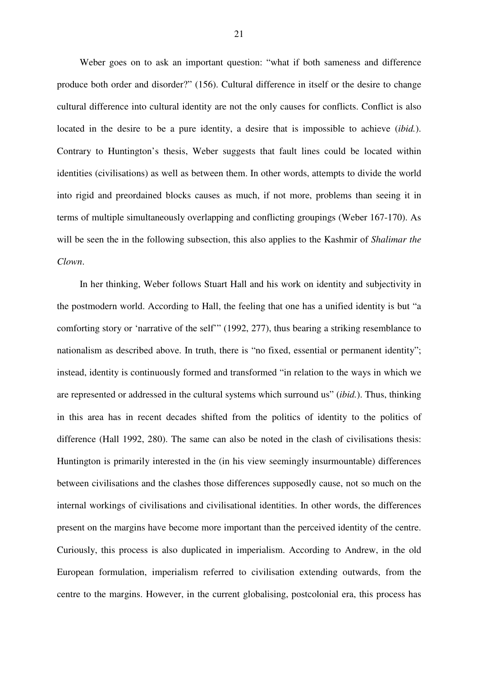Weber goes on to ask an important question: "what if both sameness and difference produce both order and disorder?" (156). Cultural difference in itself or the desire to change cultural difference into cultural identity are not the only causes for conflicts. Conflict is also located in the desire to be a pure identity, a desire that is impossible to achieve (*ibid.*). Contrary to Huntington's thesis, Weber suggests that fault lines could be located within identities (civilisations) as well as between them. In other words, attempts to divide the world into rigid and preordained blocks causes as much, if not more, problems than seeing it in terms of multiple simultaneously overlapping and conflicting groupings (Weber 167-170). As will be seen the in the following subsection, this also applies to the Kashmir of *Shalimar the Clown*.

In her thinking, Weber follows Stuart Hall and his work on identity and subjectivity in the postmodern world. According to Hall, the feeling that one has a unified identity is but "a comforting story or 'narrative of the self'" (1992, 277), thus bearing a striking resemblance to nationalism as described above. In truth, there is "no fixed, essential or permanent identity"; instead, identity is continuously formed and transformed "in relation to the ways in which we are represented or addressed in the cultural systems which surround us" (*ibid.*). Thus, thinking in this area has in recent decades shifted from the politics of identity to the politics of difference (Hall 1992, 280). The same can also be noted in the clash of civilisations thesis: Huntington is primarily interested in the (in his view seemingly insurmountable) differences between civilisations and the clashes those differences supposedly cause, not so much on the internal workings of civilisations and civilisational identities. In other words, the differences present on the margins have become more important than the perceived identity of the centre. Curiously, this process is also duplicated in imperialism. According to Andrew, in the old European formulation, imperialism referred to civilisation extending outwards, from the centre to the margins. However, in the current globalising, postcolonial era, this process has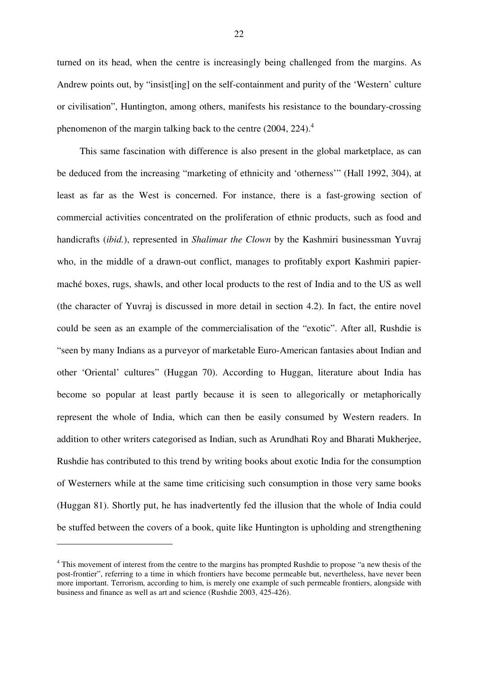turned on its head, when the centre is increasingly being challenged from the margins. As Andrew points out, by "insist[ing] on the self-containment and purity of the 'Western' culture or civilisation", Huntington, among others, manifests his resistance to the boundary-crossing phenomenon of the margin talking back to the centre (2004, 224).<sup>4</sup>

This same fascination with difference is also present in the global marketplace, as can be deduced from the increasing "marketing of ethnicity and 'otherness'" (Hall 1992, 304), at least as far as the West is concerned. For instance, there is a fast-growing section of commercial activities concentrated on the proliferation of ethnic products, such as food and handicrafts (*ibid.*), represented in *Shalimar the Clown* by the Kashmiri businessman Yuvraj who, in the middle of a drawn-out conflict, manages to profitably export Kashmiri papiermaché boxes, rugs, shawls, and other local products to the rest of India and to the US as well (the character of Yuvraj is discussed in more detail in section 4.2). In fact, the entire novel could be seen as an example of the commercialisation of the "exotic". After all, Rushdie is "seen by many Indians as a purveyor of marketable Euro-American fantasies about Indian and other 'Oriental' cultures" (Huggan 70). According to Huggan, literature about India has become so popular at least partly because it is seen to allegorically or metaphorically represent the whole of India, which can then be easily consumed by Western readers. In addition to other writers categorised as Indian, such as Arundhati Roy and Bharati Mukherjee, Rushdie has contributed to this trend by writing books about exotic India for the consumption of Westerners while at the same time criticising such consumption in those very same books (Huggan 81). Shortly put, he has inadvertently fed the illusion that the whole of India could be stuffed between the covers of a book, quite like Huntington is upholding and strengthening

<sup>&</sup>lt;sup>4</sup> This movement of interest from the centre to the margins has prompted Rushdie to propose "a new thesis of the post-frontier", referring to a time in which frontiers have become permeable but, nevertheless, have never been more important. Terrorism, according to him, is merely one example of such permeable frontiers, alongside with business and finance as well as art and science (Rushdie 2003, 425-426).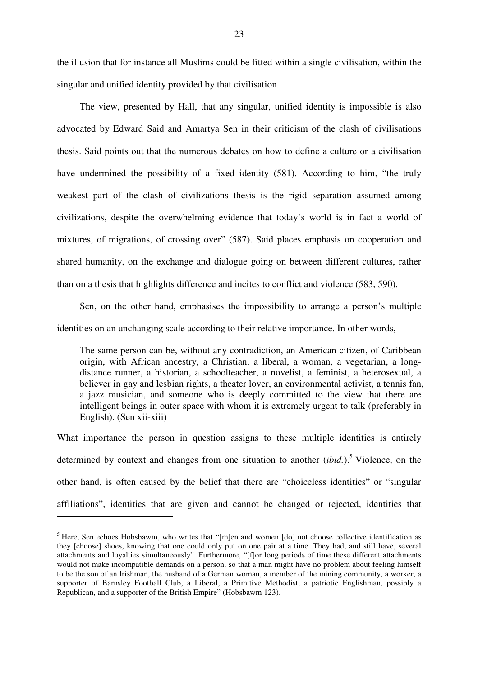the illusion that for instance all Muslims could be fitted within a single civilisation, within the singular and unified identity provided by that civilisation.

The view, presented by Hall, that any singular, unified identity is impossible is also advocated by Edward Said and Amartya Sen in their criticism of the clash of civilisations thesis. Said points out that the numerous debates on how to define a culture or a civilisation have undermined the possibility of a fixed identity (581). According to him, "the truly weakest part of the clash of civilizations thesis is the rigid separation assumed among civilizations, despite the overwhelming evidence that today's world is in fact a world of mixtures, of migrations, of crossing over" (587). Said places emphasis on cooperation and shared humanity, on the exchange and dialogue going on between different cultures, rather than on a thesis that highlights difference and incites to conflict and violence (583, 590).

Sen, on the other hand, emphasises the impossibility to arrange a person's multiple identities on an unchanging scale according to their relative importance. In other words,

The same person can be, without any contradiction, an American citizen, of Caribbean origin, with African ancestry, a Christian, a liberal, a woman, a vegetarian, a longdistance runner, a historian, a schoolteacher, a novelist, a feminist, a heterosexual, a believer in gay and lesbian rights, a theater lover, an environmental activist, a tennis fan, a jazz musician, and someone who is deeply committed to the view that there are intelligent beings in outer space with whom it is extremely urgent to talk (preferably in English). (Sen xii-xiii)

What importance the person in question assigns to these multiple identities is entirely determined by context and changes from one situation to another (*ibid.*). <sup>5</sup> Violence, on the other hand, is often caused by the belief that there are "choiceless identities" or "singular affiliations", identities that are given and cannot be changed or rejected, identities that

<sup>&</sup>lt;sup>5</sup> Here, Sen echoes Hobsbawm, who writes that "[m]en and women [do] not choose collective identification as they [choose] shoes, knowing that one could only put on one pair at a time. They had, and still have, several attachments and loyalties simultaneously". Furthermore, "[f]or long periods of time these different attachments would not make incompatible demands on a person, so that a man might have no problem about feeling himself to be the son of an Irishman, the husband of a German woman, a member of the mining community, a worker, a supporter of Barnsley Football Club, a Liberal, a Primitive Methodist, a patriotic Englishman, possibly a Republican, and a supporter of the British Empire" (Hobsbawm 123).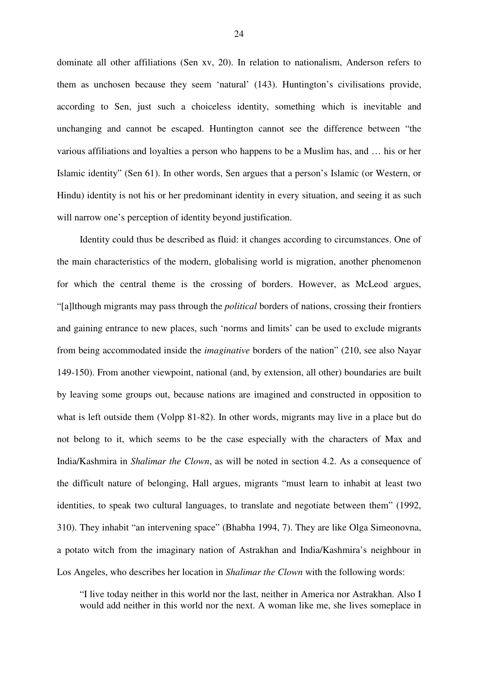dominate all other affiliations (Sen xv, 20). In relation to nationalism, Anderson refers to them as unchosen because they seem 'natural' (143). Huntington's civilisations provide, according to Sen, just such a choiceless identity, something which is inevitable and unchanging and cannot be escaped. Huntington cannot see the difference between "the various affiliations and loyalties a person who happens to be a Muslim has, and … his or her Islamic identity" (Sen 61). In other words, Sen argues that a person's Islamic (or Western, or Hindu) identity is not his or her predominant identity in every situation, and seeing it as such will narrow one's perception of identity beyond justification.

Identity could thus be described as fluid: it changes according to circumstances. One of the main characteristics of the modern, globalising world is migration, another phenomenon for which the central theme is the crossing of borders. However, as McLeod argues, "[a]lthough migrants may pass through the *political* borders of nations, crossing their frontiers and gaining entrance to new places, such 'norms and limits' can be used to exclude migrants from being accommodated inside the *imaginative* borders of the nation" (210, see also Nayar 149-150). From another viewpoint, national (and, by extension, all other) boundaries are built by leaving some groups out, because nations are imagined and constructed in opposition to what is left outside them (Volpp 81-82). In other words, migrants may live in a place but do not belong to it, which seems to be the case especially with the characters of Max and India/Kashmira in *Shalimar the Clown*, as will be noted in section 4.2. As a consequence of the difficult nature of belonging, Hall argues, migrants "must learn to inhabit at least two identities, to speak two cultural languages, to translate and negotiate between them" (1992, 310). They inhabit "an intervening space" (Bhabha 1994, 7). They are like Olga Simeonovna, a potato witch from the imaginary nation of Astrakhan and India/Kashmira's neighbour in Los Angeles, who describes her location in *Shalimar the Clown* with the following words:

"I live today neither in this world nor the last, neither in America nor Astrakhan. Also I would add neither in this world nor the next. A woman like me, she lives someplace in

24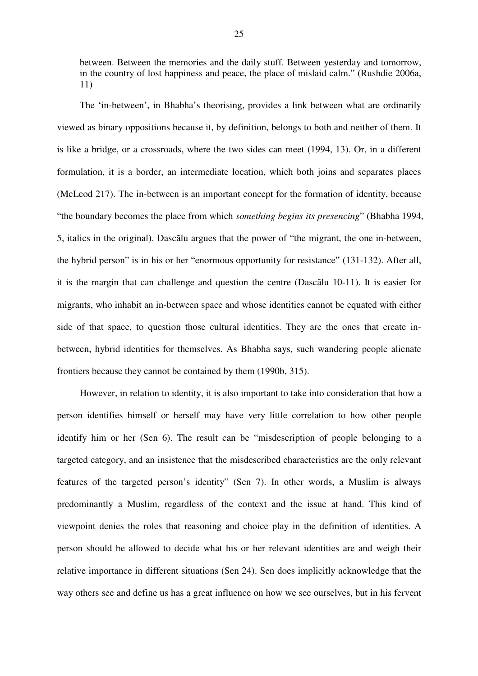between. Between the memories and the daily stuff. Between yesterday and tomorrow, in the country of lost happiness and peace, the place of mislaid calm." (Rushdie 2006a, 11)

The 'in-between', in Bhabha's theorising, provides a link between what are ordinarily viewed as binary oppositions because it, by definition, belongs to both and neither of them. It is like a bridge, or a crossroads, where the two sides can meet (1994, 13). Or, in a different formulation, it is a border, an intermediate location, which both joins and separates places (McLeod 217). The in-between is an important concept for the formation of identity, because "the boundary becomes the place from which *something begins its presencing*" (Bhabha 1994, 5, italics in the original). Dascălu argues that the power of "the migrant, the one in-between, the hybrid person" is in his or her "enormous opportunity for resistance" (131-132). After all, it is the margin that can challenge and question the centre (Dascălu  $10-11$ ). It is easier for migrants, who inhabit an in-between space and whose identities cannot be equated with either side of that space, to question those cultural identities. They are the ones that create inbetween, hybrid identities for themselves. As Bhabha says, such wandering people alienate frontiers because they cannot be contained by them (1990b, 315).

However, in relation to identity, it is also important to take into consideration that how a person identifies himself or herself may have very little correlation to how other people identify him or her (Sen 6). The result can be "misdescription of people belonging to a targeted category, and an insistence that the misdescribed characteristics are the only relevant features of the targeted person's identity" (Sen 7). In other words, a Muslim is always predominantly a Muslim, regardless of the context and the issue at hand. This kind of viewpoint denies the roles that reasoning and choice play in the definition of identities. A person should be allowed to decide what his or her relevant identities are and weigh their relative importance in different situations (Sen 24). Sen does implicitly acknowledge that the way others see and define us has a great influence on how we see ourselves, but in his fervent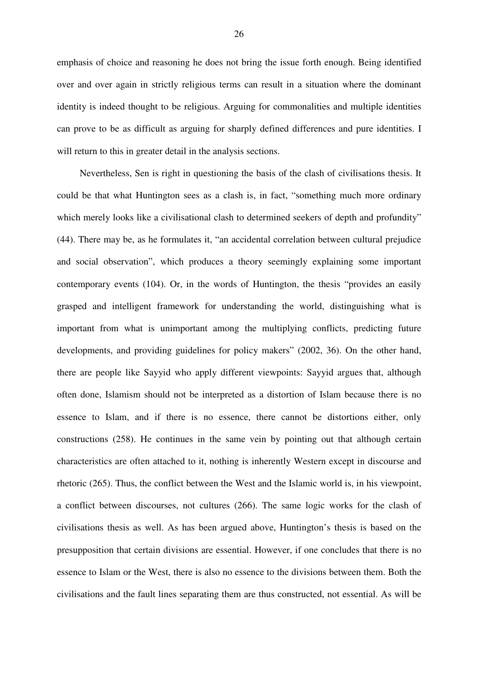emphasis of choice and reasoning he does not bring the issue forth enough. Being identified over and over again in strictly religious terms can result in a situation where the dominant identity is indeed thought to be religious. Arguing for commonalities and multiple identities can prove to be as difficult as arguing for sharply defined differences and pure identities. I will return to this in greater detail in the analysis sections.

Nevertheless, Sen is right in questioning the basis of the clash of civilisations thesis. It could be that what Huntington sees as a clash is, in fact, "something much more ordinary which merely looks like a civilisational clash to determined seekers of depth and profundity" (44). There may be, as he formulates it, "an accidental correlation between cultural prejudice and social observation", which produces a theory seemingly explaining some important contemporary events (104). Or, in the words of Huntington, the thesis "provides an easily grasped and intelligent framework for understanding the world, distinguishing what is important from what is unimportant among the multiplying conflicts, predicting future developments, and providing guidelines for policy makers" (2002, 36). On the other hand, there are people like Sayyid who apply different viewpoints: Sayyid argues that, although often done, Islamism should not be interpreted as a distortion of Islam because there is no essence to Islam, and if there is no essence, there cannot be distortions either, only constructions (258). He continues in the same vein by pointing out that although certain characteristics are often attached to it, nothing is inherently Western except in discourse and rhetoric (265). Thus, the conflict between the West and the Islamic world is, in his viewpoint, a conflict between discourses, not cultures (266). The same logic works for the clash of civilisations thesis as well. As has been argued above, Huntington's thesis is based on the presupposition that certain divisions are essential. However, if one concludes that there is no essence to Islam or the West, there is also no essence to the divisions between them. Both the civilisations and the fault lines separating them are thus constructed, not essential. As will be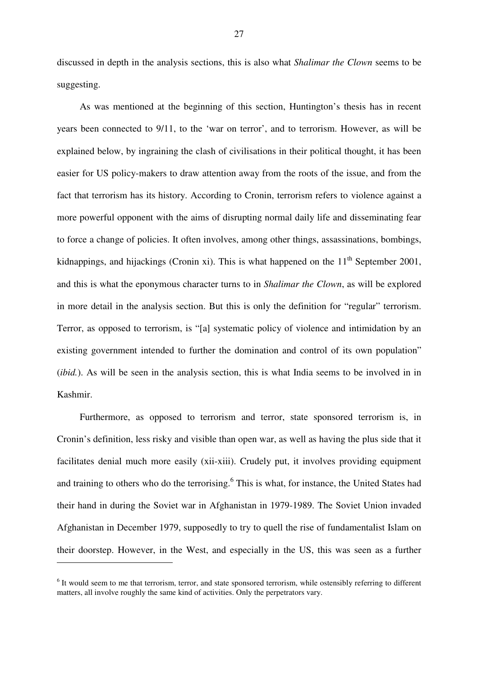discussed in depth in the analysis sections, this is also what *Shalimar the Clown* seems to be suggesting.

As was mentioned at the beginning of this section, Huntington's thesis has in recent years been connected to 9/11, to the 'war on terror', and to terrorism. However, as will be explained below, by ingraining the clash of civilisations in their political thought, it has been easier for US policy-makers to draw attention away from the roots of the issue, and from the fact that terrorism has its history. According to Cronin, terrorism refers to violence against a more powerful opponent with the aims of disrupting normal daily life and disseminating fear to force a change of policies. It often involves, among other things, assassinations, bombings, kidnappings, and hijackings (Cronin xi). This is what happened on the  $11<sup>th</sup>$  September 2001, and this is what the eponymous character turns to in *Shalimar the Clown*, as will be explored in more detail in the analysis section. But this is only the definition for "regular" terrorism. Terror, as opposed to terrorism, is "[a] systematic policy of violence and intimidation by an existing government intended to further the domination and control of its own population" (*ibid.*). As will be seen in the analysis section, this is what India seems to be involved in in Kashmir.

Furthermore, as opposed to terrorism and terror, state sponsored terrorism is, in Cronin's definition, less risky and visible than open war, as well as having the plus side that it facilitates denial much more easily (xii-xiii). Crudely put, it involves providing equipment and training to others who do the terrorising.<sup>6</sup> This is what, for instance, the United States had their hand in during the Soviet war in Afghanistan in 1979-1989. The Soviet Union invaded Afghanistan in December 1979, supposedly to try to quell the rise of fundamentalist Islam on their doorstep. However, in the West, and especially in the US, this was seen as a further

<sup>&</sup>lt;sup>6</sup> It would seem to me that terrorism, terror, and state sponsored terrorism, while ostensibly referring to different matters, all involve roughly the same kind of activities. Only the perpetrators vary.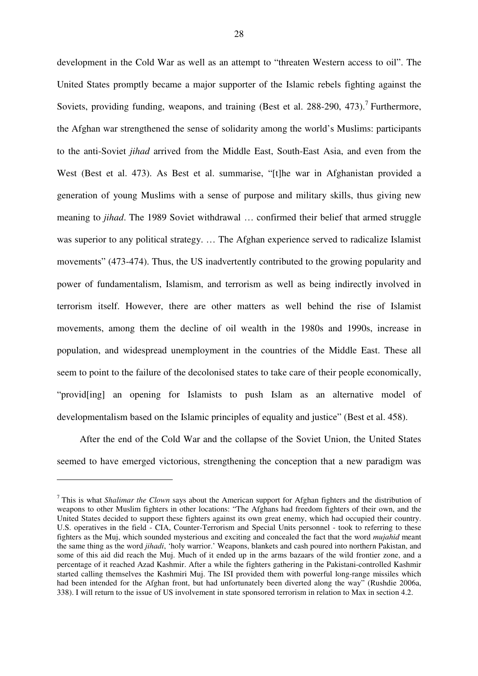development in the Cold War as well as an attempt to "threaten Western access to oil". The United States promptly became a major supporter of the Islamic rebels fighting against the Soviets, providing funding, weapons, and training (Best et al. 288-290, 473).<sup>7</sup> Furthermore, the Afghan war strengthened the sense of solidarity among the world's Muslims: participants to the anti-Soviet *jihad* arrived from the Middle East, South-East Asia, and even from the West (Best et al. 473). As Best et al. summarise, "[t]he war in Afghanistan provided a generation of young Muslims with a sense of purpose and military skills, thus giving new meaning to *jihad*. The 1989 Soviet withdrawal … confirmed their belief that armed struggle was superior to any political strategy. … The Afghan experience served to radicalize Islamist movements" (473-474). Thus, the US inadvertently contributed to the growing popularity and power of fundamentalism, Islamism, and terrorism as well as being indirectly involved in terrorism itself. However, there are other matters as well behind the rise of Islamist movements, among them the decline of oil wealth in the 1980s and 1990s, increase in population, and widespread unemployment in the countries of the Middle East. These all seem to point to the failure of the decolonised states to take care of their people economically, "provid[ing] an opening for Islamists to push Islam as an alternative model of developmentalism based on the Islamic principles of equality and justice" (Best et al. 458).

After the end of the Cold War and the collapse of the Soviet Union, the United States seemed to have emerged victorious, strengthening the conception that a new paradigm was

<sup>7</sup> This is what *Shalimar the Clown* says about the American support for Afghan fighters and the distribution of weapons to other Muslim fighters in other locations: "The Afghans had freedom fighters of their own, and the United States decided to support these fighters against its own great enemy, which had occupied their country. U.S. operatives in the field - CIA, Counter-Terrorism and Special Units personnel - took to referring to these fighters as the Muj, which sounded mysterious and exciting and concealed the fact that the word *mujahid* meant the same thing as the word *jihadi*, 'holy warrior.' Weapons, blankets and cash poured into northern Pakistan, and some of this aid did reach the Muj. Much of it ended up in the arms bazaars of the wild frontier zone, and a percentage of it reached Azad Kashmir. After a while the fighters gathering in the Pakistani-controlled Kashmir started calling themselves the Kashmiri Muj. The ISI provided them with powerful long-range missiles which had been intended for the Afghan front, but had unfortunately been diverted along the way" (Rushdie 2006a, 338). I will return to the issue of US involvement in state sponsored terrorism in relation to Max in section 4.2.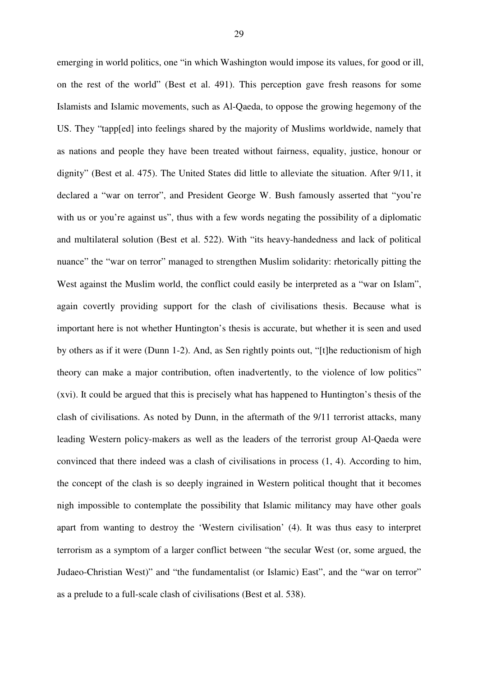emerging in world politics, one "in which Washington would impose its values, for good or ill, on the rest of the world" (Best et al. 491). This perception gave fresh reasons for some Islamists and Islamic movements, such as Al-Qaeda, to oppose the growing hegemony of the US. They "tapp[ed] into feelings shared by the majority of Muslims worldwide, namely that as nations and people they have been treated without fairness, equality, justice, honour or dignity" (Best et al. 475). The United States did little to alleviate the situation. After 9/11, it declared a "war on terror", and President George W. Bush famously asserted that "you're with us or you're against us", thus with a few words negating the possibility of a diplomatic and multilateral solution (Best et al. 522). With "its heavy-handedness and lack of political nuance" the "war on terror" managed to strengthen Muslim solidarity: rhetorically pitting the West against the Muslim world, the conflict could easily be interpreted as a "war on Islam", again covertly providing support for the clash of civilisations thesis. Because what is important here is not whether Huntington's thesis is accurate, but whether it is seen and used by others as if it were (Dunn 1-2). And, as Sen rightly points out, "[t]he reductionism of high theory can make a major contribution, often inadvertently, to the violence of low politics" (xvi). It could be argued that this is precisely what has happened to Huntington's thesis of the clash of civilisations. As noted by Dunn, in the aftermath of the 9/11 terrorist attacks, many leading Western policy-makers as well as the leaders of the terrorist group Al-Qaeda were convinced that there indeed was a clash of civilisations in process (1, 4). According to him, the concept of the clash is so deeply ingrained in Western political thought that it becomes nigh impossible to contemplate the possibility that Islamic militancy may have other goals apart from wanting to destroy the 'Western civilisation' (4). It was thus easy to interpret terrorism as a symptom of a larger conflict between "the secular West (or, some argued, the Judaeo-Christian West)" and "the fundamentalist (or Islamic) East", and the "war on terror" as a prelude to a full-scale clash of civilisations (Best et al. 538).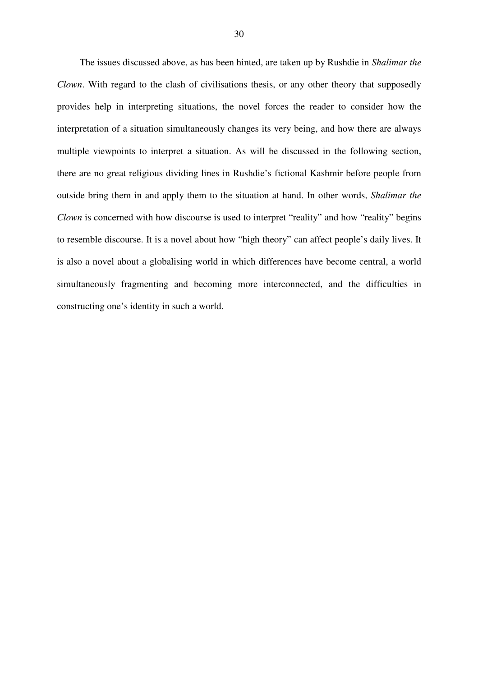The issues discussed above, as has been hinted, are taken up by Rushdie in *Shalimar the Clown*. With regard to the clash of civilisations thesis, or any other theory that supposedly provides help in interpreting situations, the novel forces the reader to consider how the interpretation of a situation simultaneously changes its very being, and how there are always multiple viewpoints to interpret a situation. As will be discussed in the following section, there are no great religious dividing lines in Rushdie's fictional Kashmir before people from outside bring them in and apply them to the situation at hand. In other words, *Shalimar the Clown* is concerned with how discourse is used to interpret "reality" and how "reality" begins to resemble discourse. It is a novel about how "high theory" can affect people's daily lives. It is also a novel about a globalising world in which differences have become central, a world simultaneously fragmenting and becoming more interconnected, and the difficulties in constructing one's identity in such a world.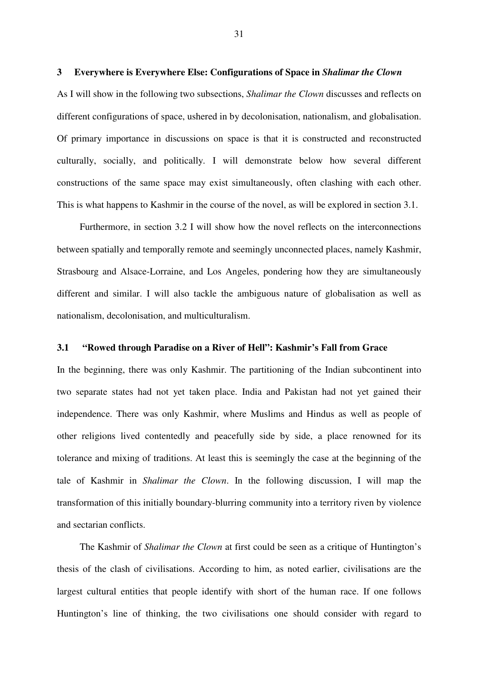#### **3 Everywhere is Everywhere Else: Configurations of Space in** *Shalimar the Clown*

As I will show in the following two subsections, *Shalimar the Clown* discusses and reflects on different configurations of space, ushered in by decolonisation, nationalism, and globalisation. Of primary importance in discussions on space is that it is constructed and reconstructed culturally, socially, and politically. I will demonstrate below how several different constructions of the same space may exist simultaneously, often clashing with each other. This is what happens to Kashmir in the course of the novel, as will be explored in section 3.1.

Furthermore, in section 3.2 I will show how the novel reflects on the interconnections between spatially and temporally remote and seemingly unconnected places, namely Kashmir, Strasbourg and Alsace-Lorraine, and Los Angeles, pondering how they are simultaneously different and similar. I will also tackle the ambiguous nature of globalisation as well as nationalism, decolonisation, and multiculturalism.

#### **3.1 "Rowed through Paradise on a River of Hell": Kashmir's Fall from Grace**

In the beginning, there was only Kashmir. The partitioning of the Indian subcontinent into two separate states had not yet taken place. India and Pakistan had not yet gained their independence. There was only Kashmir, where Muslims and Hindus as well as people of other religions lived contentedly and peacefully side by side, a place renowned for its tolerance and mixing of traditions. At least this is seemingly the case at the beginning of the tale of Kashmir in *Shalimar the Clown*. In the following discussion, I will map the transformation of this initially boundary-blurring community into a territory riven by violence and sectarian conflicts.

The Kashmir of *Shalimar the Clown* at first could be seen as a critique of Huntington's thesis of the clash of civilisations. According to him, as noted earlier, civilisations are the largest cultural entities that people identify with short of the human race. If one follows Huntington's line of thinking, the two civilisations one should consider with regard to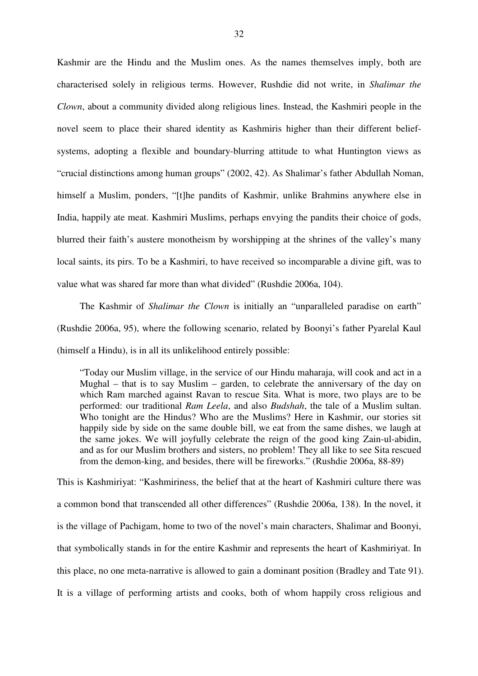Kashmir are the Hindu and the Muslim ones. As the names themselves imply, both are characterised solely in religious terms. However, Rushdie did not write, in *Shalimar the Clown*, about a community divided along religious lines. Instead, the Kashmiri people in the novel seem to place their shared identity as Kashmiris higher than their different beliefsystems, adopting a flexible and boundary-blurring attitude to what Huntington views as "crucial distinctions among human groups" (2002, 42). As Shalimar's father Abdullah Noman, himself a Muslim, ponders, "[t]he pandits of Kashmir, unlike Brahmins anywhere else in India, happily ate meat. Kashmiri Muslims, perhaps envying the pandits their choice of gods, blurred their faith's austere monotheism by worshipping at the shrines of the valley's many local saints, its pirs. To be a Kashmiri, to have received so incomparable a divine gift, was to value what was shared far more than what divided" (Rushdie 2006a, 104).

The Kashmir of *Shalimar the Clown* is initially an "unparalleled paradise on earth" (Rushdie 2006a, 95), where the following scenario, related by Boonyi's father Pyarelal Kaul (himself a Hindu), is in all its unlikelihood entirely possible:

"Today our Muslim village, in the service of our Hindu maharaja, will cook and act in a Mughal – that is to say Muslim – garden, to celebrate the anniversary of the day on which Ram marched against Ravan to rescue Sita. What is more, two plays are to be performed: our traditional *Ram Leela*, and also *Budshah*, the tale of a Muslim sultan. Who tonight are the Hindus? Who are the Muslims? Here in Kashmir, our stories sit happily side by side on the same double bill, we eat from the same dishes, we laugh at the same jokes. We will joyfully celebrate the reign of the good king Zain-ul-abidin, and as for our Muslim brothers and sisters, no problem! They all like to see Sita rescued from the demon-king, and besides, there will be fireworks." (Rushdie 2006a, 88-89)

This is Kashmiriyat: "Kashmiriness, the belief that at the heart of Kashmiri culture there was a common bond that transcended all other differences" (Rushdie 2006a, 138). In the novel, it is the village of Pachigam, home to two of the novel's main characters, Shalimar and Boonyi, that symbolically stands in for the entire Kashmir and represents the heart of Kashmiriyat. In this place, no one meta-narrative is allowed to gain a dominant position (Bradley and Tate 91). It is a village of performing artists and cooks, both of whom happily cross religious and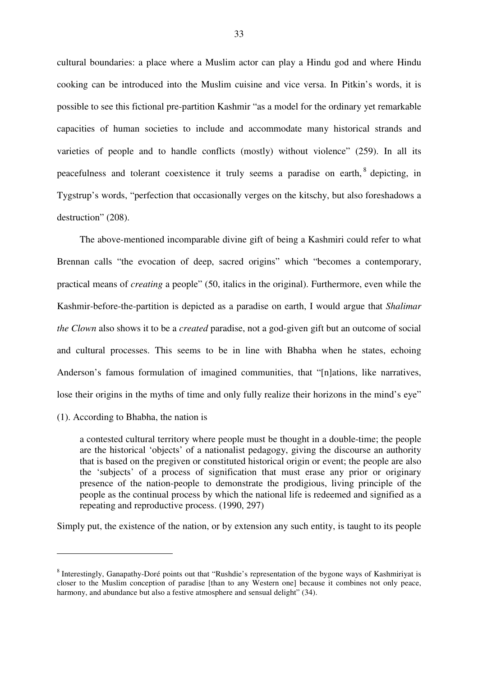cultural boundaries: a place where a Muslim actor can play a Hindu god and where Hindu cooking can be introduced into the Muslim cuisine and vice versa. In Pitkin's words, it is possible to see this fictional pre-partition Kashmir "as a model for the ordinary yet remarkable capacities of human societies to include and accommodate many historical strands and varieties of people and to handle conflicts (mostly) without violence" (259). In all its peacefulness and tolerant coexistence it truly seems a paradise on earth, <sup>8</sup> depicting, in Tygstrup's words, "perfection that occasionally verges on the kitschy, but also foreshadows a destruction" (208).

The above-mentioned incomparable divine gift of being a Kashmiri could refer to what Brennan calls "the evocation of deep, sacred origins" which "becomes a contemporary, practical means of *creating* a people" (50, italics in the original). Furthermore, even while the Kashmir-before-the-partition is depicted as a paradise on earth, I would argue that *Shalimar the Clown* also shows it to be a *created* paradise, not a god-given gift but an outcome of social and cultural processes. This seems to be in line with Bhabha when he states, echoing Anderson's famous formulation of imagined communities, that "[n]ations, like narratives, lose their origins in the myths of time and only fully realize their horizons in the mind's eye"

(1). According to Bhabha, the nation is

a contested cultural territory where people must be thought in a double-time; the people are the historical 'objects' of a nationalist pedagogy, giving the discourse an authority that is based on the pregiven or constituted historical origin or event; the people are also the 'subjects' of a process of signification that must erase any prior or originary presence of the nation-people to demonstrate the prodigious, living principle of the people as the continual process by which the national life is redeemed and signified as a repeating and reproductive process. (1990, 297)

Simply put, the existence of the nation, or by extension any such entity, is taught to its people

<sup>&</sup>lt;sup>8</sup> Interestingly, Ganapathy-Doré points out that "Rushdie's representation of the bygone ways of Kashmiriyat is closer to the Muslim conception of paradise [than to any Western one] because it combines not only peace, harmony, and abundance but also a festive atmosphere and sensual delight" (34).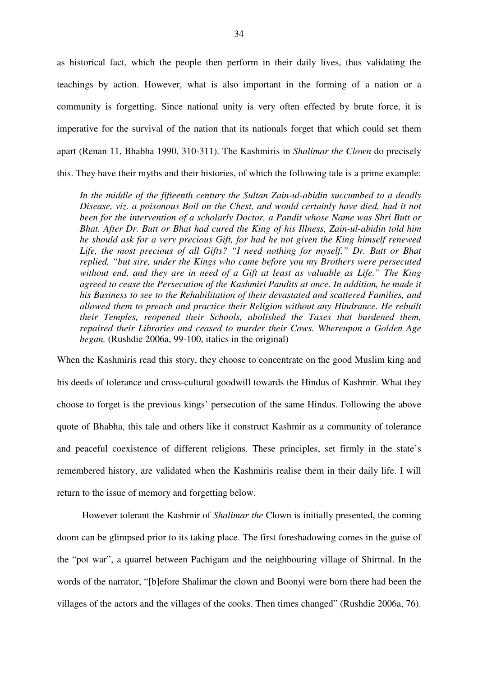as historical fact, which the people then perform in their daily lives, thus validating the teachings by action. However, what is also important in the forming of a nation or a community is forgetting. Since national unity is very often effected by brute force, it is imperative for the survival of the nation that its nationals forget that which could set them apart (Renan 11, Bhabha 1990, 310-311). The Kashmiris in *Shalimar the Clown* do precisely this. They have their myths and their histories, of which the following tale is a prime example:

*In the middle of the fifteenth century the Sultan Zain-ul-abidin succumbed to a deadly Disease, viz. a poisonous Boil on the Chest, and would certainly have died, had it not been for the intervention of a scholarly Doctor, a Pandit whose Name was Shri Butt or Bhat. After Dr. Butt or Bhat had cured the King of his Illness, Zain-ul-abidin told him he should ask for a very precious Gift, for had he not given the King himself renewed Life, the most precious of all Gifts? "I need nothing for myself," Dr. Butt or Bhat replied, "but sire, under the Kings who came before you my Brothers were persecuted without end, and they are in need of a Gift at least as valuable as Life." The King agreed to cease the Persecution of the Kashmiri Pandits at once. In addition, he made it his Business to see to the Rehabilitation of their devastated and scattered Families, and allowed them to preach and practice their Religion without any Hindrance. He rebuilt their Temples, reopened their Schools, abolished the Taxes that burdened them, repaired their Libraries and ceased to murder their Cows. Whereupon a Golden Age began.* (Rushdie 2006a, 99-100, italics in the original)

When the Kashmiris read this story, they choose to concentrate on the good Muslim king and his deeds of tolerance and cross-cultural goodwill towards the Hindus of Kashmir. What they choose to forget is the previous kings' persecution of the same Hindus. Following the above quote of Bhabha, this tale and others like it construct Kashmir as a community of tolerance and peaceful coexistence of different religions. These principles, set firmly in the state's remembered history, are validated when the Kashmiris realise them in their daily life. I will return to the issue of memory and forgetting below.

However tolerant the Kashmir of *Shalimar the* Clown is initially presented, the coming doom can be glimpsed prior to its taking place. The first foreshadowing comes in the guise of the "pot war", a quarrel between Pachigam and the neighbouring village of Shirmal. In the words of the narrator, "[b]efore Shalimar the clown and Boonyi were born there had been the villages of the actors and the villages of the cooks. Then times changed" (Rushdie 2006a, 76).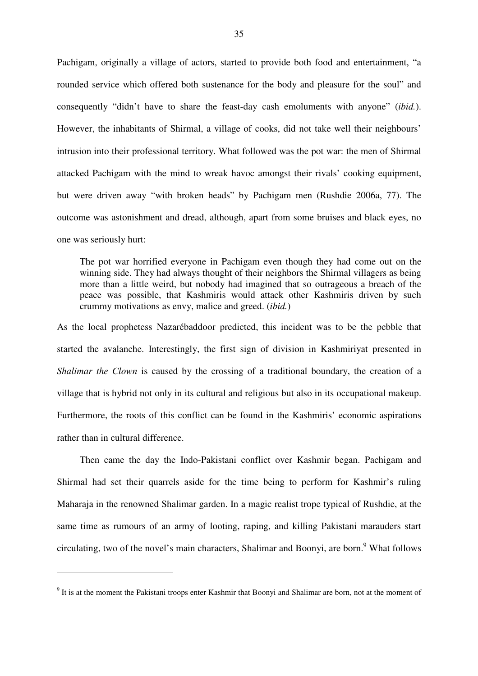Pachigam, originally a village of actors, started to provide both food and entertainment, "a rounded service which offered both sustenance for the body and pleasure for the soul" and consequently "didn't have to share the feast-day cash emoluments with anyone" (*ibid.*). However, the inhabitants of Shirmal, a village of cooks, did not take well their neighbours' intrusion into their professional territory. What followed was the pot war: the men of Shirmal attacked Pachigam with the mind to wreak havoc amongst their rivals' cooking equipment, but were driven away "with broken heads" by Pachigam men (Rushdie 2006a, 77). The outcome was astonishment and dread, although, apart from some bruises and black eyes, no one was seriously hurt:

The pot war horrified everyone in Pachigam even though they had come out on the winning side. They had always thought of their neighbors the Shirmal villagers as being more than a little weird, but nobody had imagined that so outrageous a breach of the peace was possible, that Kashmiris would attack other Kashmiris driven by such crummy motivations as envy, malice and greed. (*ibid.*)

As the local prophetess Nazarébaddoor predicted, this incident was to be the pebble that started the avalanche. Interestingly, the first sign of division in Kashmiriyat presented in *Shalimar the Clown* is caused by the crossing of a traditional boundary, the creation of a village that is hybrid not only in its cultural and religious but also in its occupational makeup. Furthermore, the roots of this conflict can be found in the Kashmiris' economic aspirations rather than in cultural difference.

Then came the day the Indo-Pakistani conflict over Kashmir began. Pachigam and Shirmal had set their quarrels aside for the time being to perform for Kashmir's ruling Maharaja in the renowned Shalimar garden. In a magic realist trope typical of Rushdie, at the same time as rumours of an army of looting, raping, and killing Pakistani marauders start circulating, two of the novel's main characters, Shalimar and Boonyi, are born.<sup>9</sup> What follows

<sup>&</sup>lt;sup>9</sup> It is at the moment the Pakistani troops enter Kashmir that Boonyi and Shalimar are born, not at the moment of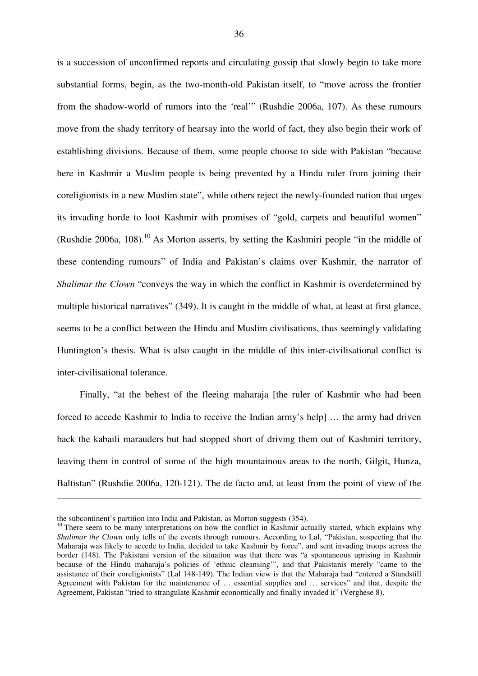is a succession of unconfirmed reports and circulating gossip that slowly begin to take more substantial forms, begin, as the two-month-old Pakistan itself, to "move across the frontier from the shadow-world of rumors into the 'real'" (Rushdie 2006a, 107). As these rumours move from the shady territory of hearsay into the world of fact, they also begin their work of establishing divisions. Because of them, some people choose to side with Pakistan "because here in Kashmir a Muslim people is being prevented by a Hindu ruler from joining their coreligionists in a new Muslim state", while others reject the newly-founded nation that urges its invading horde to loot Kashmir with promises of "gold, carpets and beautiful women" (Rushdie 2006a, 108).<sup>10</sup> As Morton asserts, by setting the Kashmiri people "in the middle of these contending rumours" of India and Pakistan's claims over Kashmir, the narrator of *Shalimar the Clown* "conveys the way in which the conflict in Kashmir is overdetermined by multiple historical narratives" (349). It is caught in the middle of what, at least at first glance, seems to be a conflict between the Hindu and Muslim civilisations, thus seemingly validating Huntington's thesis. What is also caught in the middle of this inter-civilisational conflict is inter-civilisational tolerance.

Finally, "at the behest of the fleeing maharaja [the ruler of Kashmir who had been forced to accede Kashmir to India to receive the Indian army's help] … the army had driven back the kabaili marauders but had stopped short of driving them out of Kashmiri territory, leaving them in control of some of the high mountainous areas to the north, Gilgit, Hunza, Baltistan" (Rushdie 2006a, 120-121). The de facto and, at least from the point of view of the

the subcontinent's partition into India and Pakistan, as Morton suggests (354).

<sup>&</sup>lt;sup>10</sup> There seem to be many interpretations on how the conflict in Kashmir actually started, which explains why *Shalimar the Clown* only tells of the events through rumours. According to Lal, "Pakistan, suspecting that the Maharaja was likely to accede to India, decided to take Kashmir by force", and sent invading troops across the border (148). The Pakistani version of the situation was that there was "a spontaneous uprising in Kashmir because of the Hindu maharaja's policies of 'ethnic cleansing'", and that Pakistanis merely "came to the assistance of their coreligionists" (Lal 148-149). The Indian view is that the Maharaja had "entered a Standstill Agreement with Pakistan for the maintenance of … essential supplies and … services" and that, despite the Agreement, Pakistan "tried to strangulate Kashmir economically and finally invaded it" (Verghese 8).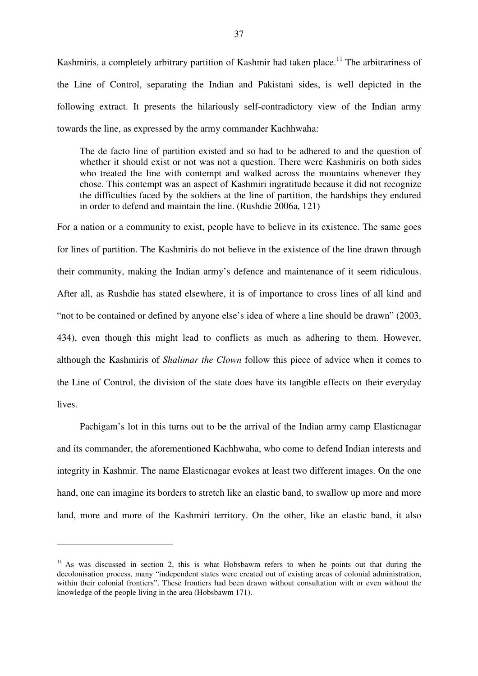Kashmiris, a completely arbitrary partition of Kashmir had taken place.<sup>11</sup> The arbitrariness of the Line of Control, separating the Indian and Pakistani sides, is well depicted in the following extract. It presents the hilariously self-contradictory view of the Indian army towards the line, as expressed by the army commander Kachhwaha:

The de facto line of partition existed and so had to be adhered to and the question of whether it should exist or not was not a question. There were Kashmiris on both sides who treated the line with contempt and walked across the mountains whenever they chose. This contempt was an aspect of Kashmiri ingratitude because it did not recognize the difficulties faced by the soldiers at the line of partition, the hardships they endured in order to defend and maintain the line. (Rushdie 2006a, 121)

For a nation or a community to exist, people have to believe in its existence. The same goes for lines of partition. The Kashmiris do not believe in the existence of the line drawn through their community, making the Indian army's defence and maintenance of it seem ridiculous. After all, as Rushdie has stated elsewhere, it is of importance to cross lines of all kind and "not to be contained or defined by anyone else's idea of where a line should be drawn" (2003, 434), even though this might lead to conflicts as much as adhering to them. However, although the Kashmiris of *Shalimar the Clown* follow this piece of advice when it comes to the Line of Control, the division of the state does have its tangible effects on their everyday lives.

Pachigam's lot in this turns out to be the arrival of the Indian army camp Elasticnagar and its commander, the aforementioned Kachhwaha, who come to defend Indian interests and integrity in Kashmir. The name Elasticnagar evokes at least two different images. On the one hand, one can imagine its borders to stretch like an elastic band, to swallow up more and more land, more and more of the Kashmiri territory. On the other, like an elastic band, it also

 $11$  As was discussed in section 2, this is what Hobsbawm refers to when he points out that during the decolonisation process, many "independent states were created out of existing areas of colonial administration, within their colonial frontiers". These frontiers had been drawn without consultation with or even without the knowledge of the people living in the area (Hobsbawm 171).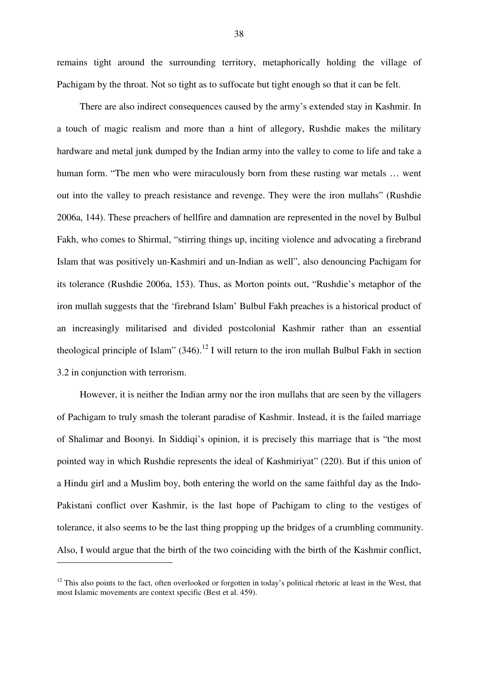remains tight around the surrounding territory, metaphorically holding the village of Pachigam by the throat. Not so tight as to suffocate but tight enough so that it can be felt.

There are also indirect consequences caused by the army's extended stay in Kashmir. In a touch of magic realism and more than a hint of allegory, Rushdie makes the military hardware and metal junk dumped by the Indian army into the valley to come to life and take a human form. "The men who were miraculously born from these rusting war metals … went out into the valley to preach resistance and revenge. They were the iron mullahs" (Rushdie 2006a, 144). These preachers of hellfire and damnation are represented in the novel by Bulbul Fakh, who comes to Shirmal, "stirring things up, inciting violence and advocating a firebrand Islam that was positively un-Kashmiri and un-Indian as well", also denouncing Pachigam for its tolerance (Rushdie 2006a, 153). Thus, as Morton points out, "Rushdie's metaphor of the iron mullah suggests that the 'firebrand Islam' Bulbul Fakh preaches is a historical product of an increasingly militarised and divided postcolonial Kashmir rather than an essential theological principle of Islam" (346).<sup>12</sup> I will return to the iron mullah Bulbul Fakh in section 3.2 in conjunction with terrorism.

However, it is neither the Indian army nor the iron mullahs that are seen by the villagers of Pachigam to truly smash the tolerant paradise of Kashmir. Instead, it is the failed marriage of Shalimar and Boonyi. In Siddiqi's opinion, it is precisely this marriage that is "the most pointed way in which Rushdie represents the ideal of Kashmiriyat" (220). But if this union of a Hindu girl and a Muslim boy, both entering the world on the same faithful day as the Indo-Pakistani conflict over Kashmir, is the last hope of Pachigam to cling to the vestiges of tolerance, it also seems to be the last thing propping up the bridges of a crumbling community. Also, I would argue that the birth of the two coinciding with the birth of the Kashmir conflict,

 $12$  This also points to the fact, often overlooked or forgotten in today's political rhetoric at least in the West, that most Islamic movements are context specific (Best et al. 459).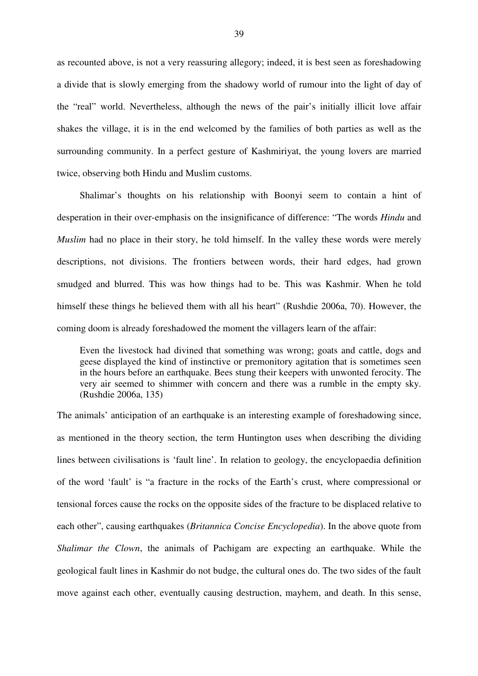as recounted above, is not a very reassuring allegory; indeed, it is best seen as foreshadowing a divide that is slowly emerging from the shadowy world of rumour into the light of day of the "real" world. Nevertheless, although the news of the pair's initially illicit love affair shakes the village, it is in the end welcomed by the families of both parties as well as the surrounding community. In a perfect gesture of Kashmiriyat, the young lovers are married twice, observing both Hindu and Muslim customs.

Shalimar's thoughts on his relationship with Boonyi seem to contain a hint of desperation in their over-emphasis on the insignificance of difference: "The words *Hindu* and *Muslim* had no place in their story, he told himself. In the valley these words were merely descriptions, not divisions. The frontiers between words, their hard edges, had grown smudged and blurred. This was how things had to be. This was Kashmir. When he told himself these things he believed them with all his heart" (Rushdie 2006a, 70). However, the coming doom is already foreshadowed the moment the villagers learn of the affair:

Even the livestock had divined that something was wrong; goats and cattle, dogs and geese displayed the kind of instinctive or premonitory agitation that is sometimes seen in the hours before an earthquake. Bees stung their keepers with unwonted ferocity. The very air seemed to shimmer with concern and there was a rumble in the empty sky. (Rushdie 2006a, 135)

The animals' anticipation of an earthquake is an interesting example of foreshadowing since, as mentioned in the theory section, the term Huntington uses when describing the dividing lines between civilisations is 'fault line'. In relation to geology, the encyclopaedia definition of the word 'fault' is "a fracture in the rocks of the Earth's crust, where compressional or tensional forces cause the rocks on the opposite sides of the fracture to be displaced relative to each other", causing earthquakes (*Britannica Concise Encyclopedia*). In the above quote from *Shalimar the Clown*, the animals of Pachigam are expecting an earthquake. While the geological fault lines in Kashmir do not budge, the cultural ones do. The two sides of the fault move against each other, eventually causing destruction, mayhem, and death. In this sense,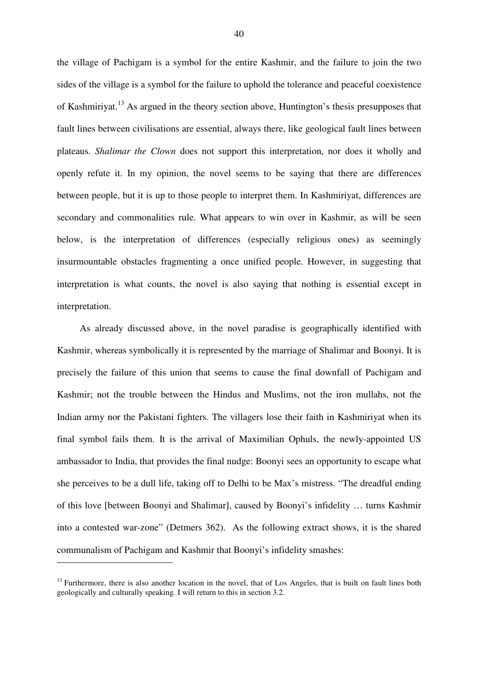the village of Pachigam is a symbol for the entire Kashmir, and the failure to join the two sides of the village is a symbol for the failure to uphold the tolerance and peaceful coexistence of Kashmiriyat.<sup>13</sup> As argued in the theory section above, Huntington's thesis presupposes that fault lines between civilisations are essential, always there, like geological fault lines between plateaus. *Shalimar the Clown* does not support this interpretation, nor does it wholly and openly refute it. In my opinion, the novel seems to be saying that there are differences between people, but it is up to those people to interpret them. In Kashmiriyat, differences are secondary and commonalities rule. What appears to win over in Kashmir, as will be seen below, is the interpretation of differences (especially religious ones) as seemingly insurmountable obstacles fragmenting a once unified people. However, in suggesting that interpretation is what counts, the novel is also saying that nothing is essential except in interpretation.

As already discussed above, in the novel paradise is geographically identified with Kashmir, whereas symbolically it is represented by the marriage of Shalimar and Boonyi. It is precisely the failure of this union that seems to cause the final downfall of Pachigam and Kashmir; not the trouble between the Hindus and Muslims, not the iron mullahs, not the Indian army nor the Pakistani fighters. The villagers lose their faith in Kashmiriyat when its final symbol fails them. It is the arrival of Maximilian Ophuls, the newly-appointed US ambassador to India, that provides the final nudge: Boonyi sees an opportunity to escape what she perceives to be a dull life, taking off to Delhi to be Max's mistress. "The dreadful ending of this love [between Boonyi and Shalimar], caused by Boonyi's infidelity … turns Kashmir into a contested war-zone" (Detmers 362). As the following extract shows, it is the shared communalism of Pachigam and Kashmir that Boonyi's infidelity smashes:

<sup>&</sup>lt;sup>13</sup> Furthermore, there is also another location in the novel, that of Los Angeles, that is built on fault lines both geologically and culturally speaking. I will return to this in section 3.2.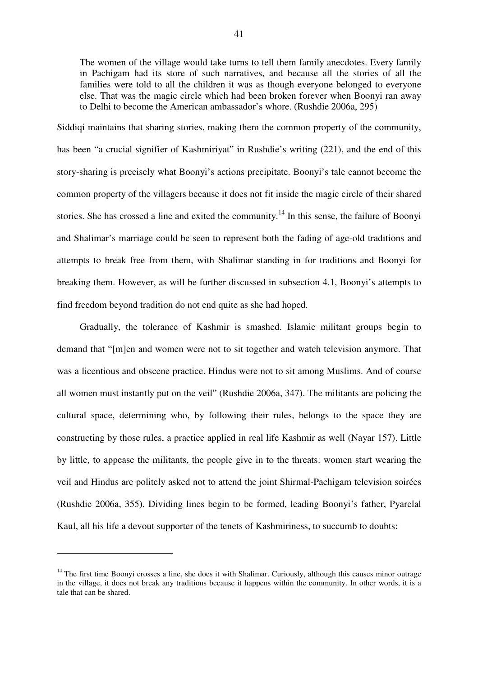The women of the village would take turns to tell them family anecdotes. Every family in Pachigam had its store of such narratives, and because all the stories of all the families were told to all the children it was as though everyone belonged to everyone else. That was the magic circle which had been broken forever when Boonyi ran away to Delhi to become the American ambassador's whore. (Rushdie 2006a, 295)

Siddiqi maintains that sharing stories, making them the common property of the community, has been "a crucial signifier of Kashmiriyat" in Rushdie's writing (221), and the end of this story-sharing is precisely what Boonyi's actions precipitate. Boonyi's tale cannot become the common property of the villagers because it does not fit inside the magic circle of their shared stories. She has crossed a line and exited the community.<sup>14</sup> In this sense, the failure of Boonyi and Shalimar's marriage could be seen to represent both the fading of age-old traditions and attempts to break free from them, with Shalimar standing in for traditions and Boonyi for breaking them. However, as will be further discussed in subsection 4.1, Boonyi's attempts to find freedom beyond tradition do not end quite as she had hoped.

Gradually, the tolerance of Kashmir is smashed. Islamic militant groups begin to demand that "[m]en and women were not to sit together and watch television anymore. That was a licentious and obscene practice. Hindus were not to sit among Muslims. And of course all women must instantly put on the veil" (Rushdie 2006a, 347). The militants are policing the cultural space, determining who, by following their rules, belongs to the space they are constructing by those rules, a practice applied in real life Kashmir as well (Nayar 157). Little by little, to appease the militants, the people give in to the threats: women start wearing the veil and Hindus are politely asked not to attend the joint Shirmal-Pachigam television soirées (Rushdie 2006a, 355). Dividing lines begin to be formed, leading Boonyi's father, Pyarelal Kaul, all his life a devout supporter of the tenets of Kashmiriness, to succumb to doubts:

 $14$  The first time Boonyi crosses a line, she does it with Shalimar. Curiously, although this causes minor outrage in the village, it does not break any traditions because it happens within the community. In other words, it is a tale that can be shared.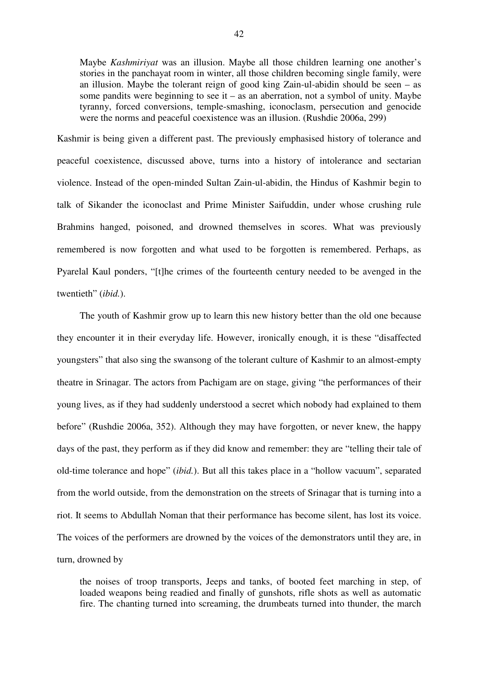Maybe *Kashmiriyat* was an illusion. Maybe all those children learning one another's stories in the panchayat room in winter, all those children becoming single family, were an illusion. Maybe the tolerant reign of good king Zain-ul-abidin should be seen – as some pandits were beginning to see it – as an aberration, not a symbol of unity. Maybe tyranny, forced conversions, temple-smashing, iconoclasm, persecution and genocide were the norms and peaceful coexistence was an illusion. (Rushdie 2006a, 299)

Kashmir is being given a different past. The previously emphasised history of tolerance and peaceful coexistence, discussed above, turns into a history of intolerance and sectarian violence. Instead of the open-minded Sultan Zain-ul-abidin, the Hindus of Kashmir begin to talk of Sikander the iconoclast and Prime Minister Saifuddin, under whose crushing rule Brahmins hanged, poisoned, and drowned themselves in scores. What was previously remembered is now forgotten and what used to be forgotten is remembered. Perhaps, as Pyarelal Kaul ponders, "[t]he crimes of the fourteenth century needed to be avenged in the twentieth" (*ibid.*).

The youth of Kashmir grow up to learn this new history better than the old one because they encounter it in their everyday life. However, ironically enough, it is these "disaffected youngsters" that also sing the swansong of the tolerant culture of Kashmir to an almost-empty theatre in Srinagar. The actors from Pachigam are on stage, giving "the performances of their young lives, as if they had suddenly understood a secret which nobody had explained to them before" (Rushdie 2006a, 352). Although they may have forgotten, or never knew, the happy days of the past, they perform as if they did know and remember: they are "telling their tale of old-time tolerance and hope" (*ibid.*). But all this takes place in a "hollow vacuum", separated from the world outside, from the demonstration on the streets of Srinagar that is turning into a riot. It seems to Abdullah Noman that their performance has become silent, has lost its voice. The voices of the performers are drowned by the voices of the demonstrators until they are, in turn, drowned by

the noises of troop transports, Jeeps and tanks, of booted feet marching in step, of loaded weapons being readied and finally of gunshots, rifle shots as well as automatic fire. The chanting turned into screaming, the drumbeats turned into thunder, the march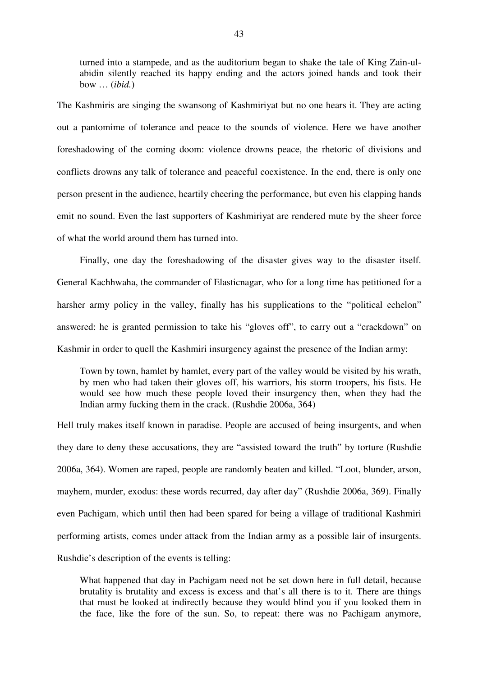turned into a stampede, and as the auditorium began to shake the tale of King Zain-ulabidin silently reached its happy ending and the actors joined hands and took their bow … (*ibid.*)

The Kashmiris are singing the swansong of Kashmiriyat but no one hears it. They are acting out a pantomime of tolerance and peace to the sounds of violence. Here we have another foreshadowing of the coming doom: violence drowns peace, the rhetoric of divisions and conflicts drowns any talk of tolerance and peaceful coexistence. In the end, there is only one person present in the audience, heartily cheering the performance, but even his clapping hands emit no sound. Even the last supporters of Kashmiriyat are rendered mute by the sheer force of what the world around them has turned into.

Finally, one day the foreshadowing of the disaster gives way to the disaster itself. General Kachhwaha, the commander of Elasticnagar, who for a long time has petitioned for a harsher army policy in the valley, finally has his supplications to the "political echelon" answered: he is granted permission to take his "gloves off", to carry out a "crackdown" on Kashmir in order to quell the Kashmiri insurgency against the presence of the Indian army:

Town by town, hamlet by hamlet, every part of the valley would be visited by his wrath, by men who had taken their gloves off, his warriors, his storm troopers, his fists. He would see how much these people loved their insurgency then, when they had the Indian army fucking them in the crack. (Rushdie 2006a, 364)

Hell truly makes itself known in paradise. People are accused of being insurgents, and when they dare to deny these accusations, they are "assisted toward the truth" by torture (Rushdie 2006a, 364). Women are raped, people are randomly beaten and killed. "Loot, blunder, arson, mayhem, murder, exodus: these words recurred, day after day" (Rushdie 2006a, 369). Finally even Pachigam, which until then had been spared for being a village of traditional Kashmiri performing artists, comes under attack from the Indian army as a possible lair of insurgents. Rushdie's description of the events is telling:

What happened that day in Pachigam need not be set down here in full detail, because brutality is brutality and excess is excess and that's all there is to it. There are things that must be looked at indirectly because they would blind you if you looked them in the face, like the fore of the sun. So, to repeat: there was no Pachigam anymore,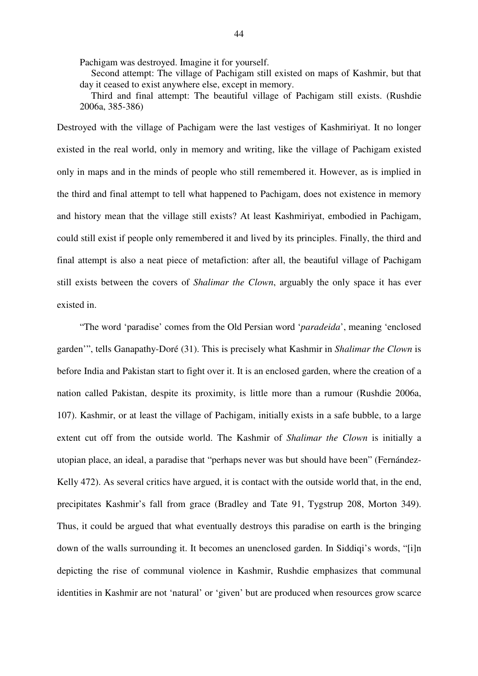Pachigam was destroyed. Imagine it for yourself.

Second attempt: The village of Pachigam still existed on maps of Kashmir, but that day it ceased to exist anywhere else, except in memory.

Third and final attempt: The beautiful village of Pachigam still exists. (Rushdie 2006a, 385-386)

Destroyed with the village of Pachigam were the last vestiges of Kashmiriyat. It no longer existed in the real world, only in memory and writing, like the village of Pachigam existed only in maps and in the minds of people who still remembered it. However, as is implied in the third and final attempt to tell what happened to Pachigam, does not existence in memory and history mean that the village still exists? At least Kashmiriyat, embodied in Pachigam, could still exist if people only remembered it and lived by its principles. Finally, the third and final attempt is also a neat piece of metafiction: after all, the beautiful village of Pachigam still exists between the covers of *Shalimar the Clown*, arguably the only space it has ever existed in.

"The word 'paradise' comes from the Old Persian word '*paradeida*', meaning 'enclosed garden'", tells Ganapathy-Doré (31). This is precisely what Kashmir in *Shalimar the Clown* is before India and Pakistan start to fight over it. It is an enclosed garden, where the creation of a nation called Pakistan, despite its proximity, is little more than a rumour (Rushdie 2006a, 107). Kashmir, or at least the village of Pachigam, initially exists in a safe bubble, to a large extent cut off from the outside world. The Kashmir of *Shalimar the Clown* is initially a utopian place, an ideal, a paradise that "perhaps never was but should have been" (Fernández-Kelly 472). As several critics have argued, it is contact with the outside world that, in the end, precipitates Kashmir's fall from grace (Bradley and Tate 91, Tygstrup 208, Morton 349). Thus, it could be argued that what eventually destroys this paradise on earth is the bringing down of the walls surrounding it. It becomes an unenclosed garden. In Siddiqi's words, "[i]n depicting the rise of communal violence in Kashmir, Rushdie emphasizes that communal identities in Kashmir are not 'natural' or 'given' but are produced when resources grow scarce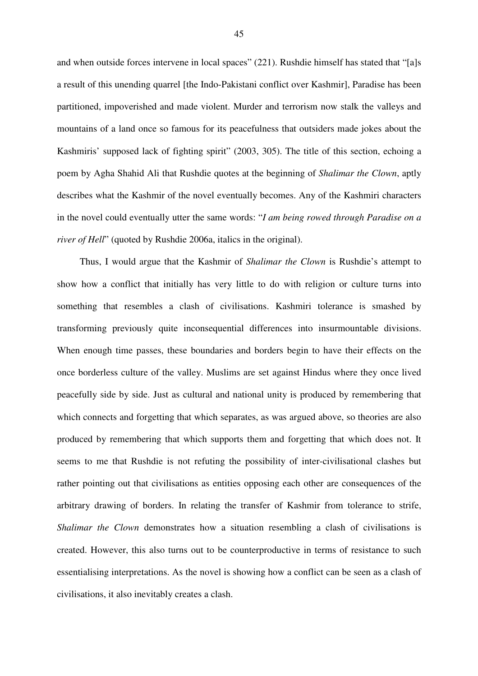and when outside forces intervene in local spaces" (221). Rushdie himself has stated that "[a]s a result of this unending quarrel [the Indo-Pakistani conflict over Kashmir], Paradise has been partitioned, impoverished and made violent. Murder and terrorism now stalk the valleys and mountains of a land once so famous for its peacefulness that outsiders made jokes about the Kashmiris' supposed lack of fighting spirit" (2003, 305). The title of this section, echoing a poem by Agha Shahid Ali that Rushdie quotes at the beginning of *Shalimar the Clown*, aptly describes what the Kashmir of the novel eventually becomes. Any of the Kashmiri characters in the novel could eventually utter the same words: "*I am being rowed through Paradise on a river of Hell*" (quoted by Rushdie 2006a, italics in the original).

Thus, I would argue that the Kashmir of *Shalimar the Clown* is Rushdie's attempt to show how a conflict that initially has very little to do with religion or culture turns into something that resembles a clash of civilisations. Kashmiri tolerance is smashed by transforming previously quite inconsequential differences into insurmountable divisions. When enough time passes, these boundaries and borders begin to have their effects on the once borderless culture of the valley. Muslims are set against Hindus where they once lived peacefully side by side. Just as cultural and national unity is produced by remembering that which connects and forgetting that which separates, as was argued above, so theories are also produced by remembering that which supports them and forgetting that which does not. It seems to me that Rushdie is not refuting the possibility of inter-civilisational clashes but rather pointing out that civilisations as entities opposing each other are consequences of the arbitrary drawing of borders. In relating the transfer of Kashmir from tolerance to strife, *Shalimar the Clown* demonstrates how a situation resembling a clash of civilisations is created. However, this also turns out to be counterproductive in terms of resistance to such essentialising interpretations. As the novel is showing how a conflict can be seen as a clash of civilisations, it also inevitably creates a clash.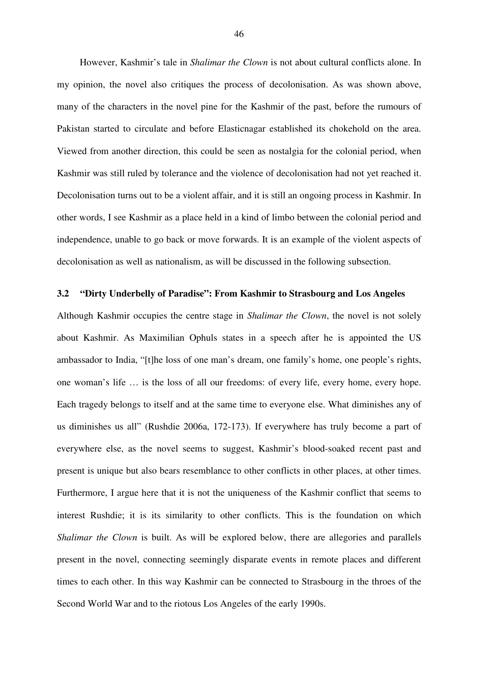However, Kashmir's tale in *Shalimar the Clown* is not about cultural conflicts alone. In my opinion, the novel also critiques the process of decolonisation. As was shown above, many of the characters in the novel pine for the Kashmir of the past, before the rumours of Pakistan started to circulate and before Elasticnagar established its chokehold on the area. Viewed from another direction, this could be seen as nostalgia for the colonial period, when Kashmir was still ruled by tolerance and the violence of decolonisation had not yet reached it. Decolonisation turns out to be a violent affair, and it is still an ongoing process in Kashmir. In other words, I see Kashmir as a place held in a kind of limbo between the colonial period and independence, unable to go back or move forwards. It is an example of the violent aspects of decolonisation as well as nationalism, as will be discussed in the following subsection.

## **3.2 "Dirty Underbelly of Paradise": From Kashmir to Strasbourg and Los Angeles**

Although Kashmir occupies the centre stage in *Shalimar the Clown*, the novel is not solely about Kashmir. As Maximilian Ophuls states in a speech after he is appointed the US ambassador to India, "[t]he loss of one man's dream, one family's home, one people's rights, one woman's life … is the loss of all our freedoms: of every life, every home, every hope. Each tragedy belongs to itself and at the same time to everyone else. What diminishes any of us diminishes us all" (Rushdie 2006a, 172-173). If everywhere has truly become a part of everywhere else, as the novel seems to suggest, Kashmir's blood-soaked recent past and present is unique but also bears resemblance to other conflicts in other places, at other times. Furthermore, I argue here that it is not the uniqueness of the Kashmir conflict that seems to interest Rushdie; it is its similarity to other conflicts. This is the foundation on which *Shalimar the Clown* is built. As will be explored below, there are allegories and parallels present in the novel, connecting seemingly disparate events in remote places and different times to each other. In this way Kashmir can be connected to Strasbourg in the throes of the Second World War and to the riotous Los Angeles of the early 1990s.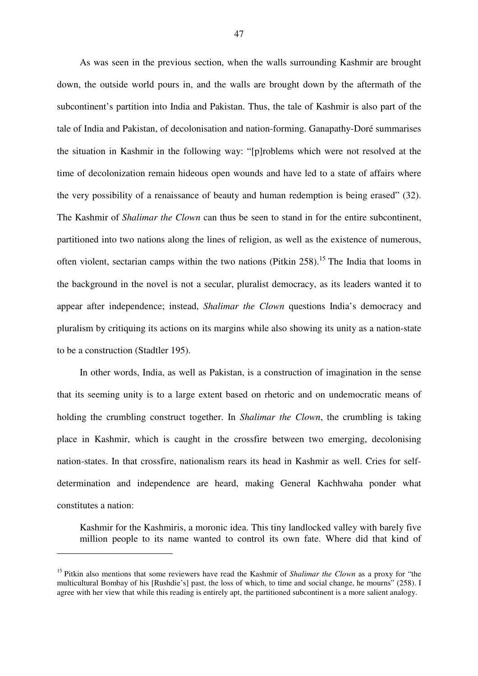As was seen in the previous section, when the walls surrounding Kashmir are brought down, the outside world pours in, and the walls are brought down by the aftermath of the subcontinent's partition into India and Pakistan. Thus, the tale of Kashmir is also part of the tale of India and Pakistan, of decolonisation and nation-forming. Ganapathy-Doré summarises the situation in Kashmir in the following way: "[p]roblems which were not resolved at the time of decolonization remain hideous open wounds and have led to a state of affairs where the very possibility of a renaissance of beauty and human redemption is being erased" (32). The Kashmir of *Shalimar the Clown* can thus be seen to stand in for the entire subcontinent, partitioned into two nations along the lines of religion, as well as the existence of numerous, often violent, sectarian camps within the two nations (Pitkin 258).<sup>15</sup> The India that looms in the background in the novel is not a secular, pluralist democracy, as its leaders wanted it to appear after independence; instead, *Shalimar the Clown* questions India's democracy and pluralism by critiquing its actions on its margins while also showing its unity as a nation-state to be a construction (Stadtler 195).

In other words, India, as well as Pakistan, is a construction of imagination in the sense that its seeming unity is to a large extent based on rhetoric and on undemocratic means of holding the crumbling construct together. In *Shalimar the Clown*, the crumbling is taking place in Kashmir, which is caught in the crossfire between two emerging, decolonising nation-states. In that crossfire, nationalism rears its head in Kashmir as well. Cries for selfdetermination and independence are heard, making General Kachhwaha ponder what constitutes a nation:

Kashmir for the Kashmiris, a moronic idea. This tiny landlocked valley with barely five million people to its name wanted to control its own fate. Where did that kind of

<sup>15</sup> Pitkin also mentions that some reviewers have read the Kashmir of *Shalimar the Clown* as a proxy for "the multicultural Bombay of his [Rushdie's] past, the loss of which, to time and social change, he mourns" (258). I agree with her view that while this reading is entirely apt, the partitioned subcontinent is a more salient analogy.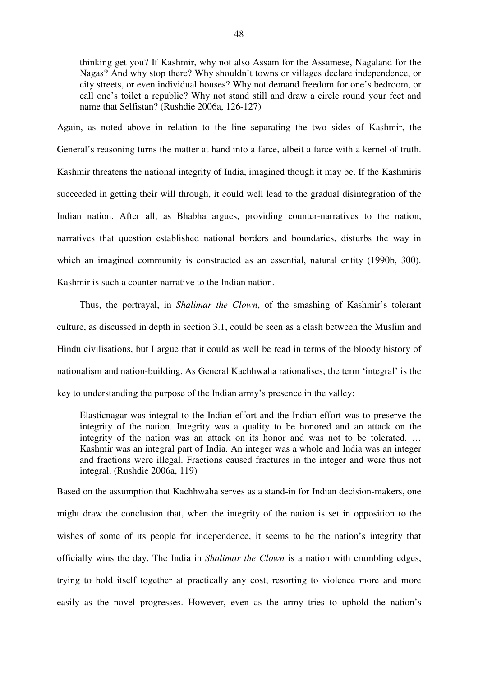thinking get you? If Kashmir, why not also Assam for the Assamese, Nagaland for the Nagas? And why stop there? Why shouldn't towns or villages declare independence, or city streets, or even individual houses? Why not demand freedom for one's bedroom, or call one's toilet a republic? Why not stand still and draw a circle round your feet and name that Selfistan? (Rushdie 2006a, 126-127)

Again, as noted above in relation to the line separating the two sides of Kashmir, the General's reasoning turns the matter at hand into a farce, albeit a farce with a kernel of truth. Kashmir threatens the national integrity of India, imagined though it may be. If the Kashmiris succeeded in getting their will through, it could well lead to the gradual disintegration of the Indian nation. After all, as Bhabha argues, providing counter-narratives to the nation, narratives that question established national borders and boundaries, disturbs the way in which an imagined community is constructed as an essential, natural entity (1990b, 300). Kashmir is such a counter-narrative to the Indian nation.

Thus, the portrayal, in *Shalimar the Clown*, of the smashing of Kashmir's tolerant culture, as discussed in depth in section 3.1, could be seen as a clash between the Muslim and Hindu civilisations, but I argue that it could as well be read in terms of the bloody history of nationalism and nation-building. As General Kachhwaha rationalises, the term 'integral' is the key to understanding the purpose of the Indian army's presence in the valley:

Elasticnagar was integral to the Indian effort and the Indian effort was to preserve the integrity of the nation. Integrity was a quality to be honored and an attack on the integrity of the nation was an attack on its honor and was not to be tolerated. … Kashmir was an integral part of India. An integer was a whole and India was an integer and fractions were illegal. Fractions caused fractures in the integer and were thus not integral. (Rushdie 2006a, 119)

Based on the assumption that Kachhwaha serves as a stand-in for Indian decision-makers, one might draw the conclusion that, when the integrity of the nation is set in opposition to the wishes of some of its people for independence, it seems to be the nation's integrity that officially wins the day. The India in *Shalimar the Clown* is a nation with crumbling edges, trying to hold itself together at practically any cost, resorting to violence more and more easily as the novel progresses. However, even as the army tries to uphold the nation's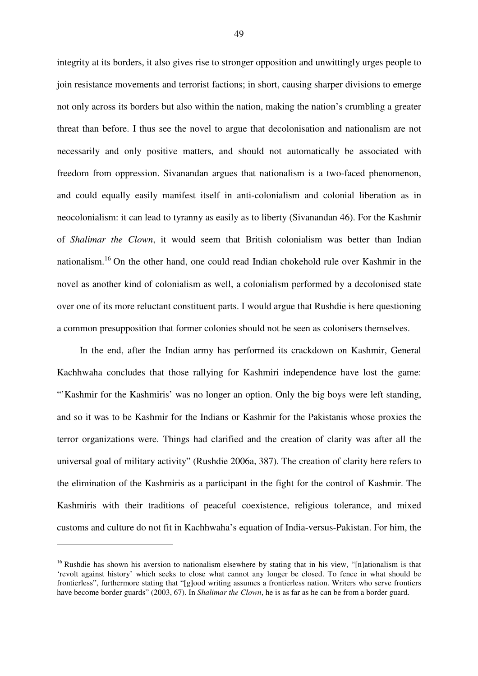integrity at its borders, it also gives rise to stronger opposition and unwittingly urges people to join resistance movements and terrorist factions; in short, causing sharper divisions to emerge not only across its borders but also within the nation, making the nation's crumbling a greater threat than before. I thus see the novel to argue that decolonisation and nationalism are not necessarily and only positive matters, and should not automatically be associated with freedom from oppression. Sivanandan argues that nationalism is a two-faced phenomenon, and could equally easily manifest itself in anti-colonialism and colonial liberation as in neocolonialism: it can lead to tyranny as easily as to liberty (Sivanandan 46). For the Kashmir of *Shalimar the Clown*, it would seem that British colonialism was better than Indian nationalism.<sup>16</sup> On the other hand, one could read Indian chokehold rule over Kashmir in the novel as another kind of colonialism as well, a colonialism performed by a decolonised state over one of its more reluctant constituent parts. I would argue that Rushdie is here questioning a common presupposition that former colonies should not be seen as colonisers themselves.

In the end, after the Indian army has performed its crackdown on Kashmir, General Kachhwaha concludes that those rallying for Kashmiri independence have lost the game: "'Kashmir for the Kashmiris' was no longer an option. Only the big boys were left standing, and so it was to be Kashmir for the Indians or Kashmir for the Pakistanis whose proxies the terror organizations were. Things had clarified and the creation of clarity was after all the universal goal of military activity" (Rushdie 2006a, 387). The creation of clarity here refers to the elimination of the Kashmiris as a participant in the fight for the control of Kashmir. The Kashmiris with their traditions of peaceful coexistence, religious tolerance, and mixed customs and culture do not fit in Kachhwaha's equation of India-versus-Pakistan. For him, the

<sup>&</sup>lt;sup>16</sup> Rushdie has shown his aversion to nationalism elsewhere by stating that in his view, "[n]ationalism is that 'revolt against history' which seeks to close what cannot any longer be closed. To fence in what should be frontierless", furthermore stating that "[g]ood writing assumes a frontierless nation. Writers who serve frontiers have become border guards" (2003, 67). In *Shalimar the Clown*, he is as far as he can be from a border guard.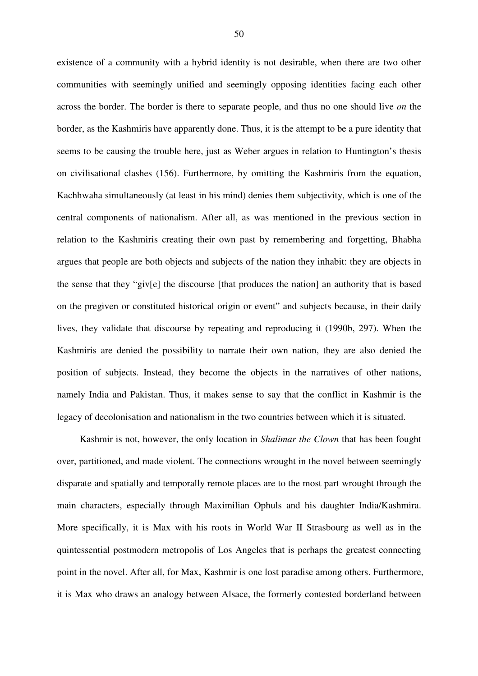existence of a community with a hybrid identity is not desirable, when there are two other communities with seemingly unified and seemingly opposing identities facing each other across the border. The border is there to separate people, and thus no one should live *on* the border, as the Kashmiris have apparently done. Thus, it is the attempt to be a pure identity that seems to be causing the trouble here, just as Weber argues in relation to Huntington's thesis on civilisational clashes (156). Furthermore, by omitting the Kashmiris from the equation, Kachhwaha simultaneously (at least in his mind) denies them subjectivity, which is one of the central components of nationalism. After all, as was mentioned in the previous section in relation to the Kashmiris creating their own past by remembering and forgetting, Bhabha argues that people are both objects and subjects of the nation they inhabit: they are objects in the sense that they "giv[e] the discourse [that produces the nation] an authority that is based on the pregiven or constituted historical origin or event" and subjects because, in their daily lives, they validate that discourse by repeating and reproducing it (1990b, 297). When the Kashmiris are denied the possibility to narrate their own nation, they are also denied the position of subjects. Instead, they become the objects in the narratives of other nations, namely India and Pakistan. Thus, it makes sense to say that the conflict in Kashmir is the legacy of decolonisation and nationalism in the two countries between which it is situated.

Kashmir is not, however, the only location in *Shalimar the Clown* that has been fought over, partitioned, and made violent. The connections wrought in the novel between seemingly disparate and spatially and temporally remote places are to the most part wrought through the main characters, especially through Maximilian Ophuls and his daughter India/Kashmira. More specifically, it is Max with his roots in World War II Strasbourg as well as in the quintessential postmodern metropolis of Los Angeles that is perhaps the greatest connecting point in the novel. After all, for Max, Kashmir is one lost paradise among others. Furthermore, it is Max who draws an analogy between Alsace, the formerly contested borderland between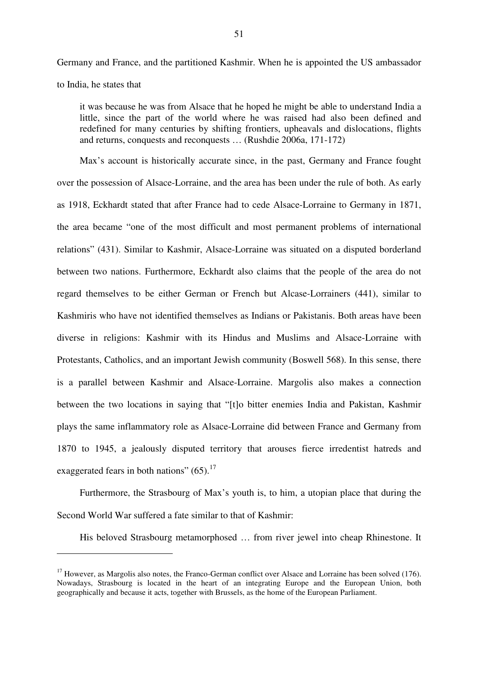Germany and France, and the partitioned Kashmir. When he is appointed the US ambassador to India, he states that

it was because he was from Alsace that he hoped he might be able to understand India a little, since the part of the world where he was raised had also been defined and redefined for many centuries by shifting frontiers, upheavals and dislocations, flights and returns, conquests and reconquests … (Rushdie 2006a, 171-172)

Max's account is historically accurate since, in the past, Germany and France fought over the possession of Alsace-Lorraine, and the area has been under the rule of both. As early as 1918, Eckhardt stated that after France had to cede Alsace-Lorraine to Germany in 1871, the area became "one of the most difficult and most permanent problems of international relations" (431). Similar to Kashmir, Alsace-Lorraine was situated on a disputed borderland between two nations. Furthermore, Eckhardt also claims that the people of the area do not regard themselves to be either German or French but Alcase-Lorrainers (441), similar to Kashmiris who have not identified themselves as Indians or Pakistanis. Both areas have been diverse in religions: Kashmir with its Hindus and Muslims and Alsace-Lorraine with Protestants, Catholics, and an important Jewish community (Boswell 568). In this sense, there is a parallel between Kashmir and Alsace-Lorraine. Margolis also makes a connection between the two locations in saying that "[t]o bitter enemies India and Pakistan, Kashmir plays the same inflammatory role as Alsace-Lorraine did between France and Germany from 1870 to 1945, a jealously disputed territory that arouses fierce irredentist hatreds and exaggerated fears in both nations"  $(65)$ .<sup>17</sup>

Furthermore, the Strasbourg of Max's youth is, to him, a utopian place that during the Second World War suffered a fate similar to that of Kashmir:

His beloved Strasbourg metamorphosed … from river jewel into cheap Rhinestone. It

<sup>&</sup>lt;sup>17</sup> However, as Margolis also notes, the Franco-German conflict over Alsace and Lorraine has been solved (176). Nowadays, Strasbourg is located in the heart of an integrating Europe and the European Union, both geographically and because it acts, together with Brussels, as the home of the European Parliament.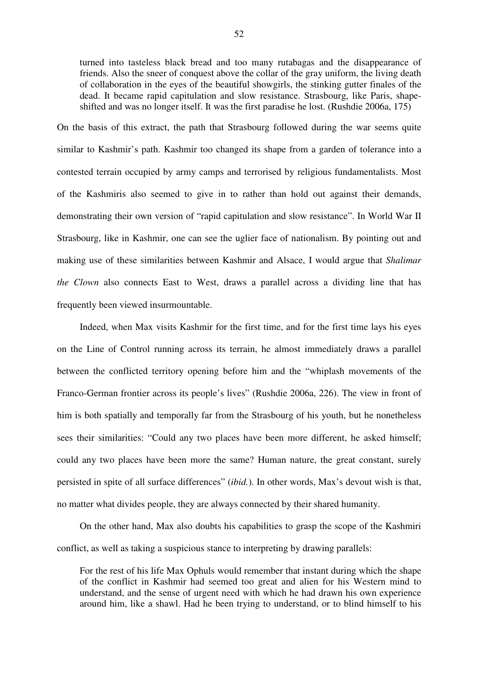turned into tasteless black bread and too many rutabagas and the disappearance of friends. Also the sneer of conquest above the collar of the gray uniform, the living death of collaboration in the eyes of the beautiful showgirls, the stinking gutter finales of the dead. It became rapid capitulation and slow resistance. Strasbourg, like Paris, shapeshifted and was no longer itself. It was the first paradise he lost. (Rushdie 2006a, 175)

On the basis of this extract, the path that Strasbourg followed during the war seems quite similar to Kashmir's path. Kashmir too changed its shape from a garden of tolerance into a contested terrain occupied by army camps and terrorised by religious fundamentalists. Most of the Kashmiris also seemed to give in to rather than hold out against their demands, demonstrating their own version of "rapid capitulation and slow resistance". In World War II Strasbourg, like in Kashmir, one can see the uglier face of nationalism. By pointing out and making use of these similarities between Kashmir and Alsace, I would argue that *Shalimar the Clown* also connects East to West, draws a parallel across a dividing line that has frequently been viewed insurmountable.

Indeed, when Max visits Kashmir for the first time, and for the first time lays his eyes on the Line of Control running across its terrain, he almost immediately draws a parallel between the conflicted territory opening before him and the "whiplash movements of the Franco-German frontier across its people's lives" (Rushdie 2006a, 226). The view in front of him is both spatially and temporally far from the Strasbourg of his youth, but he nonetheless sees their similarities: "Could any two places have been more different, he asked himself; could any two places have been more the same? Human nature, the great constant, surely persisted in spite of all surface differences" (*ibid.*). In other words, Max's devout wish is that, no matter what divides people, they are always connected by their shared humanity.

On the other hand, Max also doubts his capabilities to grasp the scope of the Kashmiri conflict, as well as taking a suspicious stance to interpreting by drawing parallels:

For the rest of his life Max Ophuls would remember that instant during which the shape of the conflict in Kashmir had seemed too great and alien for his Western mind to understand, and the sense of urgent need with which he had drawn his own experience around him, like a shawl. Had he been trying to understand, or to blind himself to his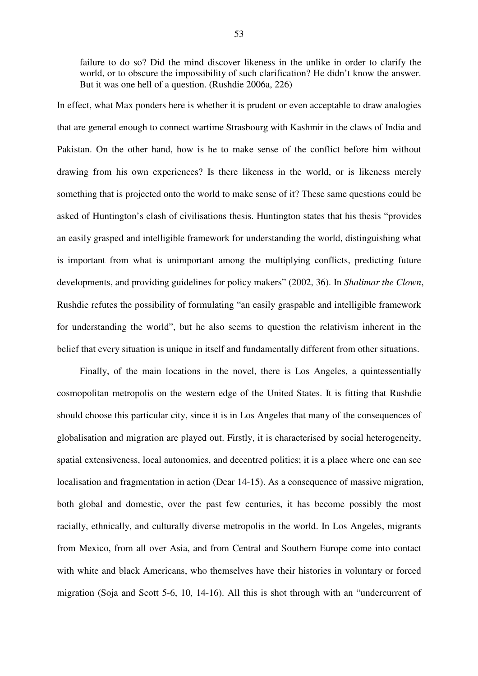failure to do so? Did the mind discover likeness in the unlike in order to clarify the world, or to obscure the impossibility of such clarification? He didn't know the answer. But it was one hell of a question. (Rushdie 2006a, 226)

In effect, what Max ponders here is whether it is prudent or even acceptable to draw analogies that are general enough to connect wartime Strasbourg with Kashmir in the claws of India and Pakistan. On the other hand, how is he to make sense of the conflict before him without drawing from his own experiences? Is there likeness in the world, or is likeness merely something that is projected onto the world to make sense of it? These same questions could be asked of Huntington's clash of civilisations thesis. Huntington states that his thesis "provides an easily grasped and intelligible framework for understanding the world, distinguishing what is important from what is unimportant among the multiplying conflicts, predicting future developments, and providing guidelines for policy makers" (2002, 36). In *Shalimar the Clown*, Rushdie refutes the possibility of formulating "an easily graspable and intelligible framework for understanding the world", but he also seems to question the relativism inherent in the belief that every situation is unique in itself and fundamentally different from other situations.

Finally, of the main locations in the novel, there is Los Angeles, a quintessentially cosmopolitan metropolis on the western edge of the United States. It is fitting that Rushdie should choose this particular city, since it is in Los Angeles that many of the consequences of globalisation and migration are played out. Firstly, it is characterised by social heterogeneity, spatial extensiveness, local autonomies, and decentred politics; it is a place where one can see localisation and fragmentation in action (Dear 14-15). As a consequence of massive migration, both global and domestic, over the past few centuries, it has become possibly the most racially, ethnically, and culturally diverse metropolis in the world. In Los Angeles, migrants from Mexico, from all over Asia, and from Central and Southern Europe come into contact with white and black Americans, who themselves have their histories in voluntary or forced migration (Soja and Scott 5-6, 10, 14-16). All this is shot through with an "undercurrent of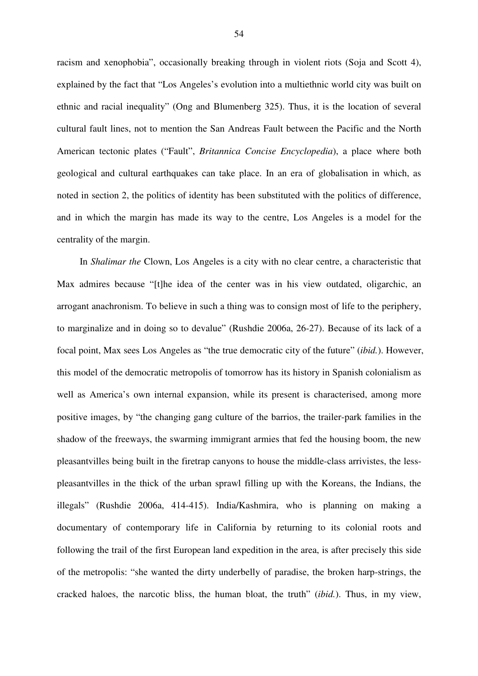racism and xenophobia", occasionally breaking through in violent riots (Soja and Scott 4), explained by the fact that "Los Angeles's evolution into a multiethnic world city was built on ethnic and racial inequality" (Ong and Blumenberg 325). Thus, it is the location of several cultural fault lines, not to mention the San Andreas Fault between the Pacific and the North American tectonic plates ("Fault", *Britannica Concise Encyclopedia*), a place where both geological and cultural earthquakes can take place. In an era of globalisation in which, as noted in section 2, the politics of identity has been substituted with the politics of difference, and in which the margin has made its way to the centre, Los Angeles is a model for the centrality of the margin.

In *Shalimar the* Clown, Los Angeles is a city with no clear centre, a characteristic that Max admires because "[t]he idea of the center was in his view outdated, oligarchic, an arrogant anachronism. To believe in such a thing was to consign most of life to the periphery, to marginalize and in doing so to devalue" (Rushdie 2006a, 26-27). Because of its lack of a focal point, Max sees Los Angeles as "the true democratic city of the future" (*ibid.*). However, this model of the democratic metropolis of tomorrow has its history in Spanish colonialism as well as America's own internal expansion, while its present is characterised, among more positive images, by "the changing gang culture of the barrios, the trailer-park families in the shadow of the freeways, the swarming immigrant armies that fed the housing boom, the new pleasantvilles being built in the firetrap canyons to house the middle-class arrivistes, the lesspleasantvilles in the thick of the urban sprawl filling up with the Koreans, the Indians, the illegals" (Rushdie 2006a, 414-415). India/Kashmira, who is planning on making a documentary of contemporary life in California by returning to its colonial roots and following the trail of the first European land expedition in the area, is after precisely this side of the metropolis: "she wanted the dirty underbelly of paradise, the broken harp-strings, the cracked haloes, the narcotic bliss, the human bloat, the truth" (*ibid.*). Thus, in my view,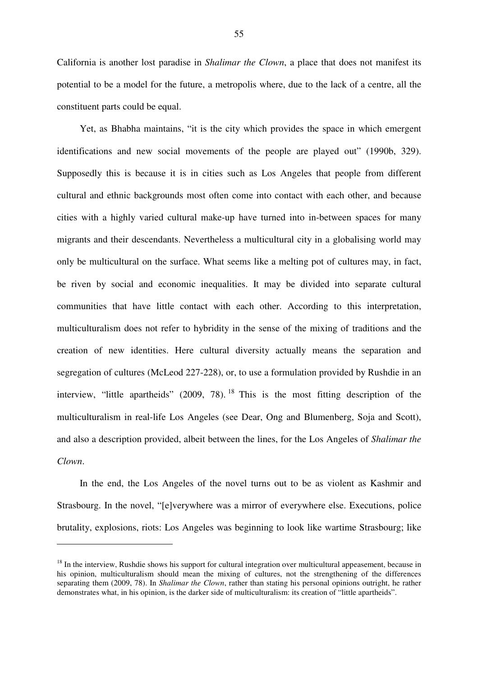California is another lost paradise in *Shalimar the Clown*, a place that does not manifest its potential to be a model for the future, a metropolis where, due to the lack of a centre, all the constituent parts could be equal.

Yet, as Bhabha maintains, "it is the city which provides the space in which emergent identifications and new social movements of the people are played out" (1990b, 329). Supposedly this is because it is in cities such as Los Angeles that people from different cultural and ethnic backgrounds most often come into contact with each other, and because cities with a highly varied cultural make-up have turned into in-between spaces for many migrants and their descendants. Nevertheless a multicultural city in a globalising world may only be multicultural on the surface. What seems like a melting pot of cultures may, in fact, be riven by social and economic inequalities. It may be divided into separate cultural communities that have little contact with each other. According to this interpretation, multiculturalism does not refer to hybridity in the sense of the mixing of traditions and the creation of new identities. Here cultural diversity actually means the separation and segregation of cultures (McLeod 227-228), or, to use a formulation provided by Rushdie in an interview, "little apartheids" (2009, 78).<sup>18</sup> This is the most fitting description of the multiculturalism in real-life Los Angeles (see Dear, Ong and Blumenberg, Soja and Scott), and also a description provided, albeit between the lines, for the Los Angeles of *Shalimar the Clown*.

In the end, the Los Angeles of the novel turns out to be as violent as Kashmir and Strasbourg. In the novel, "[e]verywhere was a mirror of everywhere else. Executions, police brutality, explosions, riots: Los Angeles was beginning to look like wartime Strasbourg; like

<sup>&</sup>lt;sup>18</sup> In the interview, Rushdie shows his support for cultural integration over multicultural appeasement, because in his opinion, multiculturalism should mean the mixing of cultures, not the strengthening of the differences separating them (2009, 78). In *Shalimar the Clown*, rather than stating his personal opinions outright, he rather demonstrates what, in his opinion, is the darker side of multiculturalism: its creation of "little apartheids".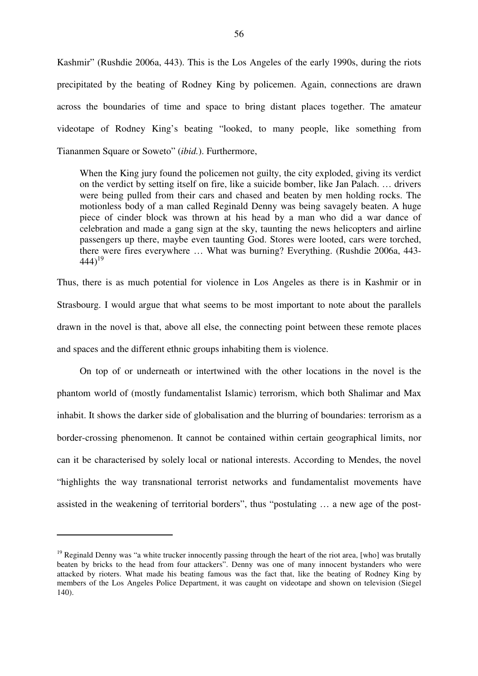Kashmir" (Rushdie 2006a, 443). This is the Los Angeles of the early 1990s, during the riots precipitated by the beating of Rodney King by policemen. Again, connections are drawn across the boundaries of time and space to bring distant places together. The amateur videotape of Rodney King's beating "looked, to many people, like something from Tiananmen Square or Soweto" (*ibid.*). Furthermore,

When the King jury found the policemen not guilty, the city exploded, giving its verdict on the verdict by setting itself on fire, like a suicide bomber, like Jan Palach. … drivers were being pulled from their cars and chased and beaten by men holding rocks. The motionless body of a man called Reginald Denny was being savagely beaten. A huge piece of cinder block was thrown at his head by a man who did a war dance of celebration and made a gang sign at the sky, taunting the news helicopters and airline passengers up there, maybe even taunting God. Stores were looted, cars were torched, there were fires everywhere … What was burning? Everything. (Rushdie 2006a, 443- 444) 19

Thus, there is as much potential for violence in Los Angeles as there is in Kashmir or in Strasbourg. I would argue that what seems to be most important to note about the parallels drawn in the novel is that, above all else, the connecting point between these remote places and spaces and the different ethnic groups inhabiting them is violence.

On top of or underneath or intertwined with the other locations in the novel is the phantom world of (mostly fundamentalist Islamic) terrorism, which both Shalimar and Max inhabit. It shows the darker side of globalisation and the blurring of boundaries: terrorism as a border-crossing phenomenon. It cannot be contained within certain geographical limits, nor can it be characterised by solely local or national interests. According to Mendes, the novel "highlights the way transnational terrorist networks and fundamentalist movements have assisted in the weakening of territorial borders", thus "postulating … a new age of the post-

<sup>&</sup>lt;sup>19</sup> Reginald Denny was "a white trucker innocently passing through the heart of the riot area, [who] was brutally beaten by bricks to the head from four attackers". Denny was one of many innocent bystanders who were attacked by rioters. What made his beating famous was the fact that, like the beating of Rodney King by members of the Los Angeles Police Department, it was caught on videotape and shown on television (Siegel 140).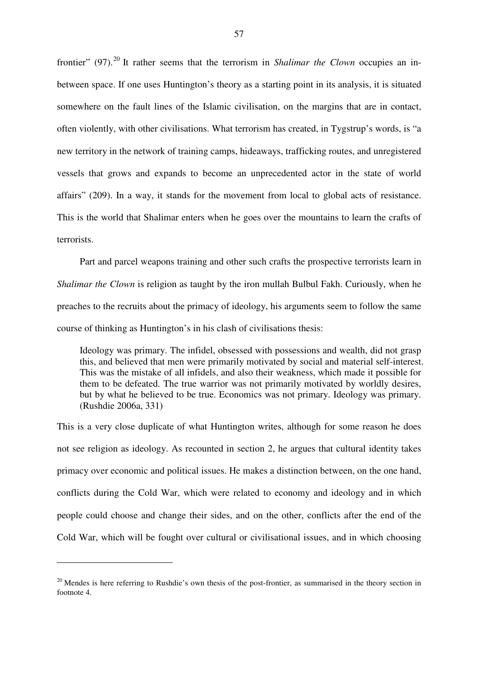frontier" (97).<sup>20</sup> It rather seems that the terrorism in *Shalimar the Clown* occupies an inbetween space. If one uses Huntington's theory as a starting point in its analysis, it is situated somewhere on the fault lines of the Islamic civilisation, on the margins that are in contact, often violently, with other civilisations. What terrorism has created, in Tygstrup's words, is "a new territory in the network of training camps, hideaways, trafficking routes, and unregistered vessels that grows and expands to become an unprecedented actor in the state of world affairs" (209). In a way, it stands for the movement from local to global acts of resistance. This is the world that Shalimar enters when he goes over the mountains to learn the crafts of terrorists.

Part and parcel weapons training and other such crafts the prospective terrorists learn in *Shalimar the Clown* is religion as taught by the iron mullah Bulbul Fakh. Curiously, when he preaches to the recruits about the primacy of ideology, his arguments seem to follow the same course of thinking as Huntington's in his clash of civilisations thesis:

Ideology was primary. The infidel, obsessed with possessions and wealth, did not grasp this, and believed that men were primarily motivated by social and material self-interest. This was the mistake of all infidels, and also their weakness, which made it possible for them to be defeated. The true warrior was not primarily motivated by worldly desires, but by what he believed to be true. Economics was not primary. Ideology was primary. (Rushdie 2006a, 331)

This is a very close duplicate of what Huntington writes, although for some reason he does not see religion as ideology. As recounted in section 2, he argues that cultural identity takes primacy over economic and political issues. He makes a distinction between, on the one hand, conflicts during the Cold War, which were related to economy and ideology and in which people could choose and change their sides, and on the other, conflicts after the end of the Cold War, which will be fought over cultural or civilisational issues, and in which choosing

 $20$  Mendes is here referring to Rushdie's own thesis of the post-frontier, as summarised in the theory section in footnote 4.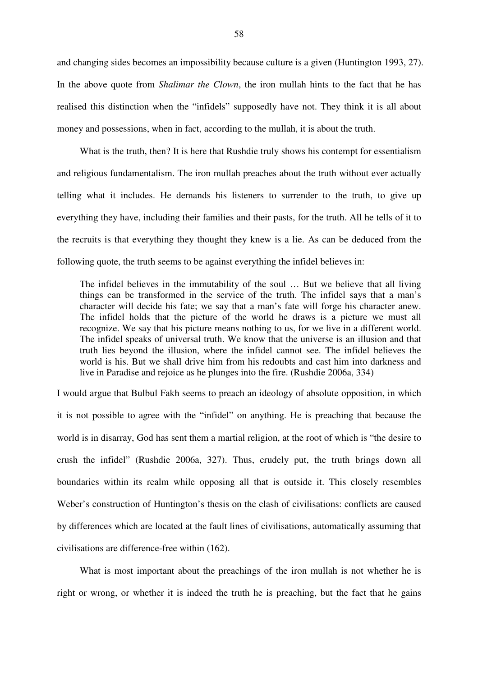and changing sides becomes an impossibility because culture is a given (Huntington 1993, 27). In the above quote from *Shalimar the Clown*, the iron mullah hints to the fact that he has realised this distinction when the "infidels" supposedly have not. They think it is all about money and possessions, when in fact, according to the mullah, it is about the truth.

What is the truth, then? It is here that Rushdie truly shows his contempt for essentialism and religious fundamentalism. The iron mullah preaches about the truth without ever actually telling what it includes. He demands his listeners to surrender to the truth, to give up everything they have, including their families and their pasts, for the truth. All he tells of it to the recruits is that everything they thought they knew is a lie. As can be deduced from the following quote, the truth seems to be against everything the infidel believes in:

The infidel believes in the immutability of the soul … But we believe that all living things can be transformed in the service of the truth. The infidel says that a man's character will decide his fate; we say that a man's fate will forge his character anew. The infidel holds that the picture of the world he draws is a picture we must all recognize. We say that his picture means nothing to us, for we live in a different world. The infidel speaks of universal truth. We know that the universe is an illusion and that truth lies beyond the illusion, where the infidel cannot see. The infidel believes the world is his. But we shall drive him from his redoubts and cast him into darkness and live in Paradise and rejoice as he plunges into the fire. (Rushdie 2006a, 334)

I would argue that Bulbul Fakh seems to preach an ideology of absolute opposition, in which it is not possible to agree with the "infidel" on anything. He is preaching that because the world is in disarray, God has sent them a martial religion, at the root of which is "the desire to crush the infidel" (Rushdie 2006a, 327). Thus, crudely put, the truth brings down all boundaries within its realm while opposing all that is outside it. This closely resembles Weber's construction of Huntington's thesis on the clash of civilisations: conflicts are caused by differences which are located at the fault lines of civilisations, automatically assuming that civilisations are difference-free within (162).

What is most important about the preachings of the iron mullah is not whether he is right or wrong, or whether it is indeed the truth he is preaching, but the fact that he gains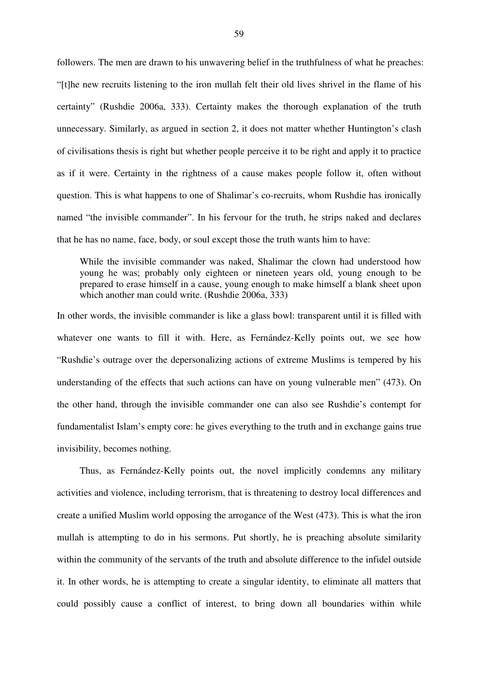followers. The men are drawn to his unwavering belief in the truthfulness of what he preaches: "[t]he new recruits listening to the iron mullah felt their old lives shrivel in the flame of his certainty" (Rushdie 2006a, 333). Certainty makes the thorough explanation of the truth unnecessary. Similarly, as argued in section 2, it does not matter whether Huntington's clash of civilisations thesis is right but whether people perceive it to be right and apply it to practice as if it were. Certainty in the rightness of a cause makes people follow it, often without question. This is what happens to one of Shalimar's co-recruits, whom Rushdie has ironically named "the invisible commander". In his fervour for the truth, he strips naked and declares that he has no name, face, body, or soul except those the truth wants him to have:

While the invisible commander was naked, Shalimar the clown had understood how young he was; probably only eighteen or nineteen years old, young enough to be prepared to erase himself in a cause, young enough to make himself a blank sheet upon which another man could write. (Rushdie 2006a, 333)

In other words, the invisible commander is like a glass bowl: transparent until it is filled with whatever one wants to fill it with. Here, as Fernández-Kelly points out, we see how "Rushdie's outrage over the depersonalizing actions of extreme Muslims is tempered by his understanding of the effects that such actions can have on young vulnerable men" (473). On the other hand, through the invisible commander one can also see Rushdie's contempt for fundamentalist Islam's empty core: he gives everything to the truth and in exchange gains true invisibility, becomes nothing.

Thus, as Fernández-Kelly points out, the novel implicitly condemns any military activities and violence, including terrorism, that is threatening to destroy local differences and create a unified Muslim world opposing the arrogance of the West (473). This is what the iron mullah is attempting to do in his sermons. Put shortly, he is preaching absolute similarity within the community of the servants of the truth and absolute difference to the infidel outside it. In other words, he is attempting to create a singular identity, to eliminate all matters that could possibly cause a conflict of interest, to bring down all boundaries within while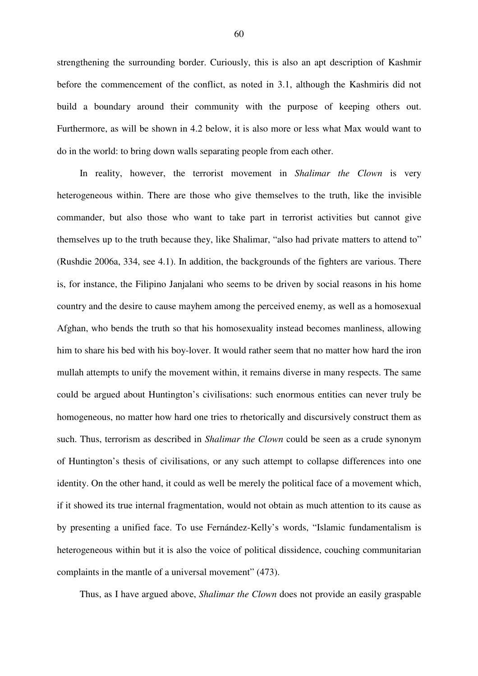strengthening the surrounding border. Curiously, this is also an apt description of Kashmir before the commencement of the conflict, as noted in 3.1, although the Kashmiris did not build a boundary around their community with the purpose of keeping others out. Furthermore, as will be shown in 4.2 below, it is also more or less what Max would want to do in the world: to bring down walls separating people from each other.

In reality, however, the terrorist movement in *Shalimar the Clown* is very heterogeneous within. There are those who give themselves to the truth, like the invisible commander, but also those who want to take part in terrorist activities but cannot give themselves up to the truth because they, like Shalimar, "also had private matters to attend to" (Rushdie 2006a, 334, see 4.1). In addition, the backgrounds of the fighters are various. There is, for instance, the Filipino Janjalani who seems to be driven by social reasons in his home country and the desire to cause mayhem among the perceived enemy, as well as a homosexual Afghan, who bends the truth so that his homosexuality instead becomes manliness, allowing him to share his bed with his boy-lover. It would rather seem that no matter how hard the iron mullah attempts to unify the movement within, it remains diverse in many respects. The same could be argued about Huntington's civilisations: such enormous entities can never truly be homogeneous, no matter how hard one tries to rhetorically and discursively construct them as such. Thus, terrorism as described in *Shalimar the Clown* could be seen as a crude synonym of Huntington's thesis of civilisations, or any such attempt to collapse differences into one identity. On the other hand, it could as well be merely the political face of a movement which, if it showed its true internal fragmentation, would not obtain as much attention to its cause as by presenting a unified face. To use Fernández-Kelly's words, "Islamic fundamentalism is heterogeneous within but it is also the voice of political dissidence, couching communitarian complaints in the mantle of a universal movement" (473).

Thus, as I have argued above, *Shalimar the Clown* does not provide an easily graspable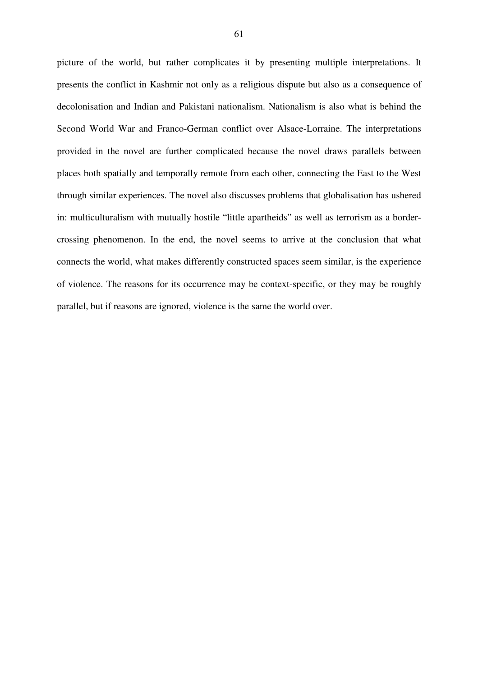picture of the world, but rather complicates it by presenting multiple interpretations. It presents the conflict in Kashmir not only as a religious dispute but also as a consequence of decolonisation and Indian and Pakistani nationalism. Nationalism is also what is behind the Second World War and Franco-German conflict over Alsace-Lorraine. The interpretations provided in the novel are further complicated because the novel draws parallels between places both spatially and temporally remote from each other, connecting the East to the West through similar experiences. The novel also discusses problems that globalisation has ushered in: multiculturalism with mutually hostile "little apartheids" as well as terrorism as a bordercrossing phenomenon. In the end, the novel seems to arrive at the conclusion that what connects the world, what makes differently constructed spaces seem similar, is the experience of violence. The reasons for its occurrence may be context-specific, or they may be roughly parallel, but if reasons are ignored, violence is the same the world over.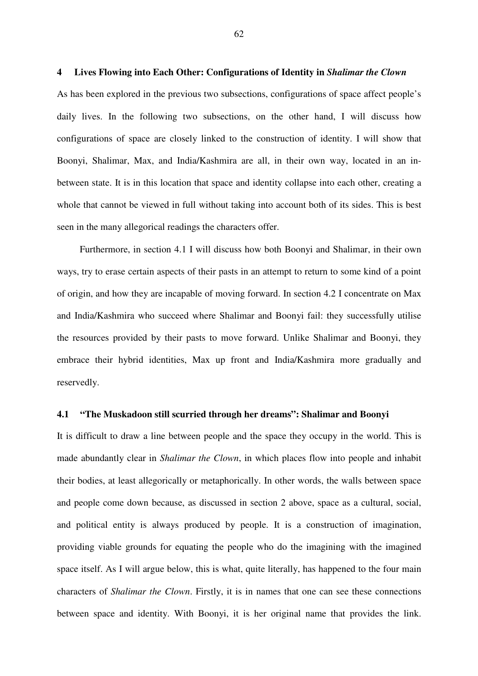## **4 Lives Flowing into Each Other: Configurations of Identity in** *Shalimar the Clown*

As has been explored in the previous two subsections, configurations of space affect people's daily lives. In the following two subsections, on the other hand, I will discuss how configurations of space are closely linked to the construction of identity. I will show that Boonyi, Shalimar, Max, and India/Kashmira are all, in their own way, located in an inbetween state. It is in this location that space and identity collapse into each other, creating a whole that cannot be viewed in full without taking into account both of its sides. This is best seen in the many allegorical readings the characters offer.

Furthermore, in section 4.1 I will discuss how both Boonyi and Shalimar, in their own ways, try to erase certain aspects of their pasts in an attempt to return to some kind of a point of origin, and how they are incapable of moving forward. In section 4.2 I concentrate on Max and India/Kashmira who succeed where Shalimar and Boonyi fail: they successfully utilise the resources provided by their pasts to move forward. Unlike Shalimar and Boonyi, they embrace their hybrid identities, Max up front and India/Kashmira more gradually and reservedly.

## **4.1 "The Muskadoon still scurried through her dreams": Shalimar and Boonyi**

It is difficult to draw a line between people and the space they occupy in the world. This is made abundantly clear in *Shalimar the Clown*, in which places flow into people and inhabit their bodies, at least allegorically or metaphorically. In other words, the walls between space and people come down because, as discussed in section 2 above, space as a cultural, social, and political entity is always produced by people. It is a construction of imagination, providing viable grounds for equating the people who do the imagining with the imagined space itself. As I will argue below, this is what, quite literally, has happened to the four main characters of *Shalimar the Clown*. Firstly, it is in names that one can see these connections between space and identity. With Boonyi, it is her original name that provides the link.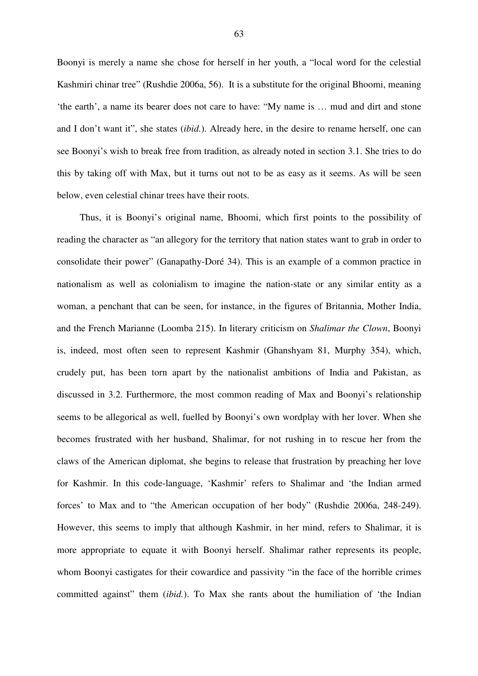Boonyi is merely a name she chose for herself in her youth, a "local word for the celestial Kashmiri chinar tree" (Rushdie 2006a, 56). It is a substitute for the original Bhoomi, meaning 'the earth', a name its bearer does not care to have: "My name is … mud and dirt and stone and I don't want it", she states (*ibid.*). Already here, in the desire to rename herself, one can see Boonyi's wish to break free from tradition, as already noted in section 3.1. She tries to do this by taking off with Max, but it turns out not to be as easy as it seems. As will be seen below, even celestial chinar trees have their roots.

Thus, it is Boonyi's original name, Bhoomi, which first points to the possibility of reading the character as "an allegory for the territory that nation states want to grab in order to consolidate their power" (Ganapathy-Doré 34). This is an example of a common practice in nationalism as well as colonialism to imagine the nation-state or any similar entity as a woman, a penchant that can be seen, for instance, in the figures of Britannia, Mother India, and the French Marianne (Loomba 215). In literary criticism on *Shalimar the Clown*, Boonyi is, indeed, most often seen to represent Kashmir (Ghanshyam 81, Murphy 354), which, crudely put, has been torn apart by the nationalist ambitions of India and Pakistan, as discussed in 3.2. Furthermore, the most common reading of Max and Boonyi's relationship seems to be allegorical as well, fuelled by Boonyi's own wordplay with her lover. When she becomes frustrated with her husband, Shalimar, for not rushing in to rescue her from the claws of the American diplomat, she begins to release that frustration by preaching her love for Kashmir. In this code-language, 'Kashmir' refers to Shalimar and 'the Indian armed forces' to Max and to "the American occupation of her body" (Rushdie 2006a, 248-249). However, this seems to imply that although Kashmir, in her mind, refers to Shalimar, it is more appropriate to equate it with Boonyi herself. Shalimar rather represents its people, whom Boonyi castigates for their cowardice and passivity "in the face of the horrible crimes committed against" them (*ibid.*). To Max she rants about the humiliation of 'the Indian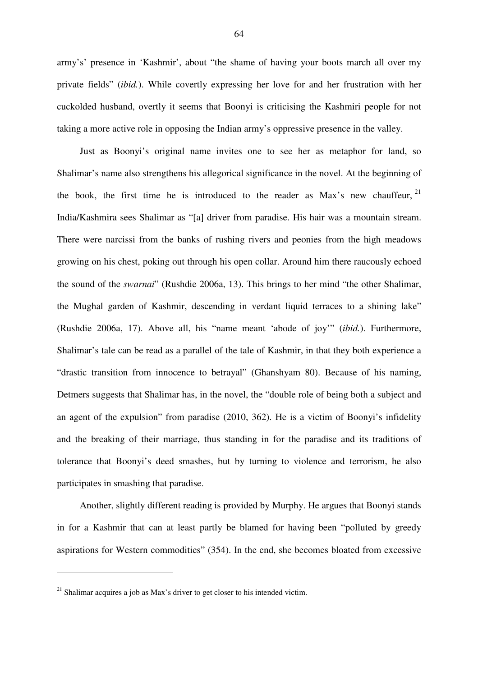army's' presence in 'Kashmir', about "the shame of having your boots march all over my private fields" (*ibid.*). While covertly expressing her love for and her frustration with her cuckolded husband, overtly it seems that Boonyi is criticising the Kashmiri people for not taking a more active role in opposing the Indian army's oppressive presence in the valley.

Just as Boonyi's original name invites one to see her as metaphor for land, so Shalimar's name also strengthens his allegorical significance in the novel. At the beginning of the book, the first time he is introduced to the reader as Max's new chauffeur,  $21$ India/Kashmira sees Shalimar as "[a] driver from paradise. His hair was a mountain stream. There were narcissi from the banks of rushing rivers and peonies from the high meadows growing on his chest, poking out through his open collar. Around him there raucously echoed the sound of the *swarnai*" (Rushdie 2006a, 13). This brings to her mind "the other Shalimar, the Mughal garden of Kashmir, descending in verdant liquid terraces to a shining lake" (Rushdie 2006a, 17). Above all, his "name meant 'abode of joy'" (*ibid.*). Furthermore, Shalimar's tale can be read as a parallel of the tale of Kashmir, in that they both experience a "drastic transition from innocence to betrayal" (Ghanshyam 80). Because of his naming, Detmers suggests that Shalimar has, in the novel, the "double role of being both a subject and an agent of the expulsion" from paradise (2010, 362). He is a victim of Boonyi's infidelity and the breaking of their marriage, thus standing in for the paradise and its traditions of tolerance that Boonyi's deed smashes, but by turning to violence and terrorism, he also participates in smashing that paradise.

Another, slightly different reading is provided by Murphy. He argues that Boonyi stands in for a Kashmir that can at least partly be blamed for having been "polluted by greedy aspirations for Western commodities" (354). In the end, she becomes bloated from excessive

 $21$  Shalimar acquires a job as Max's driver to get closer to his intended victim.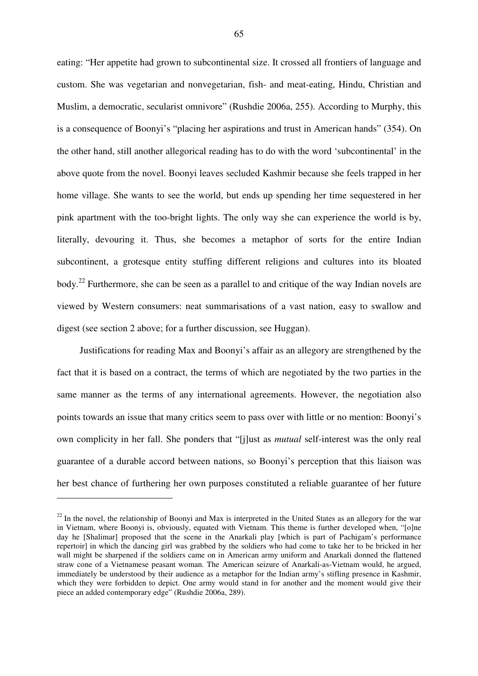eating: "Her appetite had grown to subcontinental size. It crossed all frontiers of language and custom. She was vegetarian and nonvegetarian, fish- and meat-eating, Hindu, Christian and Muslim, a democratic, secularist omnivore" (Rushdie 2006a, 255). According to Murphy, this is a consequence of Boonyi's "placing her aspirations and trust in American hands" (354). On the other hand, still another allegorical reading has to do with the word 'subcontinental' in the above quote from the novel. Boonyi leaves secluded Kashmir because she feels trapped in her home village. She wants to see the world, but ends up spending her time sequestered in her pink apartment with the too-bright lights. The only way she can experience the world is by, literally, devouring it. Thus, she becomes a metaphor of sorts for the entire Indian subcontinent, a grotesque entity stuffing different religions and cultures into its bloated body.<sup>22</sup> Furthermore, she can be seen as a parallel to and critique of the way Indian novels are viewed by Western consumers: neat summarisations of a vast nation, easy to swallow and digest (see section 2 above; for a further discussion, see Huggan).

Justifications for reading Max and Boonyi's affair as an allegory are strengthened by the fact that it is based on a contract, the terms of which are negotiated by the two parties in the same manner as the terms of any international agreements. However, the negotiation also points towards an issue that many critics seem to pass over with little or no mention: Boonyi's own complicity in her fall. She ponders that "[j]ust as *mutual* self-interest was the only real guarantee of a durable accord between nations, so Boonyi's perception that this liaison was her best chance of furthering her own purposes constituted a reliable guarantee of her future

 $22$  In the novel, the relationship of Boonyi and Max is interpreted in the United States as an allegory for the war in Vietnam, where Boonyi is, obviously, equated with Vietnam. This theme is further developed when, "[o]ne day he [Shalimar] proposed that the scene in the Anarkali play [which is part of Pachigam's performance repertoir] in which the dancing girl was grabbed by the soldiers who had come to take her to be bricked in her wall might be sharpened if the soldiers came on in American army uniform and Anarkali donned the flattened straw cone of a Vietnamese peasant woman. The American seizure of Anarkali-as-Vietnam would, he argued, immediately be understood by their audience as a metaphor for the Indian army's stifling presence in Kashmir, which they were forbidden to depict. One army would stand in for another and the moment would give their piece an added contemporary edge" (Rushdie 2006a, 289).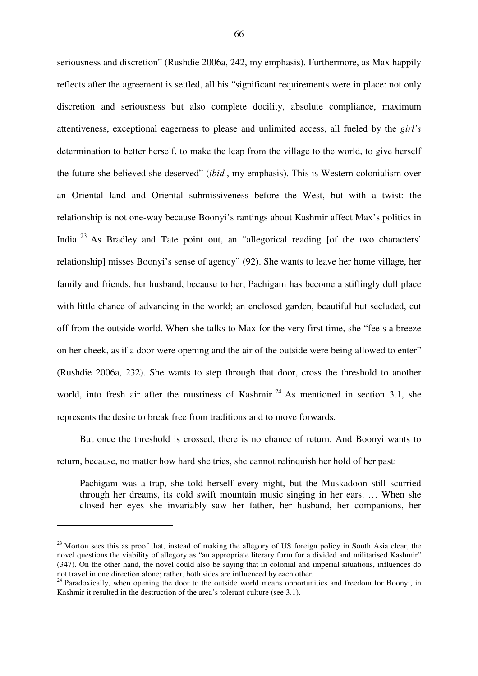seriousness and discretion" (Rushdie 2006a, 242, my emphasis). Furthermore, as Max happily reflects after the agreement is settled, all his "significant requirements were in place: not only discretion and seriousness but also complete docility, absolute compliance, maximum attentiveness, exceptional eagerness to please and unlimited access, all fueled by the *girl's* determination to better herself, to make the leap from the village to the world, to give herself the future she believed she deserved" (*ibid.*, my emphasis). This is Western colonialism over an Oriental land and Oriental submissiveness before the West, but with a twist: the relationship is not one-way because Boonyi's rantings about Kashmir affect Max's politics in India.<sup>23</sup> As Bradley and Tate point out, an "allegorical reading [of the two characters' relationship] misses Boonyi's sense of agency" (92). She wants to leave her home village, her family and friends, her husband, because to her, Pachigam has become a stiflingly dull place with little chance of advancing in the world; an enclosed garden, beautiful but secluded, cut off from the outside world. When she talks to Max for the very first time, she "feels a breeze on her cheek, as if a door were opening and the air of the outside were being allowed to enter" (Rushdie 2006a, 232). She wants to step through that door, cross the threshold to another world, into fresh air after the mustiness of Kashmir.<sup>24</sup> As mentioned in section 3.1, she represents the desire to break free from traditions and to move forwards.

But once the threshold is crossed, there is no chance of return. And Boonyi wants to return, because, no matter how hard she tries, she cannot relinquish her hold of her past:

Pachigam was a trap, she told herself every night, but the Muskadoon still scurried through her dreams, its cold swift mountain music singing in her ears. … When she closed her eyes she invariably saw her father, her husband, her companions, her

 $^{23}$  Morton sees this as proof that, instead of making the allegory of US foreign policy in South Asia clear, the novel questions the viability of allegory as "an appropriate literary form for a divided and militarised Kashmir" (347). On the other hand, the novel could also be saying that in colonial and imperial situations, influences do not travel in one direction alone; rather, both sides are influenced by each other.

<sup>&</sup>lt;sup>24</sup> Paradoxically, when opening the door to the outside world means opportunities and freedom for Boonyi, in Kashmir it resulted in the destruction of the area's tolerant culture (see 3.1).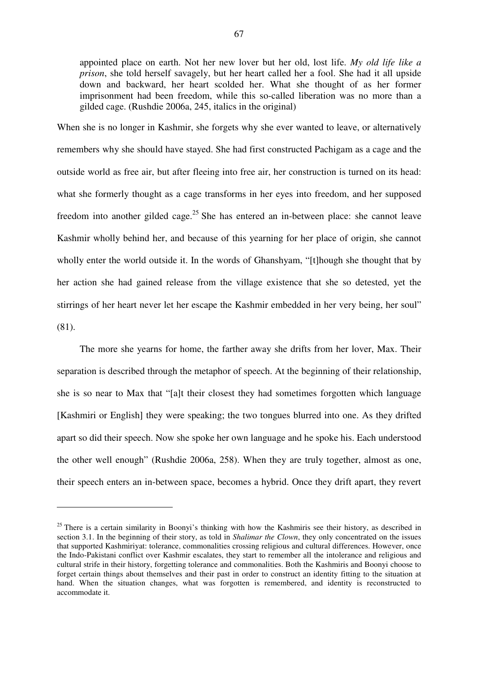appointed place on earth. Not her new lover but her old, lost life. *My old life like a prison*, she told herself savagely, but her heart called her a fool. She had it all upside down and backward, her heart scolded her. What she thought of as her former imprisonment had been freedom, while this so-called liberation was no more than a gilded cage. (Rushdie 2006a, 245, italics in the original)

When she is no longer in Kashmir, she forgets why she ever wanted to leave, or alternatively remembers why she should have stayed. She had first constructed Pachigam as a cage and the outside world as free air, but after fleeing into free air, her construction is turned on its head: what she formerly thought as a cage transforms in her eyes into freedom, and her supposed freedom into another gilded cage.<sup>25</sup> She has entered an in-between place: she cannot leave Kashmir wholly behind her, and because of this yearning for her place of origin, she cannot wholly enter the world outside it. In the words of Ghanshyam, "[t]hough she thought that by her action she had gained release from the village existence that she so detested, yet the stirrings of her heart never let her escape the Kashmir embedded in her very being, her soul" (81).

The more she yearns for home, the farther away she drifts from her lover, Max. Their separation is described through the metaphor of speech. At the beginning of their relationship, she is so near to Max that "[a]t their closest they had sometimes forgotten which language [Kashmiri or English] they were speaking; the two tongues blurred into one. As they drifted apart so did their speech. Now she spoke her own language and he spoke his. Each understood the other well enough" (Rushdie 2006a, 258). When they are truly together, almost as one, their speech enters an in-between space, becomes a hybrid. Once they drift apart, they revert

 $25$  There is a certain similarity in Boonyi's thinking with how the Kashmiris see their history, as described in section 3.1. In the beginning of their story, as told in *Shalimar the Clown*, they only concentrated on the issues that supported Kashmiriyat: tolerance, commonalities crossing religious and cultural differences. However, once the Indo-Pakistani conflict over Kashmir escalates, they start to remember all the intolerance and religious and cultural strife in their history, forgetting tolerance and commonalities. Both the Kashmiris and Boonyi choose to forget certain things about themselves and their past in order to construct an identity fitting to the situation at hand. When the situation changes, what was forgotten is remembered, and identity is reconstructed to accommodate it.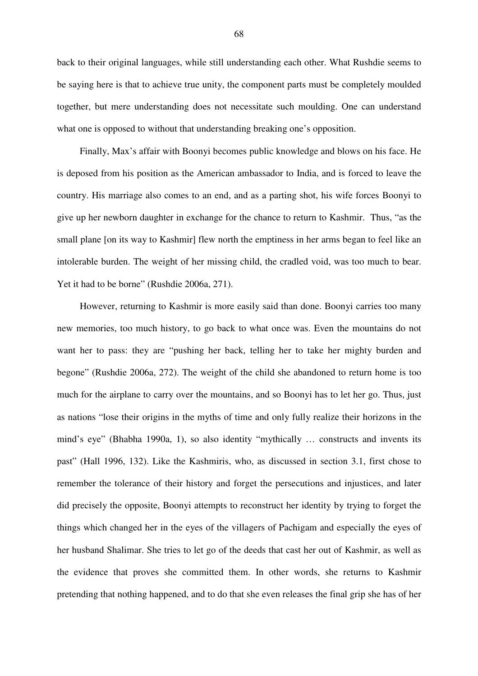back to their original languages, while still understanding each other. What Rushdie seems to be saying here is that to achieve true unity, the component parts must be completely moulded together, but mere understanding does not necessitate such moulding. One can understand what one is opposed to without that understanding breaking one's opposition.

Finally, Max's affair with Boonyi becomes public knowledge and blows on his face. He is deposed from his position as the American ambassador to India, and is forced to leave the country. His marriage also comes to an end, and as a parting shot, his wife forces Boonyi to give up her newborn daughter in exchange for the chance to return to Kashmir. Thus, "as the small plane [on its way to Kashmir] flew north the emptiness in her arms began to feel like an intolerable burden. The weight of her missing child, the cradled void, was too much to bear. Yet it had to be borne" (Rushdie 2006a, 271).

However, returning to Kashmir is more easily said than done. Boonyi carries too many new memories, too much history, to go back to what once was. Even the mountains do not want her to pass: they are "pushing her back, telling her to take her mighty burden and begone" (Rushdie 2006a, 272). The weight of the child she abandoned to return home is too much for the airplane to carry over the mountains, and so Boonyi has to let her go. Thus, just as nations "lose their origins in the myths of time and only fully realize their horizons in the mind's eye" (Bhabha 1990a, 1), so also identity "mythically … constructs and invents its past" (Hall 1996, 132). Like the Kashmiris, who, as discussed in section 3.1, first chose to remember the tolerance of their history and forget the persecutions and injustices, and later did precisely the opposite, Boonyi attempts to reconstruct her identity by trying to forget the things which changed her in the eyes of the villagers of Pachigam and especially the eyes of her husband Shalimar. She tries to let go of the deeds that cast her out of Kashmir, as well as the evidence that proves she committed them. In other words, she returns to Kashmir pretending that nothing happened, and to do that she even releases the final grip she has of her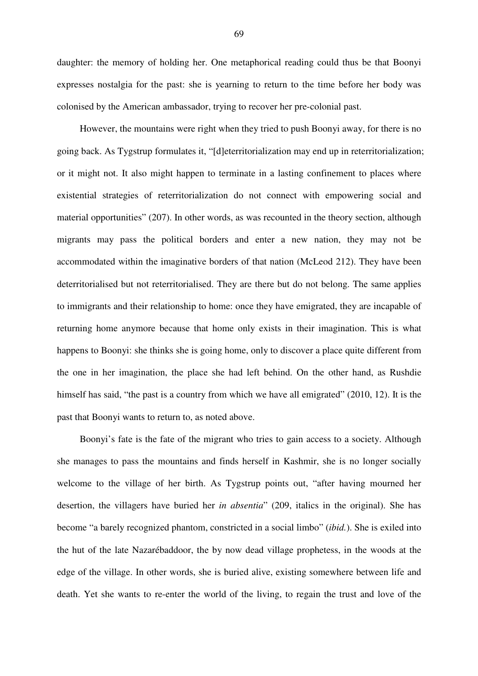daughter: the memory of holding her. One metaphorical reading could thus be that Boonyi expresses nostalgia for the past: she is yearning to return to the time before her body was colonised by the American ambassador, trying to recover her pre-colonial past.

However, the mountains were right when they tried to push Boonyi away, for there is no going back. As Tygstrup formulates it, "[d]eterritorialization may end up in reterritorialization; or it might not. It also might happen to terminate in a lasting confinement to places where existential strategies of reterritorialization do not connect with empowering social and material opportunities" (207). In other words, as was recounted in the theory section, although migrants may pass the political borders and enter a new nation, they may not be accommodated within the imaginative borders of that nation (McLeod 212). They have been deterritorialised but not reterritorialised. They are there but do not belong. The same applies to immigrants and their relationship to home: once they have emigrated, they are incapable of returning home anymore because that home only exists in their imagination. This is what happens to Boonyi: she thinks she is going home, only to discover a place quite different from the one in her imagination, the place she had left behind. On the other hand, as Rushdie himself has said, "the past is a country from which we have all emigrated" (2010, 12). It is the past that Boonyi wants to return to, as noted above.

Boonyi's fate is the fate of the migrant who tries to gain access to a society. Although she manages to pass the mountains and finds herself in Kashmir, she is no longer socially welcome to the village of her birth. As Tygstrup points out, "after having mourned her desertion, the villagers have buried her *in absentia*" (209, italics in the original). She has become "a barely recognized phantom, constricted in a social limbo" (*ibid.*). She is exiled into the hut of the late Nazarébaddoor, the by now dead village prophetess, in the woods at the edge of the village. In other words, she is buried alive, existing somewhere between life and death. Yet she wants to re-enter the world of the living, to regain the trust and love of the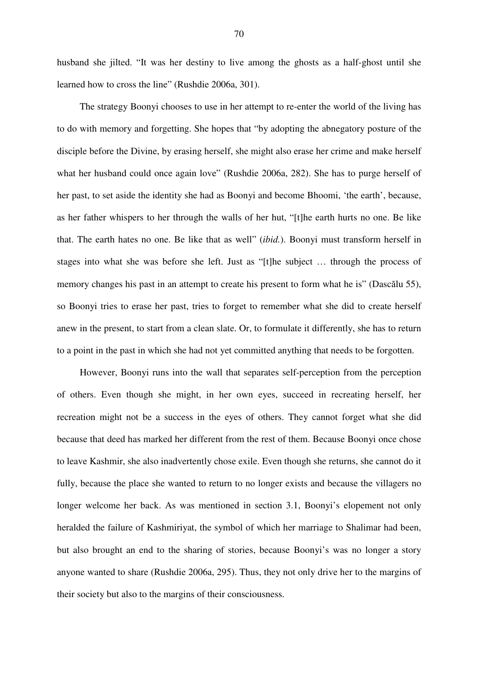husband she jilted. "It was her destiny to live among the ghosts as a half-ghost until she learned how to cross the line" (Rushdie 2006a, 301).

The strategy Boonyi chooses to use in her attempt to re-enter the world of the living has to do with memory and forgetting. She hopes that "by adopting the abnegatory posture of the disciple before the Divine, by erasing herself, she might also erase her crime and make herself what her husband could once again love" (Rushdie 2006a, 282). She has to purge herself of her past, to set aside the identity she had as Boonyi and become Bhoomi, 'the earth', because, as her father whispers to her through the walls of her hut, "[t]he earth hurts no one. Be like that. The earth hates no one. Be like that as well" (*ibid.*). Boonyi must transform herself in stages into what she was before she left. Just as "[t]he subject … through the process of memory changes his past in an attempt to create his present to form what he is" (Dascălu 55), so Boonyi tries to erase her past, tries to forget to remember what she did to create herself anew in the present, to start from a clean slate. Or, to formulate it differently, she has to return to a point in the past in which she had not yet committed anything that needs to be forgotten.

However, Boonyi runs into the wall that separates self-perception from the perception of others. Even though she might, in her own eyes, succeed in recreating herself, her recreation might not be a success in the eyes of others. They cannot forget what she did because that deed has marked her different from the rest of them. Because Boonyi once chose to leave Kashmir, she also inadvertently chose exile. Even though she returns, she cannot do it fully, because the place she wanted to return to no longer exists and because the villagers no longer welcome her back. As was mentioned in section 3.1, Boonyi's elopement not only heralded the failure of Kashmiriyat, the symbol of which her marriage to Shalimar had been, but also brought an end to the sharing of stories, because Boonyi's was no longer a story anyone wanted to share (Rushdie 2006a, 295). Thus, they not only drive her to the margins of their society but also to the margins of their consciousness.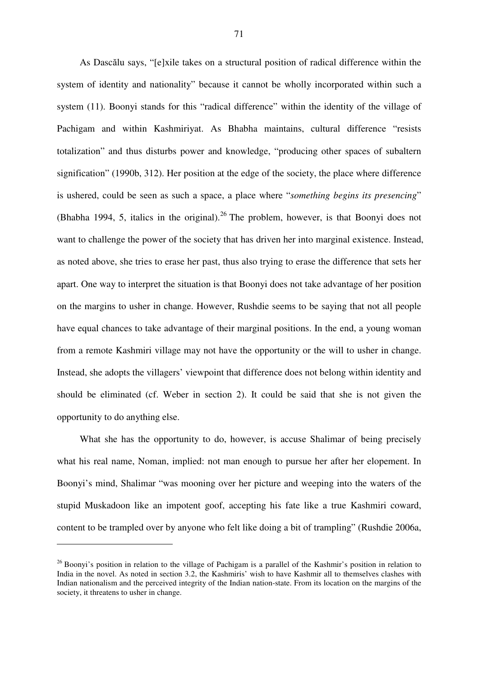As Dascălu says, "[e]xile takes on a structural position of radical difference within the system of identity and nationality" because it cannot be wholly incorporated within such a system (11). Boonyi stands for this "radical difference" within the identity of the village of Pachigam and within Kashmiriyat. As Bhabha maintains, cultural difference "resists totalization" and thus disturbs power and knowledge, "producing other spaces of subaltern signification" (1990b, 312). Her position at the edge of the society, the place where difference is ushered, could be seen as such a space, a place where "*something begins its presencing*" (Bhabha 1994, 5, italics in the original).  $26$  The problem, however, is that Boonyi does not want to challenge the power of the society that has driven her into marginal existence. Instead, as noted above, she tries to erase her past, thus also trying to erase the difference that sets her apart. One way to interpret the situation is that Boonyi does not take advantage of her position on the margins to usher in change. However, Rushdie seems to be saying that not all people have equal chances to take advantage of their marginal positions. In the end, a young woman from a remote Kashmiri village may not have the opportunity or the will to usher in change. Instead, she adopts the villagers' viewpoint that difference does not belong within identity and should be eliminated (cf. Weber in section 2). It could be said that she is not given the opportunity to do anything else.

What she has the opportunity to do, however, is accuse Shalimar of being precisely what his real name, Noman, implied: not man enough to pursue her after her elopement. In Boonyi's mind, Shalimar "was mooning over her picture and weeping into the waters of the stupid Muskadoon like an impotent goof, accepting his fate like a true Kashmiri coward, content to be trampled over by anyone who felt like doing a bit of trampling" (Rushdie 2006a,

 $^{26}$  Boonyi's position in relation to the village of Pachigam is a parallel of the Kashmir's position in relation to India in the novel. As noted in section 3.2, the Kashmiris' wish to have Kashmir all to themselves clashes with Indian nationalism and the perceived integrity of the Indian nation-state. From its location on the margins of the society, it threatens to usher in change.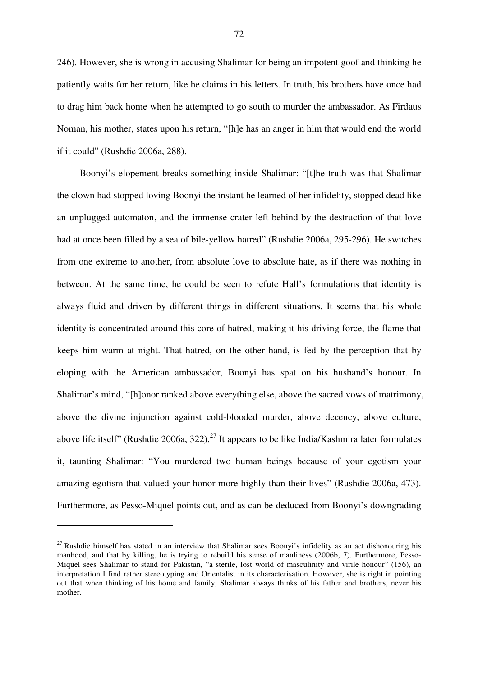246). However, she is wrong in accusing Shalimar for being an impotent goof and thinking he patiently waits for her return, like he claims in his letters. In truth, his brothers have once had to drag him back home when he attempted to go south to murder the ambassador. As Firdaus Noman, his mother, states upon his return, "[h]e has an anger in him that would end the world if it could" (Rushdie 2006a, 288).

Boonyi's elopement breaks something inside Shalimar: "[t]he truth was that Shalimar the clown had stopped loving Boonyi the instant he learned of her infidelity, stopped dead like an unplugged automaton, and the immense crater left behind by the destruction of that love had at once been filled by a sea of bile-yellow hatred" (Rushdie 2006a, 295-296). He switches from one extreme to another, from absolute love to absolute hate, as if there was nothing in between. At the same time, he could be seen to refute Hall's formulations that identity is always fluid and driven by different things in different situations. It seems that his whole identity is concentrated around this core of hatred, making it his driving force, the flame that keeps him warm at night. That hatred, on the other hand, is fed by the perception that by eloping with the American ambassador, Boonyi has spat on his husband's honour. In Shalimar's mind, "[h]onor ranked above everything else, above the sacred vows of matrimony, above the divine injunction against cold-blooded murder, above decency, above culture, above life itself" (Rushdie 2006a, 322).<sup>27</sup> It appears to be like India/Kashmira later formulates it, taunting Shalimar: "You murdered two human beings because of your egotism your amazing egotism that valued your honor more highly than their lives" (Rushdie 2006a, 473). Furthermore, as Pesso-Miquel points out, and as can be deduced from Boonyi's downgrading

 $27$  Rushdie himself has stated in an interview that Shalimar sees Boonyi's infidelity as an act dishonouring his manhood, and that by killing, he is trying to rebuild his sense of manliness (2006b, 7). Furthermore, Pesso-Miquel sees Shalimar to stand for Pakistan, "a sterile, lost world of masculinity and virile honour" (156), an interpretation I find rather stereotyping and Orientalist in its characterisation. However, she is right in pointing out that when thinking of his home and family, Shalimar always thinks of his father and brothers, never his mother.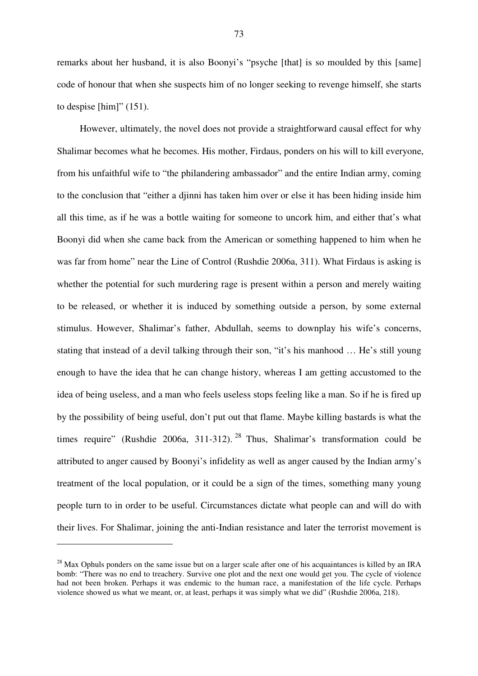remarks about her husband, it is also Boonyi's "psyche [that] is so moulded by this [same] code of honour that when she suspects him of no longer seeking to revenge himself, she starts to despise [him]" (151).

However, ultimately, the novel does not provide a straightforward causal effect for why Shalimar becomes what he becomes. His mother, Firdaus, ponders on his will to kill everyone, from his unfaithful wife to "the philandering ambassador" and the entire Indian army, coming to the conclusion that "either a djinni has taken him over or else it has been hiding inside him all this time, as if he was a bottle waiting for someone to uncork him, and either that's what Boonyi did when she came back from the American or something happened to him when he was far from home" near the Line of Control (Rushdie 2006a, 311). What Firdaus is asking is whether the potential for such murdering rage is present within a person and merely waiting to be released, or whether it is induced by something outside a person, by some external stimulus. However, Shalimar's father, Abdullah, seems to downplay his wife's concerns, stating that instead of a devil talking through their son, "it's his manhood … He's still young enough to have the idea that he can change history, whereas I am getting accustomed to the idea of being useless, and a man who feels useless stops feeling like a man. So if he is fired up by the possibility of being useful, don't put out that flame. Maybe killing bastards is what the times require" (Rushdie 2006a, 311-312).<sup>28</sup> Thus, Shalimar's transformation could be attributed to anger caused by Boonyi's infidelity as well as anger caused by the Indian army's treatment of the local population, or it could be a sign of the times, something many young people turn to in order to be useful. Circumstances dictate what people can and will do with their lives. For Shalimar, joining the anti-Indian resistance and later the terrorist movement is

 $^{28}$  Max Ophuls ponders on the same issue but on a larger scale after one of his acquaintances is killed by an IRA bomb: "There was no end to treachery. Survive one plot and the next one would get you. The cycle of violence had not been broken. Perhaps it was endemic to the human race, a manifestation of the life cycle. Perhaps violence showed us what we meant, or, at least, perhaps it was simply what we did" (Rushdie 2006a, 218).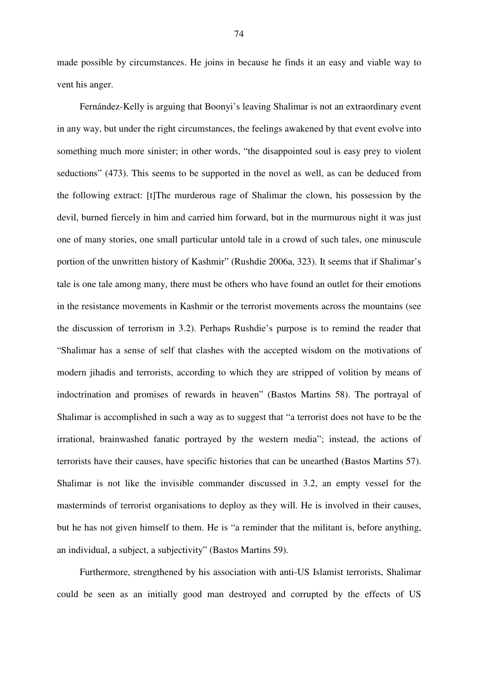made possible by circumstances. He joins in because he finds it an easy and viable way to vent his anger.

Fernández-Kelly is arguing that Boonyi's leaving Shalimar is not an extraordinary event in any way, but under the right circumstances, the feelings awakened by that event evolve into something much more sinister; in other words, "the disappointed soul is easy prey to violent seductions" (473). This seems to be supported in the novel as well, as can be deduced from the following extract: [t]The murderous rage of Shalimar the clown, his possession by the devil, burned fiercely in him and carried him forward, but in the murmurous night it was just one of many stories, one small particular untold tale in a crowd of such tales, one minuscule portion of the unwritten history of Kashmir" (Rushdie 2006a, 323). It seems that if Shalimar's tale is one tale among many, there must be others who have found an outlet for their emotions in the resistance movements in Kashmir or the terrorist movements across the mountains (see the discussion of terrorism in 3.2). Perhaps Rushdie's purpose is to remind the reader that "Shalimar has a sense of self that clashes with the accepted wisdom on the motivations of modern jihadis and terrorists, according to which they are stripped of volition by means of indoctrination and promises of rewards in heaven" (Bastos Martins 58). The portrayal of Shalimar is accomplished in such a way as to suggest that "a terrorist does not have to be the irrational, brainwashed fanatic portrayed by the western media"; instead, the actions of terrorists have their causes, have specific histories that can be unearthed (Bastos Martins 57). Shalimar is not like the invisible commander discussed in 3.2, an empty vessel for the masterminds of terrorist organisations to deploy as they will. He is involved in their causes, but he has not given himself to them. He is "a reminder that the militant is, before anything, an individual, a subject, a subjectivity" (Bastos Martins 59).

Furthermore, strengthened by his association with anti-US Islamist terrorists, Shalimar could be seen as an initially good man destroyed and corrupted by the effects of US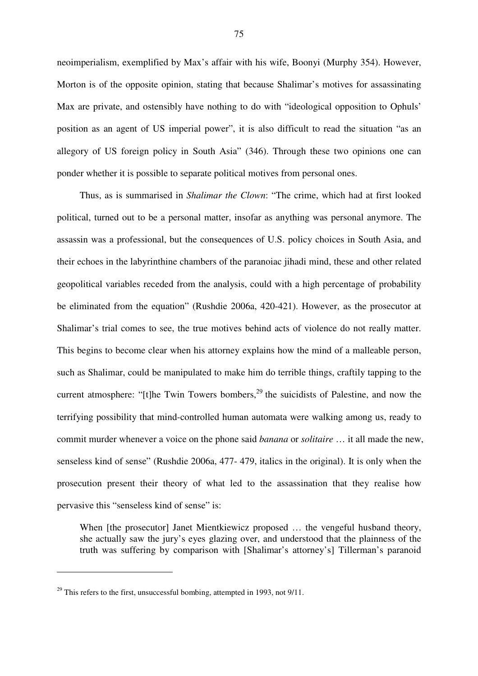neoimperialism, exemplified by Max's affair with his wife, Boonyi (Murphy 354). However, Morton is of the opposite opinion, stating that because Shalimar's motives for assassinating Max are private, and ostensibly have nothing to do with "ideological opposition to Ophuls' position as an agent of US imperial power", it is also difficult to read the situation "as an allegory of US foreign policy in South Asia" (346). Through these two opinions one can ponder whether it is possible to separate political motives from personal ones.

Thus, as is summarised in *Shalimar the Clown*: "The crime, which had at first looked political, turned out to be a personal matter, insofar as anything was personal anymore. The assassin was a professional, but the consequences of U.S. policy choices in South Asia, and their echoes in the labyrinthine chambers of the paranoiac jihadi mind, these and other related geopolitical variables receded from the analysis, could with a high percentage of probability be eliminated from the equation" (Rushdie 2006a, 420-421). However, as the prosecutor at Shalimar's trial comes to see, the true motives behind acts of violence do not really matter. This begins to become clear when his attorney explains how the mind of a malleable person, such as Shalimar, could be manipulated to make him do terrible things, craftily tapping to the current atmosphere: "[t]he Twin Towers bombers,<sup>29</sup> the suicidists of Palestine, and now the terrifying possibility that mind-controlled human automata were walking among us, ready to commit murder whenever a voice on the phone said *banana* or *solitaire* … it all made the new, senseless kind of sense" (Rushdie 2006a, 477- 479, italics in the original). It is only when the prosecution present their theory of what led to the assassination that they realise how pervasive this "senseless kind of sense" is:

When [the prosecutor] Janet Mientkiewicz proposed ... the vengeful husband theory, she actually saw the jury's eyes glazing over, and understood that the plainness of the truth was suffering by comparison with [Shalimar's attorney's] Tillerman's paranoid

 $^{29}$  This refers to the first, unsuccessful bombing, attempted in 1993, not 9/11.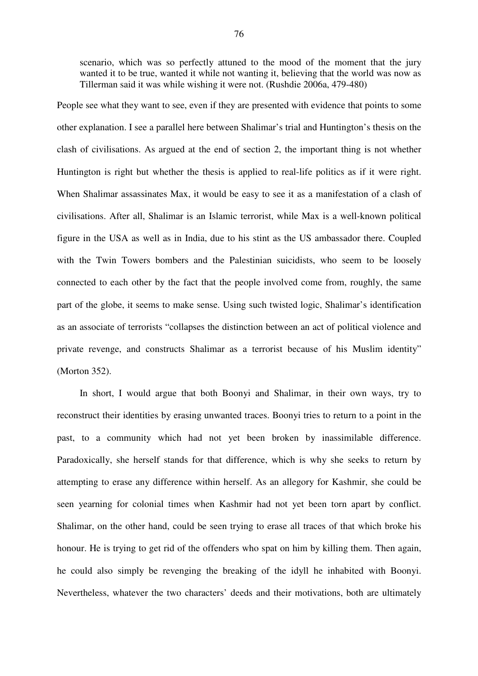scenario, which was so perfectly attuned to the mood of the moment that the jury wanted it to be true, wanted it while not wanting it, believing that the world was now as Tillerman said it was while wishing it were not. (Rushdie 2006a, 479-480)

People see what they want to see, even if they are presented with evidence that points to some other explanation. I see a parallel here between Shalimar's trial and Huntington's thesis on the clash of civilisations. As argued at the end of section 2, the important thing is not whether Huntington is right but whether the thesis is applied to real-life politics as if it were right. When Shalimar assassinates Max, it would be easy to see it as a manifestation of a clash of civilisations. After all, Shalimar is an Islamic terrorist, while Max is a well-known political figure in the USA as well as in India, due to his stint as the US ambassador there. Coupled with the Twin Towers bombers and the Palestinian suicidists, who seem to be loosely connected to each other by the fact that the people involved come from, roughly, the same part of the globe, it seems to make sense. Using such twisted logic, Shalimar's identification as an associate of terrorists "collapses the distinction between an act of political violence and private revenge, and constructs Shalimar as a terrorist because of his Muslim identity" (Morton 352).

In short, I would argue that both Boonyi and Shalimar, in their own ways, try to reconstruct their identities by erasing unwanted traces. Boonyi tries to return to a point in the past, to a community which had not yet been broken by inassimilable difference. Paradoxically, she herself stands for that difference, which is why she seeks to return by attempting to erase any difference within herself. As an allegory for Kashmir, she could be seen yearning for colonial times when Kashmir had not yet been torn apart by conflict. Shalimar, on the other hand, could be seen trying to erase all traces of that which broke his honour. He is trying to get rid of the offenders who spat on him by killing them. Then again, he could also simply be revenging the breaking of the idyll he inhabited with Boonyi. Nevertheless, whatever the two characters' deeds and their motivations, both are ultimately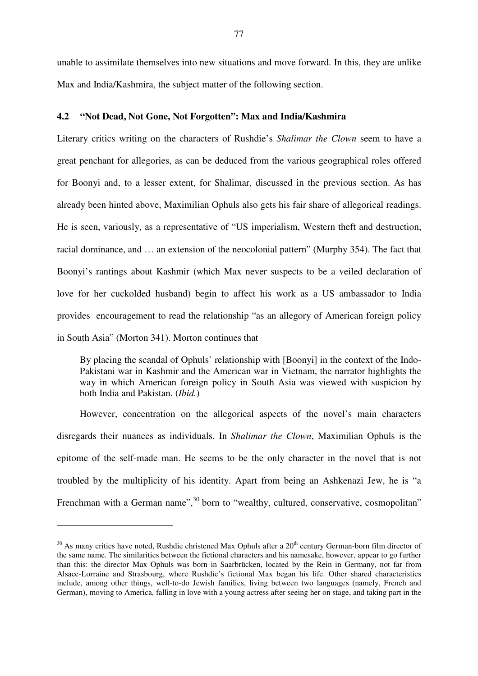unable to assimilate themselves into new situations and move forward. In this, they are unlike Max and India/Kashmira, the subject matter of the following section.

# **4.2 "Not Dead, Not Gone, Not Forgotten": Max and India/Kashmira**

Literary critics writing on the characters of Rushdie's *Shalimar the Clown* seem to have a great penchant for allegories, as can be deduced from the various geographical roles offered for Boonyi and, to a lesser extent, for Shalimar, discussed in the previous section. As has already been hinted above, Maximilian Ophuls also gets his fair share of allegorical readings. He is seen, variously, as a representative of "US imperialism, Western theft and destruction, racial dominance, and … an extension of the neocolonial pattern" (Murphy 354). The fact that Boonyi's rantings about Kashmir (which Max never suspects to be a veiled declaration of love for her cuckolded husband) begin to affect his work as a US ambassador to India provides encouragement to read the relationship "as an allegory of American foreign policy in South Asia" (Morton 341). Morton continues that

By placing the scandal of Ophuls' relationship with [Boonyi] in the context of the Indo-Pakistani war in Kashmir and the American war in Vietnam, the narrator highlights the way in which American foreign policy in South Asia was viewed with suspicion by both India and Pakistan. (*Ibid.*)

However, concentration on the allegorical aspects of the novel's main characters disregards their nuances as individuals. In *Shalimar the Clown*, Maximilian Ophuls is the epitome of the self-made man. He seems to be the only character in the novel that is not troubled by the multiplicity of his identity. Apart from being an Ashkenazi Jew, he is "a Frenchman with a German name",<sup>30</sup> born to "wealthy, cultured, conservative, cosmopolitan"

 $30$  As many critics have noted, Rushdie christened Max Ophuls after a  $20<sup>th</sup>$  century German-born film director of the same name. The similarities between the fictional characters and his namesake, however, appear to go further than this: the director Max Ophuls was born in Saarbrücken, located by the Rein in Germany, not far from Alsace-Lorraine and Strasbourg, where Rushdie's fictional Max began his life. Other shared characteristics include, among other things, well-to-do Jewish families, living between two languages (namely, French and German), moving to America, falling in love with a young actress after seeing her on stage, and taking part in the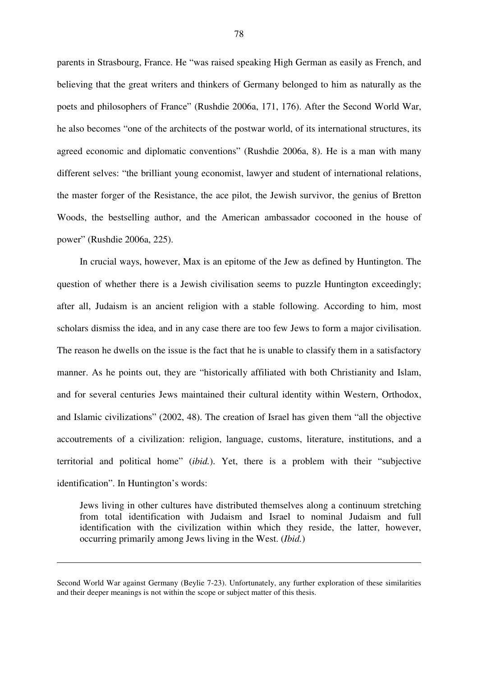parents in Strasbourg, France. He "was raised speaking High German as easily as French, and believing that the great writers and thinkers of Germany belonged to him as naturally as the poets and philosophers of France" (Rushdie 2006a, 171, 176). After the Second World War, he also becomes "one of the architects of the postwar world, of its international structures, its agreed economic and diplomatic conventions" (Rushdie 2006a, 8). He is a man with many different selves: "the brilliant young economist, lawyer and student of international relations, the master forger of the Resistance, the ace pilot, the Jewish survivor, the genius of Bretton Woods, the bestselling author, and the American ambassador cocooned in the house of power" (Rushdie 2006a, 225).

In crucial ways, however, Max is an epitome of the Jew as defined by Huntington. The question of whether there is a Jewish civilisation seems to puzzle Huntington exceedingly; after all, Judaism is an ancient religion with a stable following. According to him, most scholars dismiss the idea, and in any case there are too few Jews to form a major civilisation. The reason he dwells on the issue is the fact that he is unable to classify them in a satisfactory manner. As he points out, they are "historically affiliated with both Christianity and Islam, and for several centuries Jews maintained their cultural identity within Western, Orthodox, and Islamic civilizations" (2002, 48). The creation of Israel has given them "all the objective accoutrements of a civilization: religion, language, customs, literature, institutions, and a territorial and political home" (*ibid.*). Yet, there is a problem with their "subjective identification". In Huntington's words:

Jews living in other cultures have distributed themselves along a continuum stretching from total identification with Judaism and Israel to nominal Judaism and full identification with the civilization within which they reside, the latter, however, occurring primarily among Jews living in the West. (*Ibid.*)

Second World War against Germany (Beylie 7-23). Unfortunately, any further exploration of these similarities and their deeper meanings is not within the scope or subject matter of this thesis.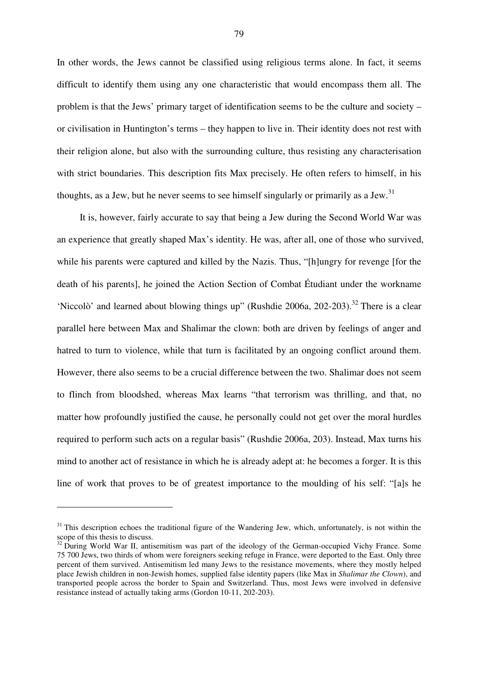In other words, the Jews cannot be classified using religious terms alone. In fact, it seems difficult to identify them using any one characteristic that would encompass them all. The problem is that the Jews' primary target of identification seems to be the culture and society – or civilisation in Huntington's terms – they happen to live in. Their identity does not rest with their religion alone, but also with the surrounding culture, thus resisting any characterisation with strict boundaries. This description fits Max precisely. He often refers to himself, in his thoughts, as a Jew, but he never seems to see himself singularly or primarily as a Jew.<sup>31</sup>

It is, however, fairly accurate to say that being a Jew during the Second World War was an experience that greatly shaped Max's identity. He was, after all, one of those who survived, while his parents were captured and killed by the Nazis. Thus, "[h]ungry for revenge [for the death of his parents], he joined the Action Section of Combat Étudiant under the workname 'Niccolò' and learned about blowing things up" (Rushdie 2006a, 202-203).<sup>32</sup> There is a clear parallel here between Max and Shalimar the clown: both are driven by feelings of anger and hatred to turn to violence, while that turn is facilitated by an ongoing conflict around them. However, there also seems to be a crucial difference between the two. Shalimar does not seem to flinch from bloodshed, whereas Max learns "that terrorism was thrilling, and that, no matter how profoundly justified the cause, he personally could not get over the moral hurdles required to perform such acts on a regular basis" (Rushdie 2006a, 203). Instead, Max turns his mind to another act of resistance in which he is already adept at: he becomes a forger. It is this line of work that proves to be of greatest importance to the moulding of his self: "[a]s he

<sup>&</sup>lt;sup>31</sup> This description echoes the traditional figure of the Wandering Jew, which, unfortunately, is not within the scope of this thesis to discuss.

 $32$  During World War II, antisemitism was part of the ideology of the German-occupied Vichy France. Some 75 700 Jews, two thirds of whom were foreigners seeking refuge in France, were deported to the East. Only three percent of them survived. Antisemitism led many Jews to the resistance movements, where they mostly helped place Jewish children in non-Jewish homes, supplied false identity papers (like Max in *Shalimar the Clown*), and transported people across the border to Spain and Switzerland. Thus, most Jews were involved in defensive resistance instead of actually taking arms (Gordon 10-11, 202-203).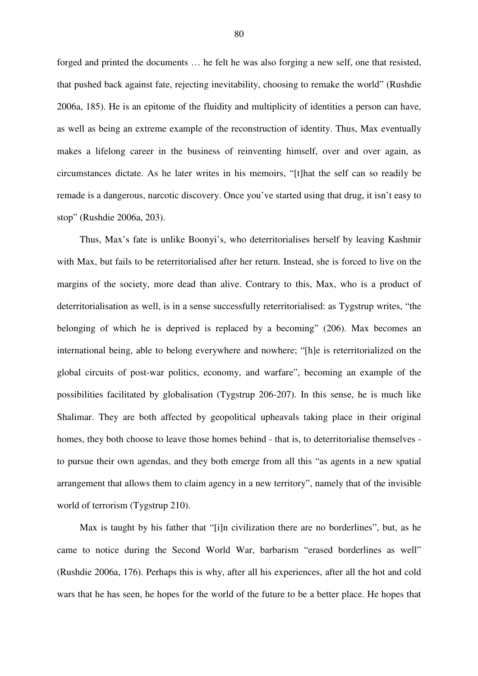forged and printed the documents … he felt he was also forging a new self, one that resisted, that pushed back against fate, rejecting inevitability, choosing to remake the world" (Rushdie 2006a, 185). He is an epitome of the fluidity and multiplicity of identities a person can have, as well as being an extreme example of the reconstruction of identity. Thus, Max eventually makes a lifelong career in the business of reinventing himself, over and over again, as circumstances dictate. As he later writes in his memoirs, "[t]hat the self can so readily be remade is a dangerous, narcotic discovery. Once you've started using that drug, it isn't easy to stop" (Rushdie 2006a, 203).

Thus, Max's fate is unlike Boonyi's, who deterritorialises herself by leaving Kashmir with Max, but fails to be reterritorialised after her return. Instead, she is forced to live on the margins of the society, more dead than alive. Contrary to this, Max, who is a product of deterritorialisation as well, is in a sense successfully reterritorialised: as Tygstrup writes, "the belonging of which he is deprived is replaced by a becoming" (206). Max becomes an international being, able to belong everywhere and nowhere; "[h]e is reterritorialized on the global circuits of post-war politics, economy, and warfare", becoming an example of the possibilities facilitated by globalisation (Tygstrup 206-207). In this sense, he is much like Shalimar. They are both affected by geopolitical upheavals taking place in their original homes, they both choose to leave those homes behind - that is, to deterritorialise themselves to pursue their own agendas, and they both emerge from all this "as agents in a new spatial arrangement that allows them to claim agency in a new territory", namely that of the invisible world of terrorism (Tygstrup 210).

Max is taught by his father that "[i]n civilization there are no borderlines", but, as he came to notice during the Second World War, barbarism "erased borderlines as well" (Rushdie 2006a, 176). Perhaps this is why, after all his experiences, after all the hot and cold wars that he has seen, he hopes for the world of the future to be a better place. He hopes that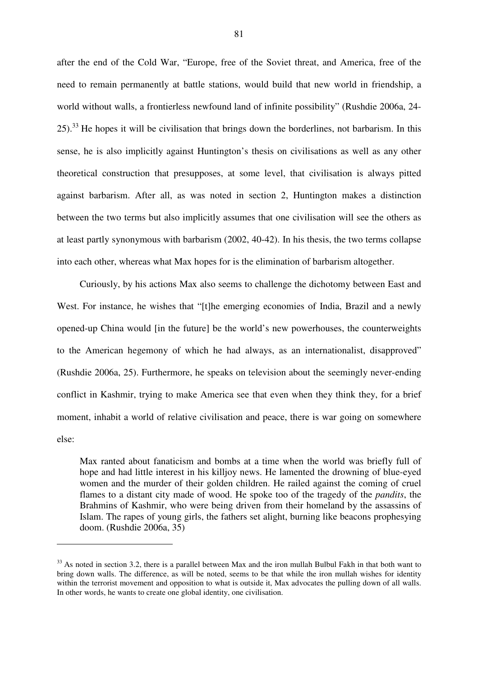after the end of the Cold War, "Europe, free of the Soviet threat, and America, free of the need to remain permanently at battle stations, would build that new world in friendship, a world without walls, a frontierless newfound land of infinite possibility" (Rushdie 2006a, 24-  $25$ ).<sup>33</sup> He hopes it will be civilisation that brings down the borderlines, not barbarism. In this sense, he is also implicitly against Huntington's thesis on civilisations as well as any other theoretical construction that presupposes, at some level, that civilisation is always pitted against barbarism. After all, as was noted in section 2, Huntington makes a distinction between the two terms but also implicitly assumes that one civilisation will see the others as at least partly synonymous with barbarism (2002, 40-42). In his thesis, the two terms collapse into each other, whereas what Max hopes for is the elimination of barbarism altogether.

Curiously, by his actions Max also seems to challenge the dichotomy between East and West. For instance, he wishes that "[t]he emerging economies of India, Brazil and a newly opened-up China would [in the future] be the world's new powerhouses, the counterweights to the American hegemony of which he had always, as an internationalist, disapproved" (Rushdie 2006a, 25). Furthermore, he speaks on television about the seemingly never-ending conflict in Kashmir, trying to make America see that even when they think they, for a brief moment, inhabit a world of relative civilisation and peace, there is war going on somewhere else:

Max ranted about fanaticism and bombs at a time when the world was briefly full of hope and had little interest in his killjoy news. He lamented the drowning of blue-eyed women and the murder of their golden children. He railed against the coming of cruel flames to a distant city made of wood. He spoke too of the tragedy of the *pandits*, the Brahmins of Kashmir, who were being driven from their homeland by the assassins of Islam. The rapes of young girls, the fathers set alight, burning like beacons prophesying doom. (Rushdie 2006a, 35)

<sup>&</sup>lt;sup>33</sup> As noted in section 3.2, there is a parallel between Max and the iron mullah Bulbul Fakh in that both want to bring down walls. The difference, as will be noted, seems to be that while the iron mullah wishes for identity within the terrorist movement and opposition to what is outside it, Max advocates the pulling down of all walls. In other words, he wants to create one global identity, one civilisation.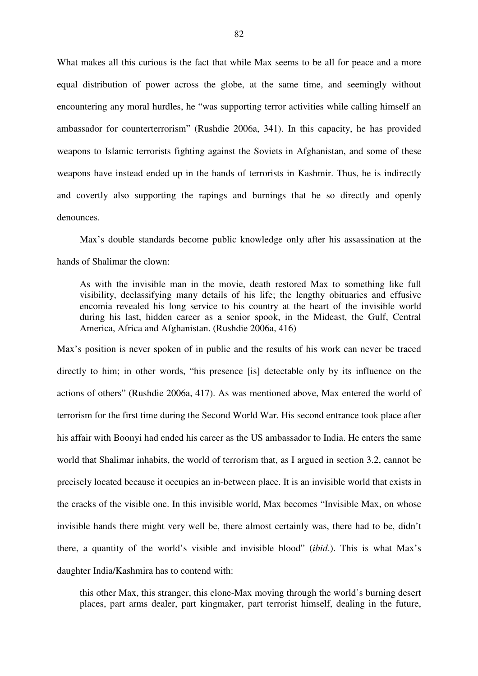What makes all this curious is the fact that while Max seems to be all for peace and a more equal distribution of power across the globe, at the same time, and seemingly without encountering any moral hurdles, he "was supporting terror activities while calling himself an ambassador for counterterrorism" (Rushdie 2006a, 341). In this capacity, he has provided weapons to Islamic terrorists fighting against the Soviets in Afghanistan, and some of these weapons have instead ended up in the hands of terrorists in Kashmir. Thus, he is indirectly and covertly also supporting the rapings and burnings that he so directly and openly denounces.

Max's double standards become public knowledge only after his assassination at the hands of Shalimar the clown:

As with the invisible man in the movie, death restored Max to something like full visibility, declassifying many details of his life; the lengthy obituaries and effusive encomia revealed his long service to his country at the heart of the invisible world during his last, hidden career as a senior spook, in the Mideast, the Gulf, Central America, Africa and Afghanistan. (Rushdie 2006a, 416)

Max's position is never spoken of in public and the results of his work can never be traced directly to him; in other words, "his presence [is] detectable only by its influence on the actions of others" (Rushdie 2006a, 417). As was mentioned above, Max entered the world of terrorism for the first time during the Second World War. His second entrance took place after his affair with Boonyi had ended his career as the US ambassador to India. He enters the same world that Shalimar inhabits, the world of terrorism that, as I argued in section 3.2, cannot be precisely located because it occupies an in-between place. It is an invisible world that exists in the cracks of the visible one. In this invisible world, Max becomes "Invisible Max, on whose invisible hands there might very well be, there almost certainly was, there had to be, didn't there, a quantity of the world's visible and invisible blood" (*ibid*.). This is what Max's daughter India/Kashmira has to contend with:

this other Max, this stranger, this clone-Max moving through the world's burning desert places, part arms dealer, part kingmaker, part terrorist himself, dealing in the future,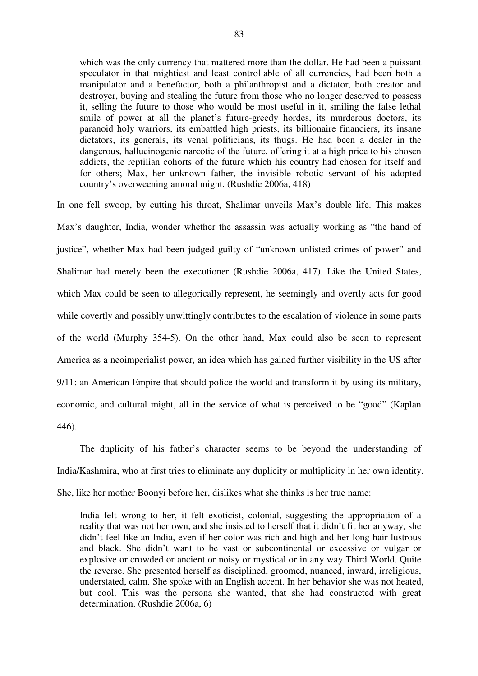which was the only currency that mattered more than the dollar. He had been a puissant speculator in that mightiest and least controllable of all currencies, had been both a manipulator and a benefactor, both a philanthropist and a dictator, both creator and destroyer, buying and stealing the future from those who no longer deserved to possess it, selling the future to those who would be most useful in it, smiling the false lethal smile of power at all the planet's future-greedy hordes, its murderous doctors, its paranoid holy warriors, its embattled high priests, its billionaire financiers, its insane dictators, its generals, its venal politicians, its thugs. He had been a dealer in the dangerous, hallucinogenic narcotic of the future, offering it at a high price to his chosen addicts, the reptilian cohorts of the future which his country had chosen for itself and for others; Max, her unknown father, the invisible robotic servant of his adopted country's overweening amoral might. (Rushdie 2006a, 418)

In one fell swoop, by cutting his throat, Shalimar unveils Max's double life. This makes Max's daughter, India, wonder whether the assassin was actually working as "the hand of justice", whether Max had been judged guilty of "unknown unlisted crimes of power" and Shalimar had merely been the executioner (Rushdie 2006a, 417). Like the United States, which Max could be seen to allegorically represent, he seemingly and overtly acts for good while covertly and possibly unwittingly contributes to the escalation of violence in some parts of the world (Murphy 354-5). On the other hand, Max could also be seen to represent America as a neoimperialist power, an idea which has gained further visibility in the US after 9/11: an American Empire that should police the world and transform it by using its military, economic, and cultural might, all in the service of what is perceived to be "good" (Kaplan 446).

The duplicity of his father's character seems to be beyond the understanding of India/Kashmira, who at first tries to eliminate any duplicity or multiplicity in her own identity. She, like her mother Boonyi before her, dislikes what she thinks is her true name:

India felt wrong to her, it felt exoticist, colonial, suggesting the appropriation of a reality that was not her own, and she insisted to herself that it didn't fit her anyway, she didn't feel like an India, even if her color was rich and high and her long hair lustrous and black. She didn't want to be vast or subcontinental or excessive or vulgar or explosive or crowded or ancient or noisy or mystical or in any way Third World. Quite the reverse. She presented herself as disciplined, groomed, nuanced, inward, irreligious, understated, calm. She spoke with an English accent. In her behavior she was not heated, but cool. This was the persona she wanted, that she had constructed with great determination. (Rushdie 2006a, 6)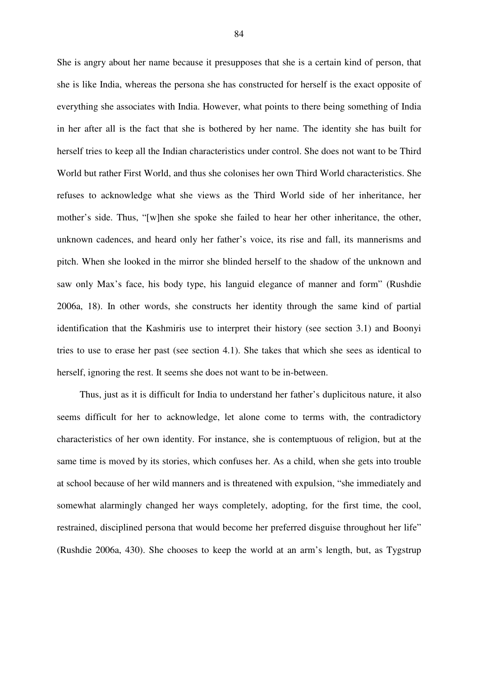She is angry about her name because it presupposes that she is a certain kind of person, that she is like India, whereas the persona she has constructed for herself is the exact opposite of everything she associates with India. However, what points to there being something of India in her after all is the fact that she is bothered by her name. The identity she has built for herself tries to keep all the Indian characteristics under control. She does not want to be Third World but rather First World, and thus she colonises her own Third World characteristics. She refuses to acknowledge what she views as the Third World side of her inheritance, her mother's side. Thus, "[w]hen she spoke she failed to hear her other inheritance, the other, unknown cadences, and heard only her father's voice, its rise and fall, its mannerisms and pitch. When she looked in the mirror she blinded herself to the shadow of the unknown and saw only Max's face, his body type, his languid elegance of manner and form" (Rushdie 2006a, 18). In other words, she constructs her identity through the same kind of partial identification that the Kashmiris use to interpret their history (see section 3.1) and Boonyi tries to use to erase her past (see section 4.1). She takes that which she sees as identical to herself, ignoring the rest. It seems she does not want to be in-between.

Thus, just as it is difficult for India to understand her father's duplicitous nature, it also seems difficult for her to acknowledge, let alone come to terms with, the contradictory characteristics of her own identity. For instance, she is contemptuous of religion, but at the same time is moved by its stories, which confuses her. As a child, when she gets into trouble at school because of her wild manners and is threatened with expulsion, "she immediately and somewhat alarmingly changed her ways completely, adopting, for the first time, the cool, restrained, disciplined persona that would become her preferred disguise throughout her life" (Rushdie 2006a, 430). She chooses to keep the world at an arm's length, but, as Tygstrup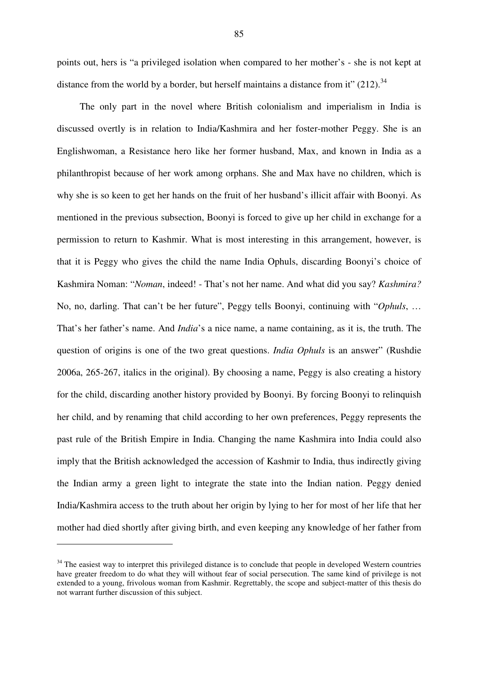points out, hers is "a privileged isolation when compared to her mother's - she is not kept at distance from the world by a border, but herself maintains a distance from it"  $(212)$ .<sup>34</sup>

The only part in the novel where British colonialism and imperialism in India is discussed overtly is in relation to India/Kashmira and her foster-mother Peggy. She is an Englishwoman, a Resistance hero like her former husband, Max, and known in India as a philanthropist because of her work among orphans. She and Max have no children, which is why she is so keen to get her hands on the fruit of her husband's illicit affair with Boonyi. As mentioned in the previous subsection, Boonyi is forced to give up her child in exchange for a permission to return to Kashmir. What is most interesting in this arrangement, however, is that it is Peggy who gives the child the name India Ophuls, discarding Boonyi's choice of Kashmira Noman: "*Noman*, indeed! - That's not her name. And what did you say? *Kashmira?* No, no, darling. That can't be her future", Peggy tells Boonyi, continuing with "*Ophuls*, … That's her father's name. And *India*'s a nice name, a name containing, as it is, the truth. The question of origins is one of the two great questions. *India Ophuls* is an answer" (Rushdie 2006a, 265-267, italics in the original). By choosing a name, Peggy is also creating a history for the child, discarding another history provided by Boonyi. By forcing Boonyi to relinquish her child, and by renaming that child according to her own preferences, Peggy represents the past rule of the British Empire in India. Changing the name Kashmira into India could also imply that the British acknowledged the accession of Kashmir to India, thus indirectly giving the Indian army a green light to integrate the state into the Indian nation. Peggy denied India/Kashmira access to the truth about her origin by lying to her for most of her life that her mother had died shortly after giving birth, and even keeping any knowledge of her father from

 $34$  The easiest way to interpret this privileged distance is to conclude that people in developed Western countries have greater freedom to do what they will without fear of social persecution. The same kind of privilege is not extended to a young, frivolous woman from Kashmir. Regrettably, the scope and subject-matter of this thesis do not warrant further discussion of this subject.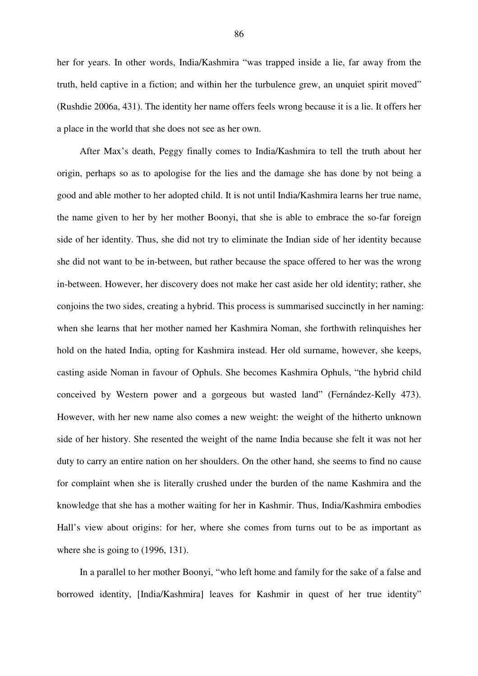her for years. In other words, India/Kashmira "was trapped inside a lie, far away from the truth, held captive in a fiction; and within her the turbulence grew, an unquiet spirit moved" (Rushdie 2006a, 431). The identity her name offers feels wrong because it is a lie. It offers her a place in the world that she does not see as her own.

After Max's death, Peggy finally comes to India/Kashmira to tell the truth about her origin, perhaps so as to apologise for the lies and the damage she has done by not being a good and able mother to her adopted child. It is not until India/Kashmira learns her true name, the name given to her by her mother Boonyi, that she is able to embrace the so-far foreign side of her identity. Thus, she did not try to eliminate the Indian side of her identity because she did not want to be in-between, but rather because the space offered to her was the wrong in-between. However, her discovery does not make her cast aside her old identity; rather, she conjoins the two sides, creating a hybrid. This process is summarised succinctly in her naming: when she learns that her mother named her Kashmira Noman, she forthwith relinquishes her hold on the hated India, opting for Kashmira instead. Her old surname, however, she keeps, casting aside Noman in favour of Ophuls. She becomes Kashmira Ophuls, "the hybrid child conceived by Western power and a gorgeous but wasted land" (Fernández-Kelly 473). However, with her new name also comes a new weight: the weight of the hitherto unknown side of her history. She resented the weight of the name India because she felt it was not her duty to carry an entire nation on her shoulders. On the other hand, she seems to find no cause for complaint when she is literally crushed under the burden of the name Kashmira and the knowledge that she has a mother waiting for her in Kashmir. Thus, India/Kashmira embodies Hall's view about origins: for her, where she comes from turns out to be as important as where she is going to (1996, 131).

In a parallel to her mother Boonyi, "who left home and family for the sake of a false and borrowed identity. [India/Kashmira] leaves for Kashmir in quest of her true identity"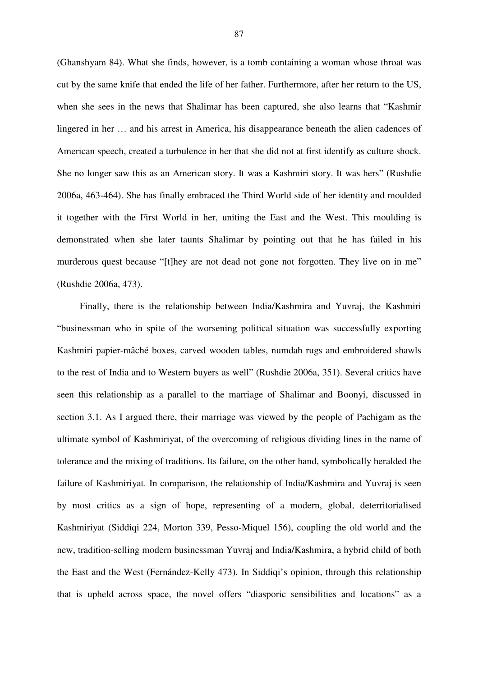(Ghanshyam 84). What she finds, however, is a tomb containing a woman whose throat was cut by the same knife that ended the life of her father. Furthermore, after her return to the US, when she sees in the news that Shalimar has been captured, she also learns that "Kashmir lingered in her … and his arrest in America, his disappearance beneath the alien cadences of American speech, created a turbulence in her that she did not at first identify as culture shock. She no longer saw this as an American story. It was a Kashmiri story. It was hers" (Rushdie 2006a, 463-464). She has finally embraced the Third World side of her identity and moulded it together with the First World in her, uniting the East and the West. This moulding is demonstrated when she later taunts Shalimar by pointing out that he has failed in his murderous quest because "[t]hey are not dead not gone not forgotten. They live on in me" (Rushdie 2006a, 473).

Finally, there is the relationship between India/Kashmira and Yuvraj, the Kashmiri "businessman who in spite of the worsening political situation was successfully exporting Kashmiri papier-mâché boxes, carved wooden tables, numdah rugs and embroidered shawls to the rest of India and to Western buyers as well" (Rushdie 2006a, 351). Several critics have seen this relationship as a parallel to the marriage of Shalimar and Boonyi, discussed in section 3.1. As I argued there, their marriage was viewed by the people of Pachigam as the ultimate symbol of Kashmiriyat, of the overcoming of religious dividing lines in the name of tolerance and the mixing of traditions. Its failure, on the other hand, symbolically heralded the failure of Kashmiriyat. In comparison, the relationship of India/Kashmira and Yuvraj is seen by most critics as a sign of hope, representing of a modern, global, deterritorialised Kashmiriyat (Siddiqi 224, Morton 339, Pesso-Miquel 156), coupling the old world and the new, tradition-selling modern businessman Yuvraj and India/Kashmira, a hybrid child of both the East and the West (Fernández-Kelly 473). In Siddiqi's opinion, through this relationship that is upheld across space, the novel offers "diasporic sensibilities and locations" as a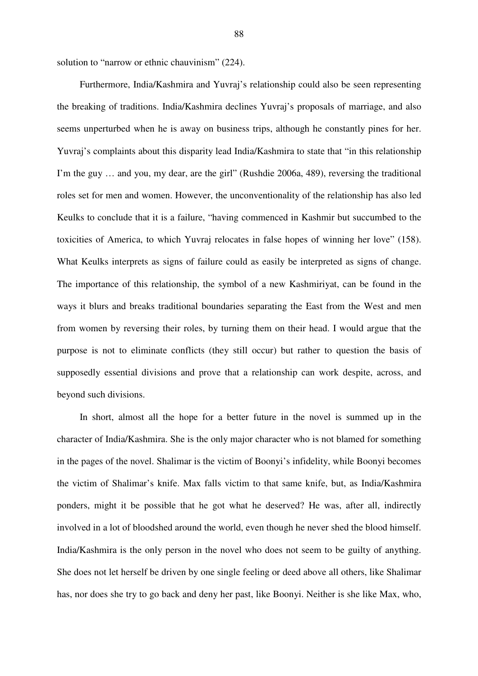solution to "narrow or ethnic chauvinism" (224).

Furthermore, India/Kashmira and Yuvraj's relationship could also be seen representing the breaking of traditions. India/Kashmira declines Yuvraj's proposals of marriage, and also seems unperturbed when he is away on business trips, although he constantly pines for her. Yuvraj's complaints about this disparity lead India/Kashmira to state that "in this relationship I'm the guy … and you, my dear, are the girl" (Rushdie 2006a, 489), reversing the traditional roles set for men and women. However, the unconventionality of the relationship has also led Keulks to conclude that it is a failure, "having commenced in Kashmir but succumbed to the toxicities of America, to which Yuvraj relocates in false hopes of winning her love" (158). What Keulks interprets as signs of failure could as easily be interpreted as signs of change. The importance of this relationship, the symbol of a new Kashmiriyat, can be found in the ways it blurs and breaks traditional boundaries separating the East from the West and men from women by reversing their roles, by turning them on their head. I would argue that the purpose is not to eliminate conflicts (they still occur) but rather to question the basis of supposedly essential divisions and prove that a relationship can work despite, across, and beyond such divisions.

In short, almost all the hope for a better future in the novel is summed up in the character of India/Kashmira. She is the only major character who is not blamed for something in the pages of the novel. Shalimar is the victim of Boonyi's infidelity, while Boonyi becomes the victim of Shalimar's knife. Max falls victim to that same knife, but, as India/Kashmira ponders, might it be possible that he got what he deserved? He was, after all, indirectly involved in a lot of bloodshed around the world, even though he never shed the blood himself. India/Kashmira is the only person in the novel who does not seem to be guilty of anything. She does not let herself be driven by one single feeling or deed above all others, like Shalimar has, nor does she try to go back and deny her past, like Boonyi. Neither is she like Max, who,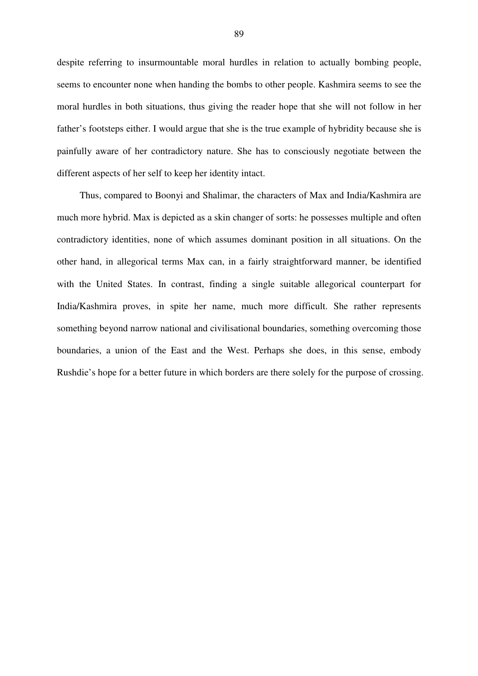despite referring to insurmountable moral hurdles in relation to actually bombing people, seems to encounter none when handing the bombs to other people. Kashmira seems to see the moral hurdles in both situations, thus giving the reader hope that she will not follow in her father's footsteps either. I would argue that she is the true example of hybridity because she is painfully aware of her contradictory nature. She has to consciously negotiate between the different aspects of her self to keep her identity intact.

Thus, compared to Boonyi and Shalimar, the characters of Max and India/Kashmira are much more hybrid. Max is depicted as a skin changer of sorts: he possesses multiple and often contradictory identities, none of which assumes dominant position in all situations. On the other hand, in allegorical terms Max can, in a fairly straightforward manner, be identified with the United States. In contrast, finding a single suitable allegorical counterpart for India/Kashmira proves, in spite her name, much more difficult. She rather represents something beyond narrow national and civilisational boundaries, something overcoming those boundaries, a union of the East and the West. Perhaps she does, in this sense, embody Rushdie's hope for a better future in which borders are there solely for the purpose of crossing.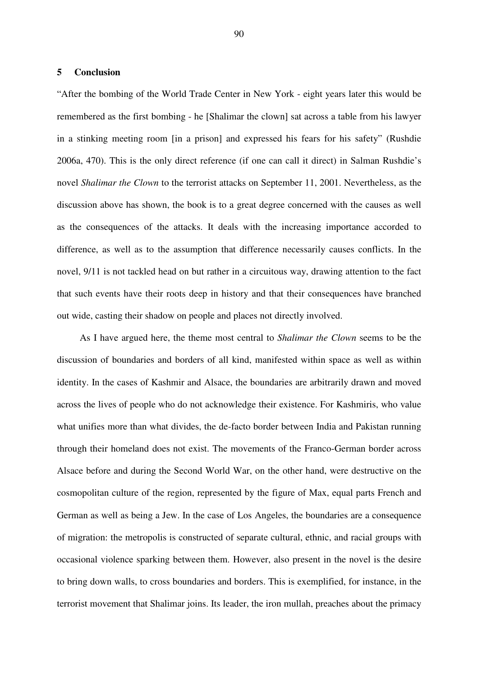# **5 Conclusion**

"After the bombing of the World Trade Center in New York - eight years later this would be remembered as the first bombing - he [Shalimar the clown] sat across a table from his lawyer in a stinking meeting room [in a prison] and expressed his fears for his safety" (Rushdie 2006a, 470). This is the only direct reference (if one can call it direct) in Salman Rushdie's novel *Shalimar the Clown* to the terrorist attacks on September 11, 2001. Nevertheless, as the discussion above has shown, the book is to a great degree concerned with the causes as well as the consequences of the attacks. It deals with the increasing importance accorded to difference, as well as to the assumption that difference necessarily causes conflicts. In the novel, 9/11 is not tackled head on but rather in a circuitous way, drawing attention to the fact that such events have their roots deep in history and that their consequences have branched out wide, casting their shadow on people and places not directly involved.

As I have argued here, the theme most central to *Shalimar the Clown* seems to be the discussion of boundaries and borders of all kind, manifested within space as well as within identity. In the cases of Kashmir and Alsace, the boundaries are arbitrarily drawn and moved across the lives of people who do not acknowledge their existence. For Kashmiris, who value what unifies more than what divides, the de-facto border between India and Pakistan running through their homeland does not exist. The movements of the Franco-German border across Alsace before and during the Second World War, on the other hand, were destructive on the cosmopolitan culture of the region, represented by the figure of Max, equal parts French and German as well as being a Jew. In the case of Los Angeles, the boundaries are a consequence of migration: the metropolis is constructed of separate cultural, ethnic, and racial groups with occasional violence sparking between them. However, also present in the novel is the desire to bring down walls, to cross boundaries and borders. This is exemplified, for instance, in the terrorist movement that Shalimar joins. Its leader, the iron mullah, preaches about the primacy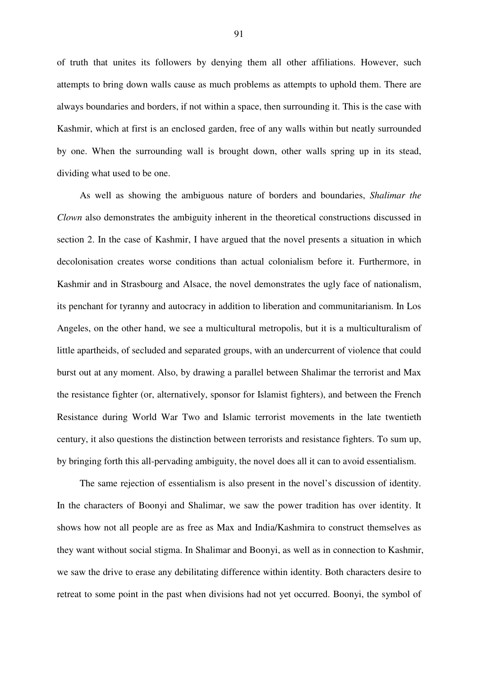of truth that unites its followers by denying them all other affiliations. However, such attempts to bring down walls cause as much problems as attempts to uphold them. There are always boundaries and borders, if not within a space, then surrounding it. This is the case with Kashmir, which at first is an enclosed garden, free of any walls within but neatly surrounded by one. When the surrounding wall is brought down, other walls spring up in its stead, dividing what used to be one.

As well as showing the ambiguous nature of borders and boundaries, *Shalimar the Clown* also demonstrates the ambiguity inherent in the theoretical constructions discussed in section 2. In the case of Kashmir, I have argued that the novel presents a situation in which decolonisation creates worse conditions than actual colonialism before it. Furthermore, in Kashmir and in Strasbourg and Alsace, the novel demonstrates the ugly face of nationalism, its penchant for tyranny and autocracy in addition to liberation and communitarianism. In Los Angeles, on the other hand, we see a multicultural metropolis, but it is a multiculturalism of little apartheids, of secluded and separated groups, with an undercurrent of violence that could burst out at any moment. Also, by drawing a parallel between Shalimar the terrorist and Max the resistance fighter (or, alternatively, sponsor for Islamist fighters), and between the French Resistance during World War Two and Islamic terrorist movements in the late twentieth century, it also questions the distinction between terrorists and resistance fighters. To sum up, by bringing forth this all-pervading ambiguity, the novel does all it can to avoid essentialism.

The same rejection of essentialism is also present in the novel's discussion of identity. In the characters of Boonyi and Shalimar, we saw the power tradition has over identity. It shows how not all people are as free as Max and India/Kashmira to construct themselves as they want without social stigma. In Shalimar and Boonyi, as well as in connection to Kashmir, we saw the drive to erase any debilitating difference within identity. Both characters desire to retreat to some point in the past when divisions had not yet occurred. Boonyi, the symbol of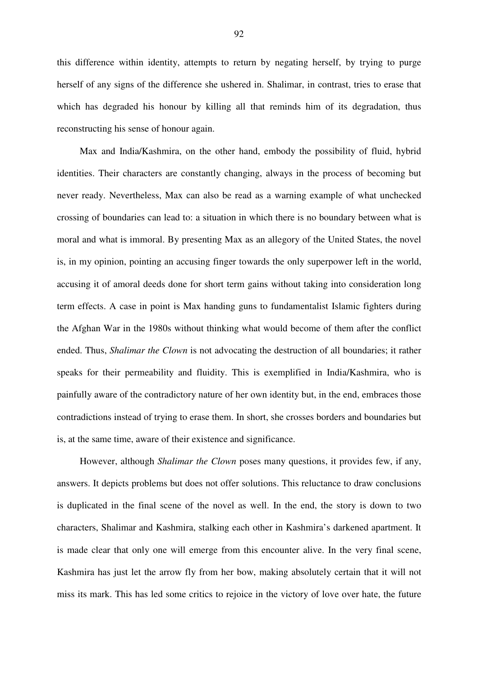this difference within identity, attempts to return by negating herself, by trying to purge herself of any signs of the difference she ushered in. Shalimar, in contrast, tries to erase that which has degraded his honour by killing all that reminds him of its degradation, thus reconstructing his sense of honour again.

Max and India/Kashmira, on the other hand, embody the possibility of fluid, hybrid identities. Their characters are constantly changing, always in the process of becoming but never ready. Nevertheless, Max can also be read as a warning example of what unchecked crossing of boundaries can lead to: a situation in which there is no boundary between what is moral and what is immoral. By presenting Max as an allegory of the United States, the novel is, in my opinion, pointing an accusing finger towards the only superpower left in the world, accusing it of amoral deeds done for short term gains without taking into consideration long term effects. A case in point is Max handing guns to fundamentalist Islamic fighters during the Afghan War in the 1980s without thinking what would become of them after the conflict ended. Thus, *Shalimar the Clown* is not advocating the destruction of all boundaries; it rather speaks for their permeability and fluidity. This is exemplified in India/Kashmira, who is painfully aware of the contradictory nature of her own identity but, in the end, embraces those contradictions instead of trying to erase them. In short, she crosses borders and boundaries but is, at the same time, aware of their existence and significance.

However, although *Shalimar the Clown* poses many questions, it provides few, if any, answers. It depicts problems but does not offer solutions. This reluctance to draw conclusions is duplicated in the final scene of the novel as well. In the end, the story is down to two characters, Shalimar and Kashmira, stalking each other in Kashmira's darkened apartment. It is made clear that only one will emerge from this encounter alive. In the very final scene, Kashmira has just let the arrow fly from her bow, making absolutely certain that it will not miss its mark. This has led some critics to rejoice in the victory of love over hate, the future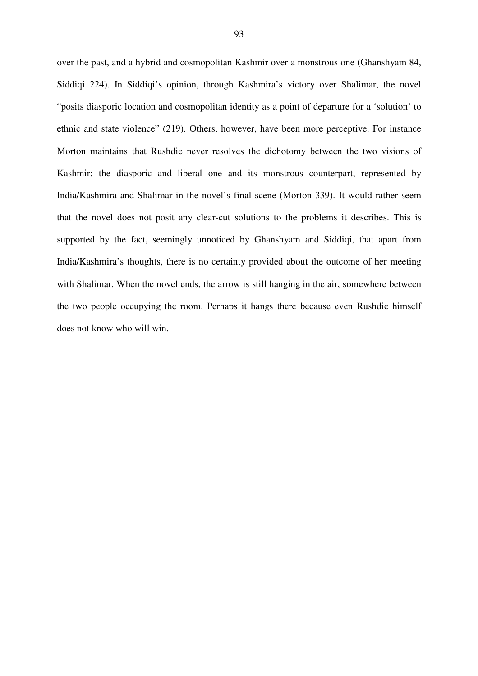over the past, and a hybrid and cosmopolitan Kashmir over a monstrous one (Ghanshyam 84, Siddiqi 224). In Siddiqi's opinion, through Kashmira's victory over Shalimar, the novel "posits diasporic location and cosmopolitan identity as a point of departure for a 'solution' to ethnic and state violence" (219). Others, however, have been more perceptive. For instance Morton maintains that Rushdie never resolves the dichotomy between the two visions of Kashmir: the diasporic and liberal one and its monstrous counterpart, represented by India/Kashmira and Shalimar in the novel's final scene (Morton 339). It would rather seem that the novel does not posit any clear-cut solutions to the problems it describes. This is supported by the fact, seemingly unnoticed by Ghanshyam and Siddiqi, that apart from India/Kashmira's thoughts, there is no certainty provided about the outcome of her meeting with Shalimar. When the novel ends, the arrow is still hanging in the air, somewhere between the two people occupying the room. Perhaps it hangs there because even Rushdie himself does not know who will win.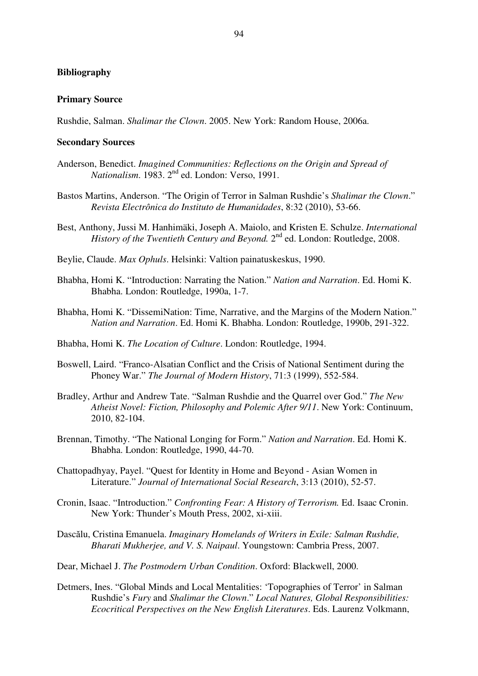## **Bibliography**

#### **Primary Source**

Rushdie, Salman. *Shalimar the Clown*. 2005. New York: Random House, 2006a.

### **Secondary Sources**

- Anderson, Benedict. *Imagined Communities: Reflections on the Origin and Spread of Nationalism.* 1983. 2<sup>nd</sup> ed. London: Verso, 1991.
- Bastos Martins, Anderson. "The Origin of Terror in Salman Rushdie's *Shalimar the Clown*." *Revista Electrônica do Instituto de Humanidades*, 8:32 (2010), 53-66.
- Best, Anthony, Jussi M. Hanhimäki, Joseph A. Maiolo, and Kristen E. Schulze. *International* History of the Twentieth Century and Beyond. 2<sup>nd</sup> ed. London: Routledge, 2008.
- Beylie, Claude. *Max Ophuls*. Helsinki: Valtion painatuskeskus, 1990.
- Bhabha, Homi K. "Introduction: Narrating the Nation." *Nation and Narration*. Ed. Homi K. Bhabha. London: Routledge, 1990a, 1-7.
- Bhabha, Homi K. "DissemiNation: Time, Narrative, and the Margins of the Modern Nation." *Nation and Narration*. Ed. Homi K. Bhabha. London: Routledge, 1990b, 291-322.
- Bhabha, Homi K. *The Location of Culture*. London: Routledge, 1994.
- Boswell, Laird. "Franco-Alsatian Conflict and the Crisis of National Sentiment during the Phoney War." *The Journal of Modern History*, 71:3 (1999), 552-584.
- Bradley, Arthur and Andrew Tate. "Salman Rushdie and the Quarrel over God." *The New Atheist Novel: Fiction, Philosophy and Polemic After 9/11*. New York: Continuum, 2010, 82-104.
- Brennan, Timothy. "The National Longing for Form." *Nation and Narration*. Ed. Homi K. Bhabha. London: Routledge, 1990, 44-70.
- Chattopadhyay, Payel. "Quest for Identity in Home and Beyond Asian Women in Literature." *Journal of International Social Research*, 3:13 (2010), 52-57.
- Cronin, Isaac. "Introduction." *Confronting Fear: A History of Terrorism.* Ed. Isaac Cronin. New York: Thunder's Mouth Press, 2002, xi-xiii.
- Dasclu, Cristina Emanuela. *Imaginary Homelands of Writers in Exile: Salman Rushdie, Bharati Mukherjee, and V. S. Naipaul*. Youngstown: Cambria Press, 2007.
- Dear, Michael J. *The Postmodern Urban Condition*. Oxford: Blackwell, 2000.
- Detmers, Ines. "Global Minds and Local Mentalities: 'Topographies of Terror' in Salman Rushdie's *Fury* and *Shalimar the Clown*." *Local Natures, Global Responsibilities: Ecocritical Perspectives on the New English Literatures*. Eds. Laurenz Volkmann,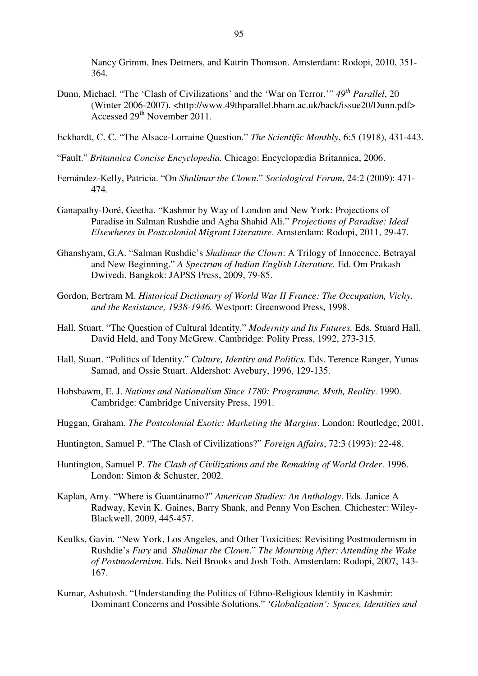Nancy Grimm, Ines Detmers, and Katrin Thomson. Amsterdam: Rodopi, 2010, 351- 364.

- Dunn, Michael. "The 'Clash of Civilizations' and the 'War on Terror.'" *49 th Parallel*, 20 (Winter 2006-2007). <http://www.49thparallel.bham.ac.uk/back/issue20/Dunn.pdf> Accessed 29<sup>th</sup> November 2011.
- Eckhardt, C. C. "The Alsace-Lorraine Question." *The Scientific Monthly*, 6:5 (1918), 431-443.
- "Fault." *Britannica Concise Encyclopedia.* Chicago: Encyclopædia Britannica, 2006.
- Fernández-Kelly, Patricia. "On *Shalimar the Clown*." *Sociological Forum*, 24:2 (2009): 471- 474.
- Ganapathy-Doré, Geetha. "Kashmir by Way of London and New York: Projections of Paradise in Salman Rushdie and Agha Shahid Ali." *Projections of Paradise: Ideal Elsewheres in Postcolonial Migrant Literature*. Amsterdam: Rodopi, 2011, 29-47.
- Ghanshyam, G.A. "Salman Rushdie's *Shalimar the Clown*: A Trilogy of Innocence, Betrayal and New Beginning." *A Spectrum of Indian English Literature.* Ed. Om Prakash Dwivedi. Bangkok: JAPSS Press, 2009, 79-85.
- Gordon, Bertram M. *Historical Dictionary of World War II France: The Occupation, Vichy, and the Resistance, 1938-1946.* Westport: Greenwood Press, 1998.
- Hall, Stuart. "The Question of Cultural Identity." *Modernity and Its Futures.* Eds. Stuard Hall, David Held, and Tony McGrew. Cambridge: Polity Press, 1992, 273-315.
- Hall, Stuart. "Politics of Identity." *Culture, Identity and Politics.* Eds. Terence Ranger, Yunas Samad, and Ossie Stuart. Aldershot: Avebury, 1996, 129-135.
- Hobsbawm, E. J. *Nations and Nationalism Since 1780: Programme, Myth, Reality*. 1990. Cambridge: Cambridge University Press, 1991.
- Huggan, Graham. *The Postcolonial Exotic: Marketing the Margins*. London: Routledge, 2001.
- Huntington, Samuel P. "The Clash of Civilizations?" *Foreign Affairs*, 72:3 (1993): 22-48.
- Huntington, Samuel P. *The Clash of Civilizations and the Remaking of World Order*. 1996. London: Simon & Schuster, 2002.
- Kaplan, Amy. "Where is Guantánamo?" *American Studies: An Anthology*. Eds. Janice A Radway, Kevin K. Gaines, Barry Shank, and Penny Von Eschen. Chichester: Wiley-Blackwell, 2009, 445-457.
- Keulks, Gavin. "New York, Los Angeles, and Other Toxicities: Revisiting Postmodernism in Rushdie's *Fury* and *Shalimar the Clown*." *The Mourning After: Attending the Wake of Postmodernism*. Eds. Neil Brooks and Josh Toth. Amsterdam: Rodopi, 2007, 143- 167.
- Kumar, Ashutosh. "Understanding the Politics of Ethno-Religious Identity in Kashmir: Dominant Concerns and Possible Solutions." *'Globalization': Spaces, Identities and*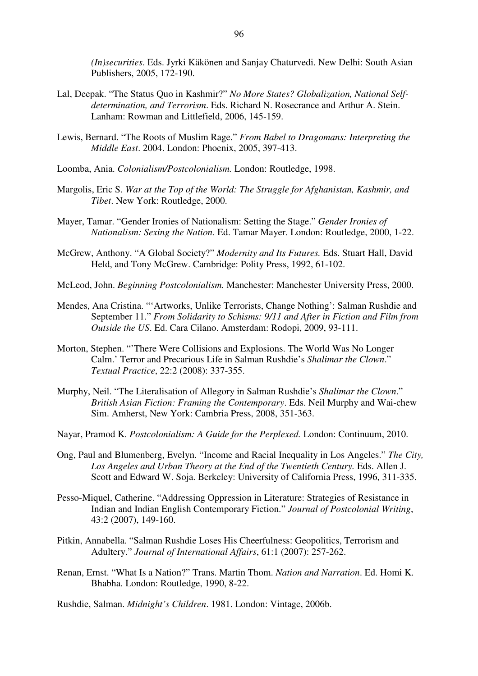*(In)securities*. Eds. Jyrki Käkönen and Sanjay Chaturvedi. New Delhi: South Asian Publishers, 2005, 172-190.

- Lal, Deepak. "The Status Quo in Kashmir?" *No More States? Globalization, National Selfdetermination, and Terrorism*. Eds. Richard N. Rosecrance and Arthur A. Stein. Lanham: Rowman and Littlefield, 2006, 145-159.
- Lewis, Bernard. "The Roots of Muslim Rage." *From Babel to Dragomans: Interpreting the Middle East*. 2004. London: Phoenix, 2005, 397-413.
- Loomba, Ania. *Colonialism/Postcolonialism.* London: Routledge, 1998.
- Margolis, Eric S. *War at the Top of the World: The Struggle for Afghanistan, Kashmir, and Tibet*. New York: Routledge, 2000.
- Mayer, Tamar. "Gender Ironies of Nationalism: Setting the Stage." *Gender Ironies of Nationalism: Sexing the Nation*. Ed. Tamar Mayer. London: Routledge, 2000, 1-22.
- McGrew, Anthony. "A Global Society?" *Modernity and Its Futures.* Eds. Stuart Hall, David Held, and Tony McGrew. Cambridge: Polity Press, 1992, 61-102.
- McLeod, John. *Beginning Postcolonialism.* Manchester: Manchester University Press, 2000.
- Mendes, Ana Cristina. "'Artworks, Unlike Terrorists, Change Nothing': Salman Rushdie and September 11." *From Solidarity to Schisms: 9/11 and After in Fiction and Film from Outside the US*. Ed. Cara Cilano. Amsterdam: Rodopi, 2009, 93-111.
- Morton, Stephen. "'There Were Collisions and Explosions. The World Was No Longer Calm.' Terror and Precarious Life in Salman Rushdie's *Shalimar the Clown*." *Textual Practice*, 22:2 (2008): 337-355.
- Murphy, Neil. "The Literalisation of Allegory in Salman Rushdie's *Shalimar the Clown*." *British Asian Fiction: Framing the Contemporary*. Eds. Neil Murphy and Wai-chew Sim. Amherst, New York: Cambria Press, 2008, 351-363.
- Nayar, Pramod K. *Postcolonialism: A Guide for the Perplexed.* London: Continuum, 2010.
- Ong, Paul and Blumenberg, Evelyn. "Income and Racial Inequality in Los Angeles." *The City, Los Angeles and Urban Theory at the End of the Twentieth Century.* Eds. Allen J. Scott and Edward W. Soja. Berkeley: University of California Press, 1996, 311-335.
- Pesso-Miquel, Catherine. "Addressing Oppression in Literature: Strategies of Resistance in Indian and Indian English Contemporary Fiction." *Journal of Postcolonial Writing*, 43:2 (2007), 149-160.
- Pitkin, Annabella. "Salman Rushdie Loses His Cheerfulness: Geopolitics, Terrorism and Adultery." *Journal of International Affairs*, 61:1 (2007): 257-262.
- Renan, Ernst. "What Is a Nation?" Trans. Martin Thom. *Nation and Narration*. Ed. Homi K. Bhabha. London: Routledge, 1990, 8-22.
- Rushdie, Salman. *Midnight's Children*. 1981. London: Vintage, 2006b.